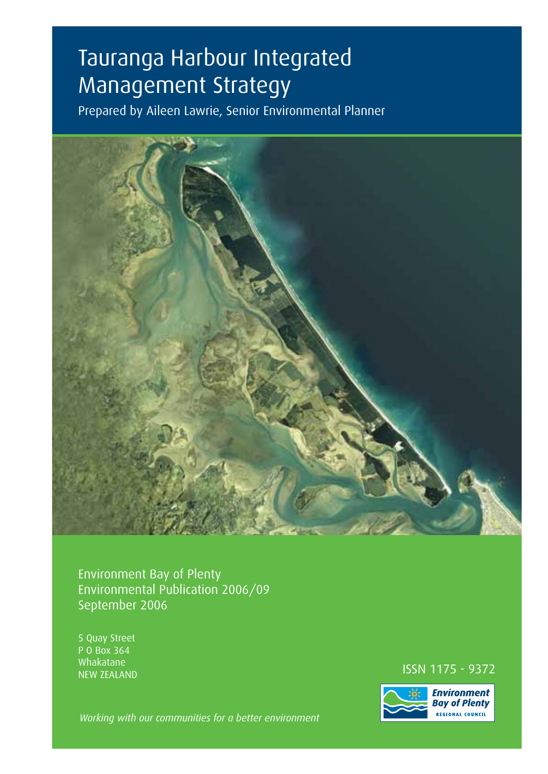# Tauranga Harbour Integrated Management Strategy

Prepared by Aileen Lawrie, Senior Environmental Planner



Environment Bay of Plenty Environmental Publication 2006/09 September 2006

5 Quay Street P O Box 364 Whakatane

NEW ZEALAND **ISSN 1175 - 9372**<br>NEW ZEALAND



*Working with our communities for a better environment*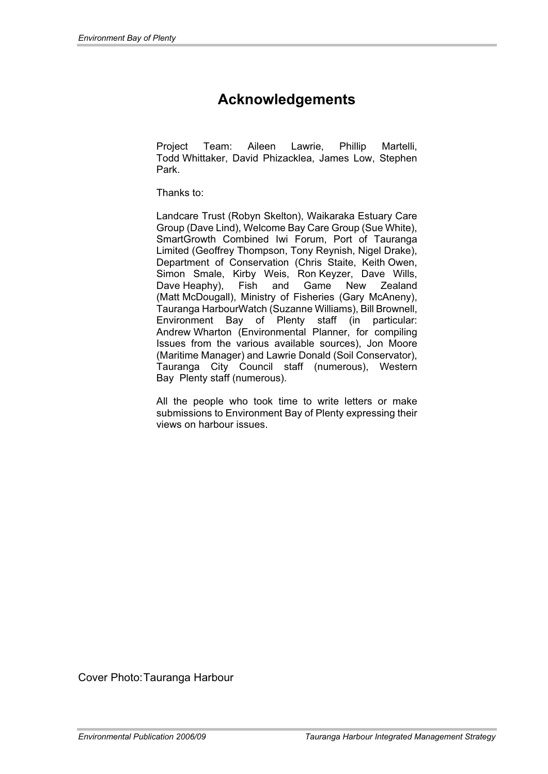# **Acknowledgements**

Project Team: Aileen Lawrie, Phillip Martelli, Todd Whittaker, David Phizacklea, James Low, Stephen Park.

Thanks to:

Landcare Trust (Robyn Skelton), Waikaraka Estuary Care Group (Dave Lind), Welcome Bay Care Group (Sue White), SmartGrowth Combined Iwi Forum, Port of Tauranga Limited (Geoffrey Thompson, Tony Reynish, Nigel Drake), Department of Conservation (Chris Staite, Keith Owen, Simon Smale, Kirby Weis, Ron Keyzer, Dave Wills, Dave Heaphy), Fish and Game New Zealand (Matt McDougall), Ministry of Fisheries (Gary McAneny), Tauranga HarbourWatch (Suzanne Williams), Bill Brownell, Environment Bay of Plenty staff (in particular: Andrew Wharton (Environmental Planner, for compiling Issues from the various available sources), Jon Moore (Maritime Manager) and Lawrie Donald (Soil Conservator), Tauranga City Council staff (numerous), Western Bay Plenty staff (numerous).

All the people who took time to write letters or make submissions to Environment Bay of Plenty expressing their views on harbour issues.

Cover Photo: Tauranga Harbour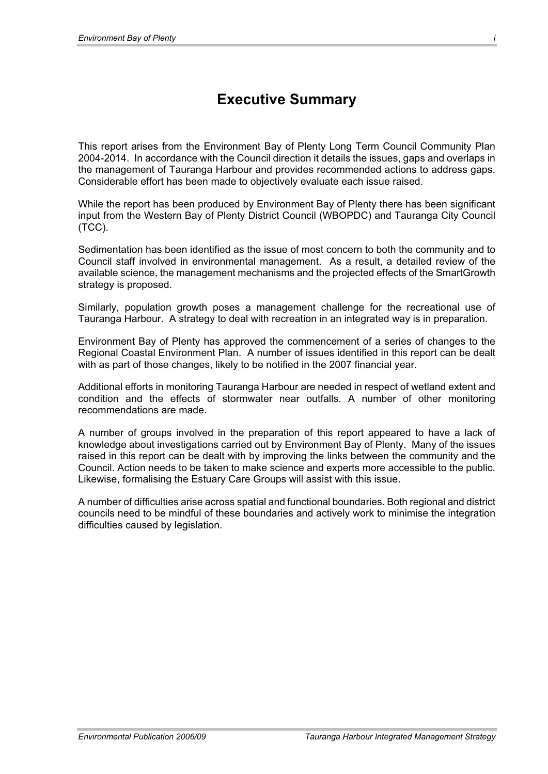# **Executive Summary**

This report arises from the Environment Bay of Plenty Long Term Council Community Plan 2004-2014. In accordance with the Council direction it details the issues, gaps and overlaps in the management of Tauranga Harbour and provides recommended actions to address gaps. Considerable effort has been made to objectively evaluate each issue raised.

While the report has been produced by Environment Bay of Plenty there has been significant input from the Western Bay of Plenty District Council (WBOPDC) and Tauranga City Council (TCC).

Sedimentation has been identified as the issue of most concern to both the community and to Council staff involved in environmental management. As a result, a detailed review of the available science, the management mechanisms and the projected effects of the SmartGrowth strategy is proposed.

Similarly, population growth poses a management challenge for the recreational use of Tauranga Harbour. A strategy to deal with recreation in an integrated way is in preparation.

Environment Bay of Plenty has approved the commencement of a series of changes to the Regional Coastal Environment Plan. A number of issues identified in this report can be dealt with as part of those changes, likely to be notified in the 2007 financial year.

Additional efforts in monitoring Tauranga Harbour are needed in respect of wetland extent and condition and the effects of stormwater near outfalls. A number of other monitoring recommendations are made.

A number of groups involved in the preparation of this report appeared to have a lack of knowledge about investigations carried out by Environment Bay of Plenty. Many of the issues raised in this report can be dealt with by improving the links between the community and the Council. Action needs to be taken to make science and experts more accessible to the public. Likewise, formalising the Estuary Care Groups will assist with this issue.

A number of difficulties arise across spatial and functional boundaries. Both regional and district councils need to be mindful of these boundaries and actively work to minimise the integration difficulties caused by legislation.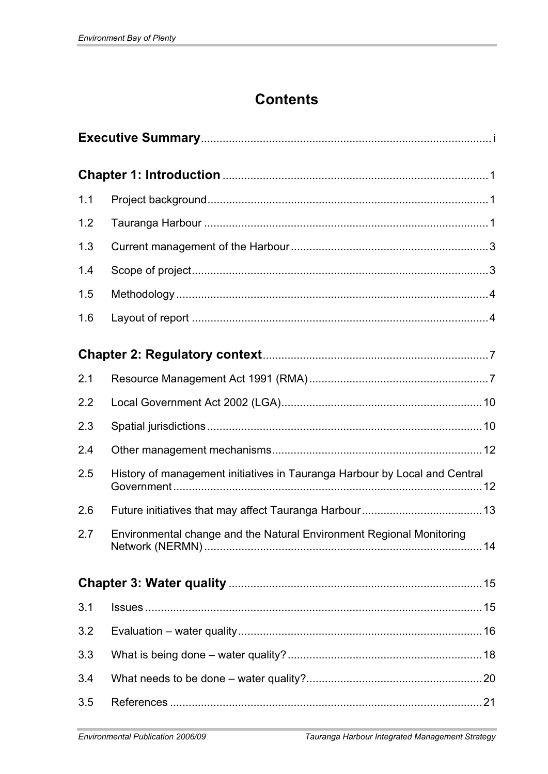# **Contents**

| 1.1 |                                                                            |  |
|-----|----------------------------------------------------------------------------|--|
| 1.2 |                                                                            |  |
| 1.3 |                                                                            |  |
| 1.4 |                                                                            |  |
| 1.5 |                                                                            |  |
| 1.6 |                                                                            |  |
|     |                                                                            |  |
| 2.1 |                                                                            |  |
| 2.2 |                                                                            |  |
| 2.3 |                                                                            |  |
| 2.4 |                                                                            |  |
| 2.5 | History of management initiatives in Tauranga Harbour by Local and Central |  |
| 2.6 |                                                                            |  |
| 2.7 | Environmental change and the Natural Environment Regional Monitoring       |  |
|     |                                                                            |  |
| 3.1 |                                                                            |  |
| 3.2 |                                                                            |  |
| 3.3 |                                                                            |  |
| 3.4 |                                                                            |  |
| 3.5 |                                                                            |  |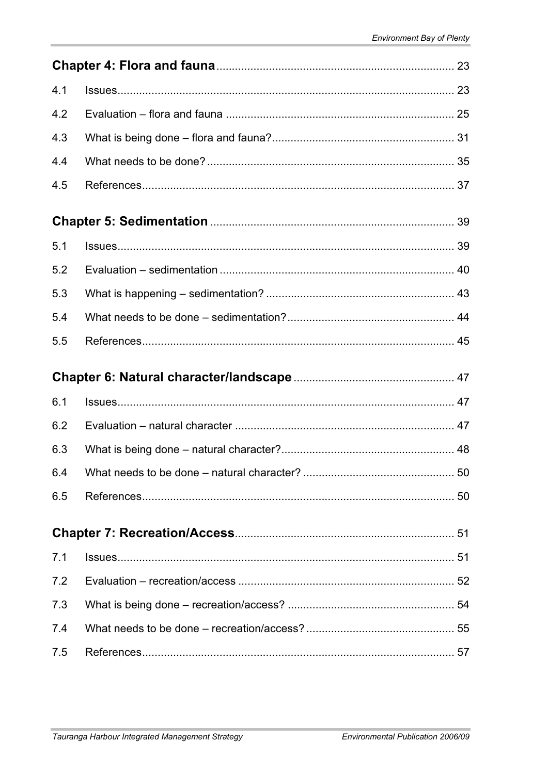| 4.1 |  |  |  |
|-----|--|--|--|
| 4.2 |  |  |  |
| 4.3 |  |  |  |
| 4.4 |  |  |  |
| 4.5 |  |  |  |
|     |  |  |  |
| 5.1 |  |  |  |
| 5.2 |  |  |  |
| 5.3 |  |  |  |
| 5.4 |  |  |  |
| 5.5 |  |  |  |
|     |  |  |  |
| 6.1 |  |  |  |
|     |  |  |  |
| 6.2 |  |  |  |
| 6.3 |  |  |  |
| 6.4 |  |  |  |
| 6.5 |  |  |  |
|     |  |  |  |
| 7.1 |  |  |  |
| 7.2 |  |  |  |
| 7.3 |  |  |  |
| 7.4 |  |  |  |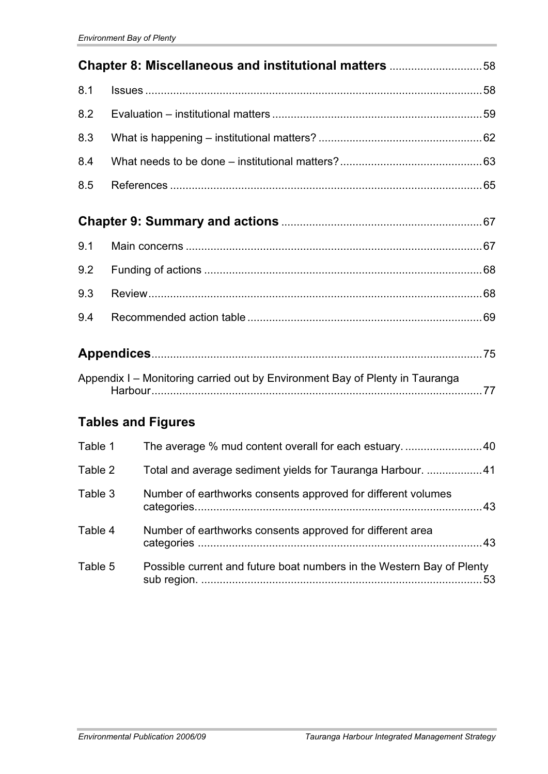| Chapter 8: Miscellaneous and institutional matters 58 |                                                                              |  |
|-------------------------------------------------------|------------------------------------------------------------------------------|--|
| 8.1                                                   |                                                                              |  |
| 8.2                                                   |                                                                              |  |
| 8.3                                                   |                                                                              |  |
| 8.4                                                   |                                                                              |  |
| 8.5                                                   |                                                                              |  |
|                                                       |                                                                              |  |
| 9.1                                                   |                                                                              |  |
| 9.2                                                   |                                                                              |  |
| 9.3                                                   |                                                                              |  |
| 9.4                                                   |                                                                              |  |
|                                                       |                                                                              |  |
|                                                       | Appendix I - Monitoring carried out by Environment Bay of Plenty in Tauranga |  |
|                                                       | <b>Tables and Figures</b>                                                    |  |
| Table 1                                               | The average % mud content overall for each estuary40                         |  |
| Table 2                                               | Total and average sediment yields for Tauranga Harbour. 41                   |  |
| Table 3                                               | Number of earthworks consents approved for different volumes                 |  |
| Table 4                                               | Number of earthworks consents approved for different area                    |  |
| Table 5                                               | Possible current and future boat numbers in the Western Bay of Plenty        |  |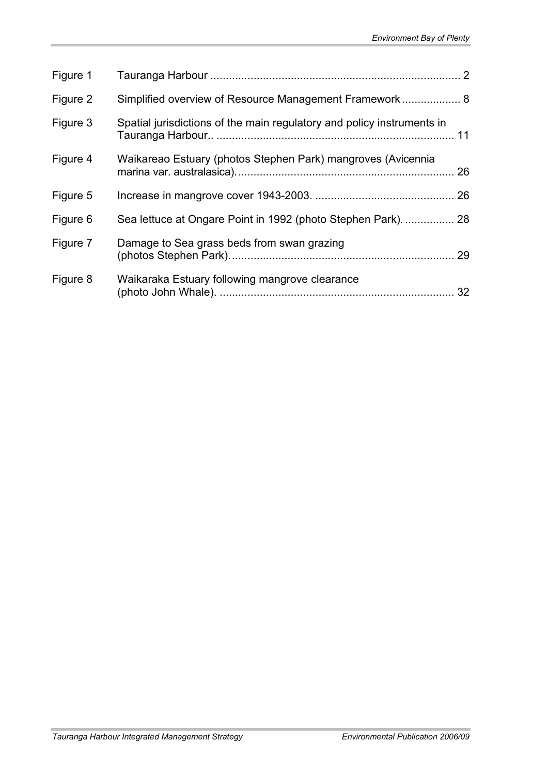| Figure 1 |                                                                        |  |
|----------|------------------------------------------------------------------------|--|
| Figure 2 | Simplified overview of Resource Management Framework 8                 |  |
| Figure 3 | Spatial jurisdictions of the main regulatory and policy instruments in |  |
| Figure 4 | Waikareao Estuary (photos Stephen Park) mangroves (Avicennia           |  |
| Figure 5 |                                                                        |  |
| Figure 6 | Sea lettuce at Ongare Point in 1992 (photo Stephen Park) 28            |  |
| Figure 7 | Damage to Sea grass beds from swan grazing                             |  |
| Figure 8 | Waikaraka Estuary following mangrove clearance                         |  |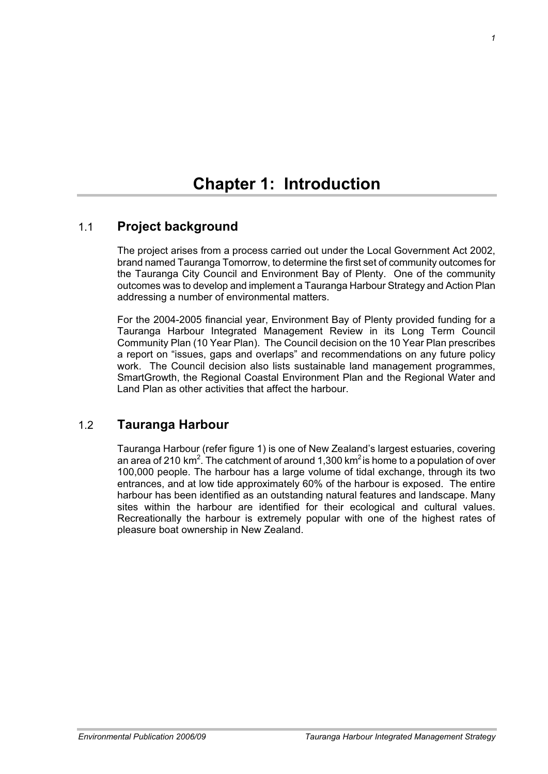# **Chapter 1: Introduction**

## 1.1 **Project background**

The project arises from a process carried out under the Local Government Act 2002, brand named Tauranga Tomorrow, to determine the first set of community outcomes for the Tauranga City Council and Environment Bay of Plenty. One of the community outcomes was to develop and implement a Tauranga Harbour Strategy and Action Plan addressing a number of environmental matters.

For the 2004-2005 financial year, Environment Bay of Plenty provided funding for a Tauranga Harbour Integrated Management Review in its Long Term Council Community Plan (10 Year Plan). The Council decision on the 10 Year Plan prescribes a report on "issues, gaps and overlaps" and recommendations on any future policy work. The Council decision also lists sustainable land management programmes, SmartGrowth, the Regional Coastal Environment Plan and the Regional Water and Land Plan as other activities that affect the harbour.

### 1.2 **Tauranga Harbour**

Tauranga Harbour (refer figure 1) is one of New Zealand's largest estuaries, covering an area of 210 km<sup>2</sup>. The catchment of around 1,300 km<sup>2</sup> is home to a population of over 100,000 people. The harbour has a large volume of tidal exchange, through its two entrances, and at low tide approximately 60% of the harbour is exposed. The entire harbour has been identified as an outstanding natural features and landscape. Many sites within the harbour are identified for their ecological and cultural values. Recreationally the harbour is extremely popular with one of the highest rates of pleasure boat ownership in New Zealand.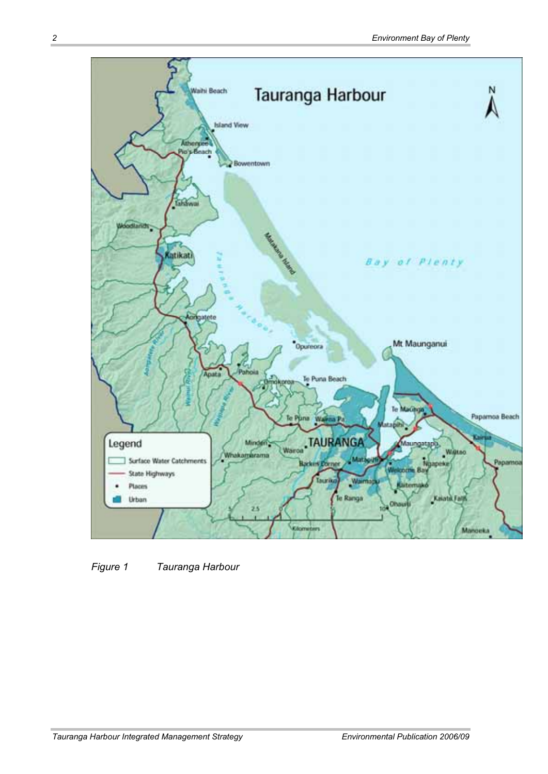

*Figure 1 Tauranga Harbour*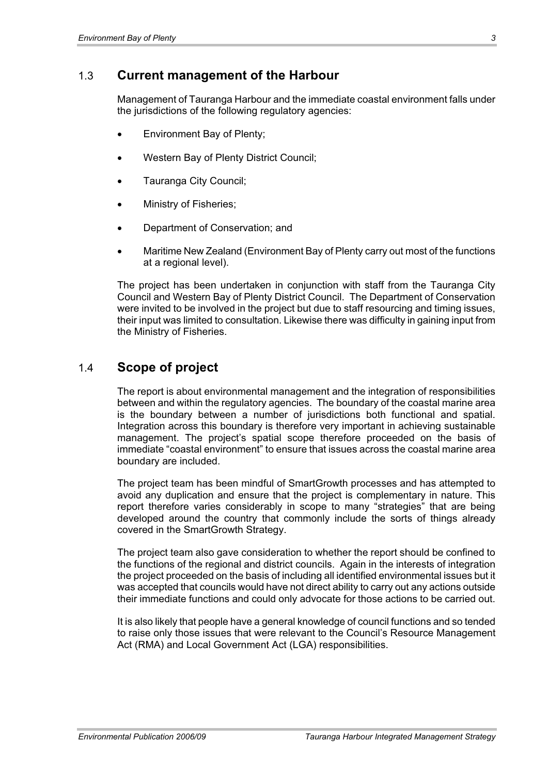#### 1.3 **Current management of the Harbour**

Management of Tauranga Harbour and the immediate coastal environment falls under the jurisdictions of the following regulatory agencies:

- Environment Bay of Plenty;
- Western Bay of Plenty District Council;
- Tauranga City Council;
- Ministry of Fisheries;
- Department of Conservation; and
- x Maritime New Zealand (Environment Bay of Plenty carry out most of the functions at a regional level).

The project has been undertaken in conjunction with staff from the Tauranga City Council and Western Bay of Plenty District Council. The Department of Conservation were invited to be involved in the project but due to staff resourcing and timing issues, their input was limited to consultation. Likewise there was difficulty in gaining input from the Ministry of Fisheries.

#### 1.4 **Scope of project**

The report is about environmental management and the integration of responsibilities between and within the regulatory agencies. The boundary of the coastal marine area is the boundary between a number of jurisdictions both functional and spatial. Integration across this boundary is therefore very important in achieving sustainable management. The project's spatial scope therefore proceeded on the basis of immediate "coastal environment" to ensure that issues across the coastal marine area boundary are included.

The project team has been mindful of SmartGrowth processes and has attempted to avoid any duplication and ensure that the project is complementary in nature. This report therefore varies considerably in scope to many "strategies" that are being developed around the country that commonly include the sorts of things already covered in the SmartGrowth Strategy.

The project team also gave consideration to whether the report should be confined to the functions of the regional and district councils. Again in the interests of integration the project proceeded on the basis of including all identified environmental issues but it was accepted that councils would have not direct ability to carry out any actions outside their immediate functions and could only advocate for those actions to be carried out.

It is also likely that people have a general knowledge of council functions and so tended to raise only those issues that were relevant to the Council's Resource Management Act (RMA) and Local Government Act (LGA) responsibilities.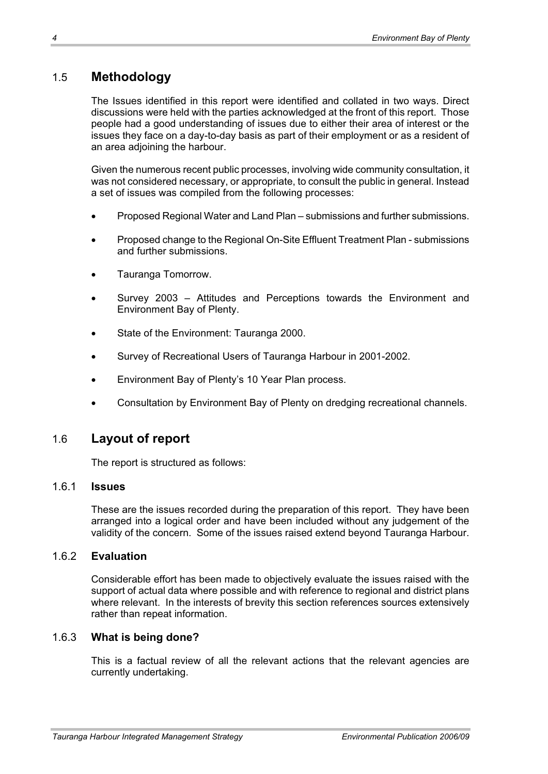# 1.5 **Methodology**

The Issues identified in this report were identified and collated in two ways. Direct discussions were held with the parties acknowledged at the front of this report. Those people had a good understanding of issues due to either their area of interest or the issues they face on a day-to-day basis as part of their employment or as a resident of an area adjoining the harbour.

Given the numerous recent public processes, involving wide community consultation, it was not considered necessary, or appropriate, to consult the public in general. Instead a set of issues was compiled from the following processes:

- x Proposed Regional Water and Land Plan submissions and further submissions.
- x Proposed change to the Regional On-Site Effluent Treatment Plan submissions and further submissions.
- Tauranga Tomorrow.
- Survey 2003 Attitudes and Perceptions towards the Environment and Environment Bay of Plenty.
- State of the Environment: Tauranga 2000.
- Survey of Recreational Users of Tauranga Harbour in 2001-2002.
- Environment Bay of Plenty's 10 Year Plan process.
- Consultation by Environment Bay of Plenty on dredging recreational channels.

#### 1.6 **Layout of report**

The report is structured as follows:

#### 1.6.1 **Issues**

These are the issues recorded during the preparation of this report. They have been arranged into a logical order and have been included without any judgement of the validity of the concern. Some of the issues raised extend beyond Tauranga Harbour.

#### 1.6.2 **Evaluation**

Considerable effort has been made to objectively evaluate the issues raised with the support of actual data where possible and with reference to regional and district plans where relevant. In the interests of brevity this section references sources extensively rather than repeat information.

#### 1.6.3 **What is being done?**

This is a factual review of all the relevant actions that the relevant agencies are currently undertaking.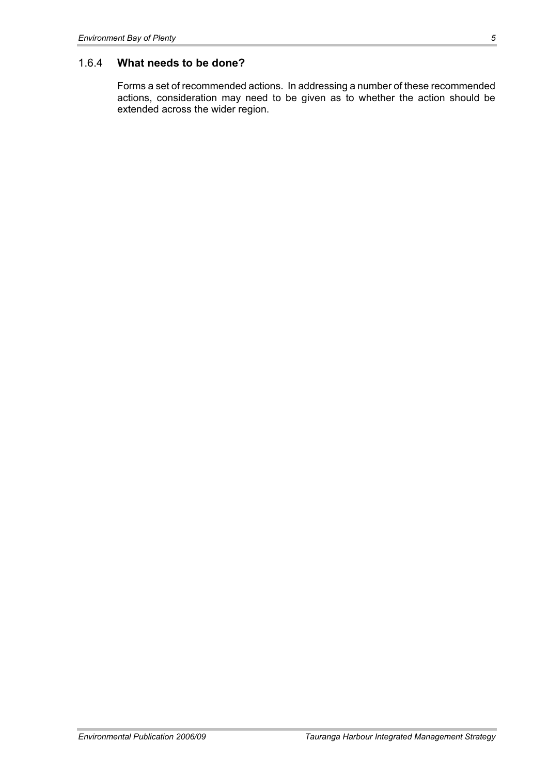#### 1.6.4 **What needs to be done?**

Forms a set of recommended actions. In addressing a number of these recommended actions, consideration may need to be given as to whether the action should be extended across the wider region.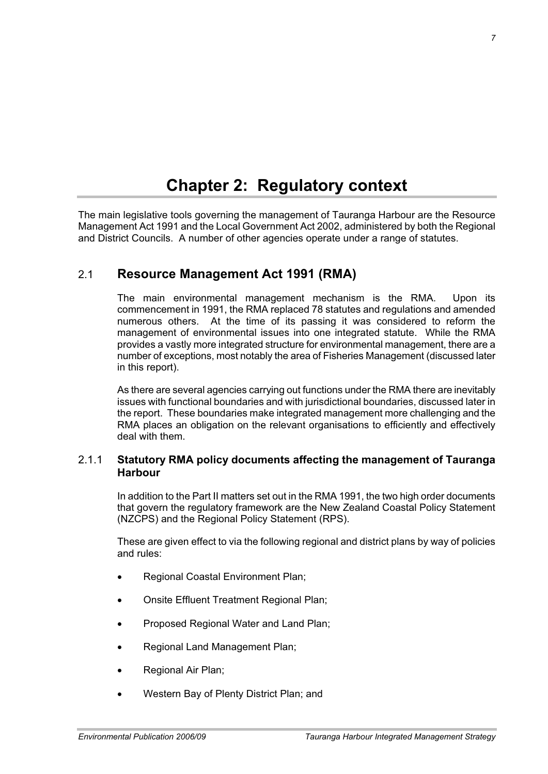# **Chapter 2: Regulatory context**

The main legislative tools governing the management of Tauranga Harbour are the Resource Management Act 1991 and the Local Government Act 2002, administered by both the Regional and District Councils. A number of other agencies operate under a range of statutes.

## 2.1 **Resource Management Act 1991 (RMA)**

The main environmental management mechanism is the RMA. Upon its commencement in 1991, the RMA replaced 78 statutes and regulations and amended numerous others. At the time of its passing it was considered to reform the management of environmental issues into one integrated statute. While the RMA provides a vastly more integrated structure for environmental management, there are a number of exceptions, most notably the area of Fisheries Management (discussed later in this report).

As there are several agencies carrying out functions under the RMA there are inevitably issues with functional boundaries and with jurisdictional boundaries, discussed later in the report. These boundaries make integrated management more challenging and the RMA places an obligation on the relevant organisations to efficiently and effectively deal with them.

#### 2.1.1 **Statutory RMA policy documents affecting the management of Tauranga Harbour**

In addition to the Part II matters set out in the RMA 1991, the two high order documents that govern the regulatory framework are the New Zealand Coastal Policy Statement (NZCPS) and the Regional Policy Statement (RPS).

These are given effect to via the following regional and district plans by way of policies and rules:

- Regional Coastal Environment Plan;
- **Onsite Effluent Treatment Regional Plan;**
- Proposed Regional Water and Land Plan;
- Regional Land Management Plan;
- Regional Air Plan;
- Western Bay of Plenty District Plan; and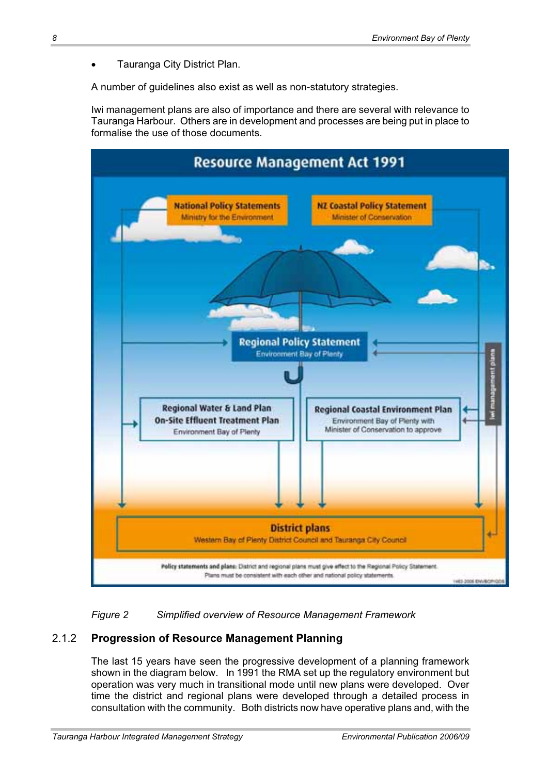Tauranga City District Plan.

A number of guidelines also exist as well as non-statutory strategies.

Iwi management plans are also of importance and there are several with relevance to Tauranga Harbour. Others are in development and processes are being put in place to formalise the use of those documents.



*Figure 2 Simplified overview of Resource Management Framework* 

#### 2.1.2 **Progression of Resource Management Planning**

The last 15 years have seen the progressive development of a planning framework shown in the diagram below. In 1991 the RMA set up the regulatory environment but operation was very much in transitional mode until new plans were developed. Over time the district and regional plans were developed through a detailed process in consultation with the community. Both districts now have operative plans and, with the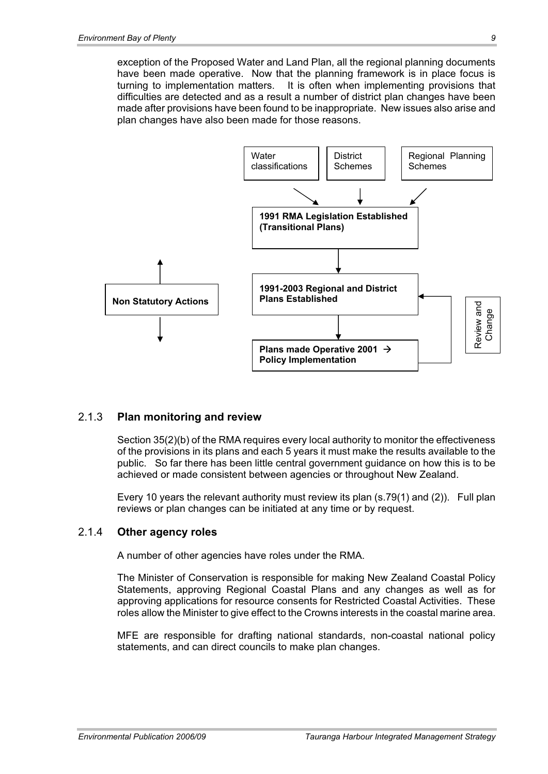exception of the Proposed Water and Land Plan, all the regional planning documents have been made operative. Now that the planning framework is in place focus is turning to implementation matters. It is often when implementing provisions that difficulties are detected and as a result a number of district plan changes have been made after provisions have been found to be inappropriate. New issues also arise and plan changes have also been made for those reasons.



#### 2.1.3 **Plan monitoring and review**

Section 35(2)(b) of the RMA requires every local authority to monitor the effectiveness of the provisions in its plans and each 5 years it must make the results available to the public. So far there has been little central government guidance on how this is to be achieved or made consistent between agencies or throughout New Zealand.

Every 10 years the relevant authority must review its plan (s.79(1) and (2)). Full plan reviews or plan changes can be initiated at any time or by request.

#### 2.1.4 **Other agency roles**

A number of other agencies have roles under the RMA.

The Minister of Conservation is responsible for making New Zealand Coastal Policy Statements, approving Regional Coastal Plans and any changes as well as for approving applications for resource consents for Restricted Coastal Activities. These roles allow the Minister to give effect to the Crowns interests in the coastal marine area.

MFE are responsible for drafting national standards, non-coastal national policy statements, and can direct councils to make plan changes.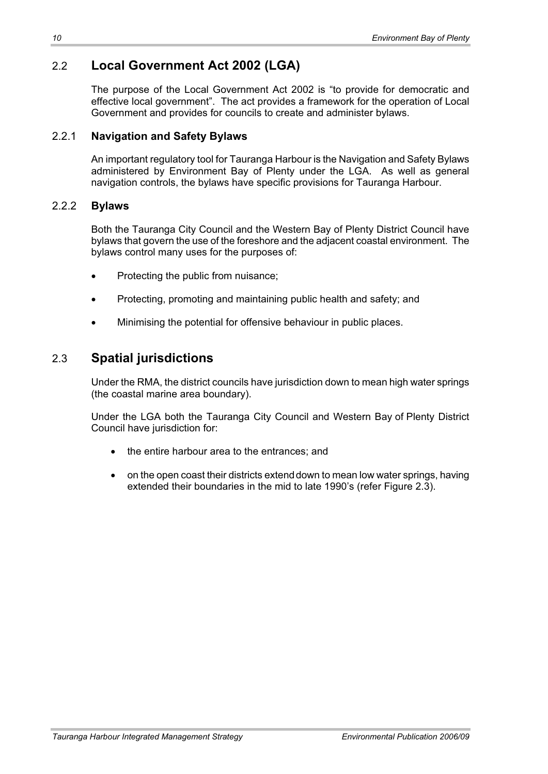# 2.2 **Local Government Act 2002 (LGA)**

The purpose of the Local Government Act 2002 is "to provide for democratic and effective local government". The act provides a framework for the operation of Local Government and provides for councils to create and administer bylaws.

#### 2.2.1 **Navigation and Safety Bylaws**

An important regulatory tool for Tauranga Harbour is the Navigation and Safety Bylaws administered by Environment Bay of Plenty under the LGA. As well as general navigation controls, the bylaws have specific provisions for Tauranga Harbour.

#### 2.2.2 **Bylaws**

Both the Tauranga City Council and the Western Bay of Plenty District Council have bylaws that govern the use of the foreshore and the adjacent coastal environment. The bylaws control many uses for the purposes of:

- Protecting the public from nuisance:
- Protecting, promoting and maintaining public health and safety; and
- Minimising the potential for offensive behaviour in public places.

# 2.3 **Spatial jurisdictions**

Under the RMA, the district councils have jurisdiction down to mean high water springs (the coastal marine area boundary).

Under the LGA both the Tauranga City Council and Western Bay of Plenty District Council have jurisdiction for:

- $\bullet$  the entire harbour area to the entrances; and
- on the open coast their districts extend down to mean low water springs, having extended their boundaries in the mid to late 1990's (refer Figure 2.3).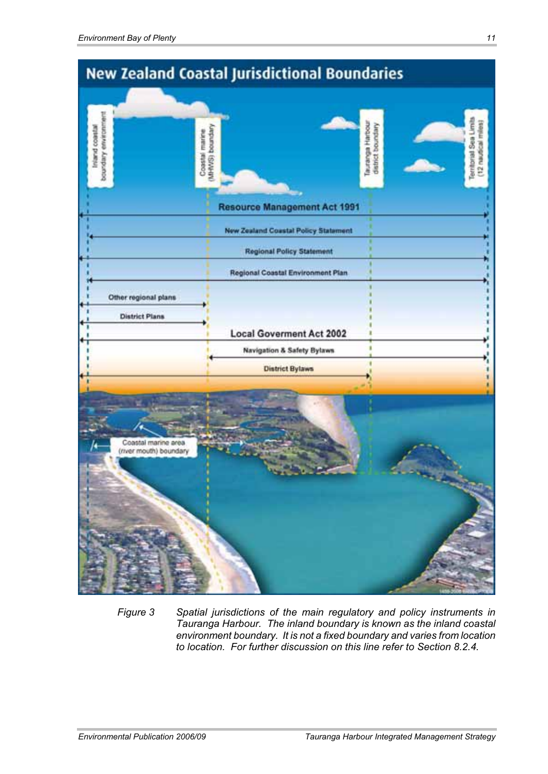

*Figure 3 Spatial jurisdictions of the main regulatory and policy instruments in Tauranga Harbour. The inland boundary is known as the inland coastal environment boundary. It is not a fixed boundary and varies from location to location. For further discussion on this line refer to Section 8.2.4.*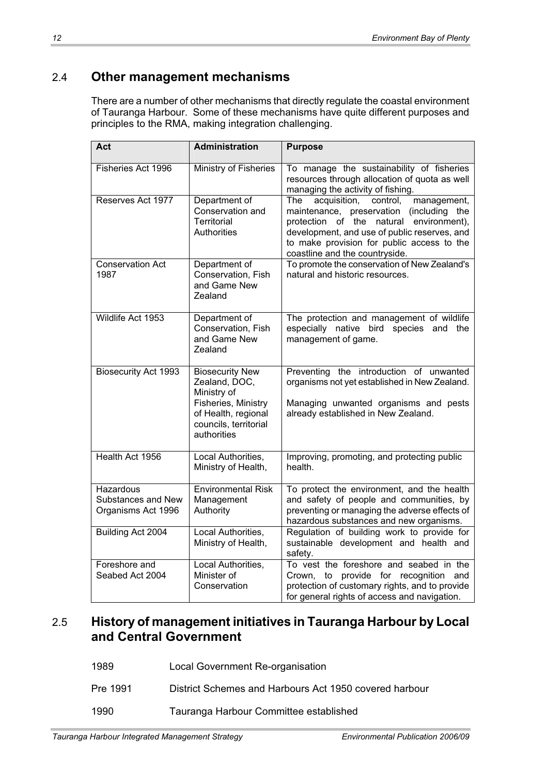# 2.4 **Other management mechanisms**

There are a number of other mechanisms that directly regulate the coastal environment of Tauranga Harbour. Some of these mechanisms have quite different purposes and principles to the RMA, making integration challenging.

| Act                                                   | <b>Administration</b>                                                                                                                        | <b>Purpose</b>                                                                                                                                                                                                                                                        |
|-------------------------------------------------------|----------------------------------------------------------------------------------------------------------------------------------------------|-----------------------------------------------------------------------------------------------------------------------------------------------------------------------------------------------------------------------------------------------------------------------|
| Fisheries Act 1996                                    | Ministry of Fisheries                                                                                                                        | To manage the sustainability of fisheries<br>resources through allocation of quota as well<br>managing the activity of fishing.                                                                                                                                       |
| Reserves Act 1977                                     | Department of<br>Conservation and<br><b>Territorial</b><br>Authorities                                                                       | acquisition,<br>management,<br>The<br>control,<br>maintenance, preservation (including the<br>protection of the natural environment),<br>development, and use of public reserves, and<br>to make provision for public access to the<br>coastline and the countryside. |
| <b>Conservation Act</b><br>1987                       | Department of<br>Conservation, Fish<br>and Game New<br>Zealand                                                                               | To promote the conservation of New Zealand's<br>natural and historic resources.                                                                                                                                                                                       |
| Wildlife Act 1953                                     | Department of<br>Conservation, Fish<br>and Game New<br>Zealand                                                                               | The protection and management of wildlife<br>especially native bird species and the<br>management of game.                                                                                                                                                            |
| <b>Biosecurity Act 1993</b>                           | <b>Biosecurity New</b><br>Zealand, DOC,<br>Ministry of<br>Fisheries, Ministry<br>of Health, regional<br>councils, territorial<br>authorities | Preventing the introduction of unwanted<br>organisms not yet established in New Zealand.<br>Managing unwanted organisms and pests<br>already established in New Zealand.                                                                                              |
| Health Act 1956                                       | Local Authorities,<br>Ministry of Health,                                                                                                    | Improving, promoting, and protecting public<br>health.                                                                                                                                                                                                                |
| Hazardous<br>Substances and New<br>Organisms Act 1996 | <b>Environmental Risk</b><br>Management<br>Authority                                                                                         | To protect the environment, and the health<br>and safety of people and communities, by<br>preventing or managing the adverse effects of<br>hazardous substances and new organisms.                                                                                    |
| Building Act 2004                                     | Local Authorities,<br>Ministry of Health,                                                                                                    | Regulation of building work to provide for<br>sustainable development and health and<br>safety.                                                                                                                                                                       |
| Foreshore and<br>Seabed Act 2004                      | Local Authorities,<br>Minister of<br>Conservation                                                                                            | To vest the foreshore and seabed in the<br>Crown, to provide for recognition and<br>protection of customary rights, and to provide<br>for general rights of access and navigation.                                                                                    |

# 2.5 **History of management initiatives in Tauranga Harbour by Local and Central Government**

- 1989 Local Government Re-organisation
- Pre 1991 District Schemes and Harbours Act 1950 covered harbour
- 1990 Tauranga Harbour Committee established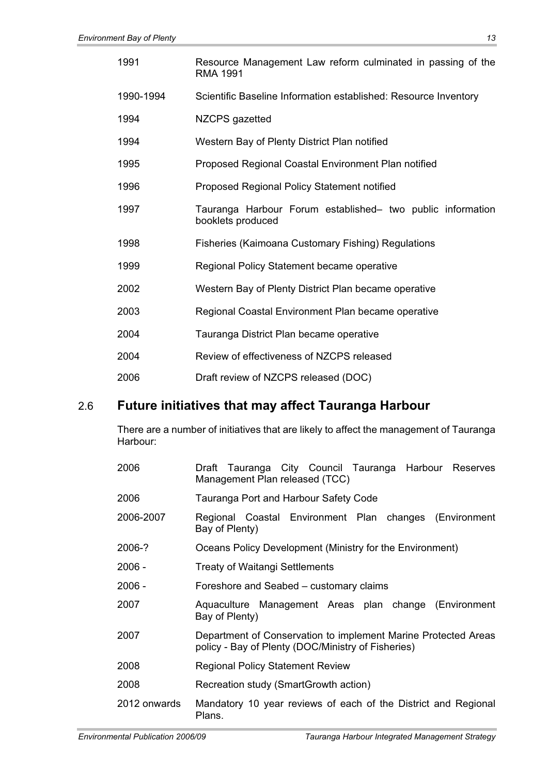| 1991      | Resource Management Law reform culminated in passing of the<br><b>RMA 1991</b>  |
|-----------|---------------------------------------------------------------------------------|
| 1990-1994 | Scientific Baseline Information established: Resource Inventory                 |
| 1994      | NZCPS gazetted                                                                  |
| 1994      | Western Bay of Plenty District Plan notified                                    |
| 1995      | Proposed Regional Coastal Environment Plan notified                             |
| 1996      | Proposed Regional Policy Statement notified                                     |
| 1997      | Tauranga Harbour Forum established- two public information<br>booklets produced |
| 1998      | <b>Fisheries (Kaimoana Customary Fishing) Regulations</b>                       |
| 1999      | Regional Policy Statement became operative                                      |
| 2002      | Western Bay of Plenty District Plan became operative                            |
| 2003      | Regional Coastal Environment Plan became operative                              |
| 2004      | Tauranga District Plan became operative                                         |
| 2004      | Review of effectiveness of NZCPS released                                       |
| 2006      | Draft review of NZCPS released (DOC)                                            |

# 2.6 **Future initiatives that may affect Tauranga Harbour**

There are a number of initiatives that are likely to affect the management of Tauranga Harbour:

| 2006         | Draft Tauranga City Council Tauranga Harbour Reserves<br>Management Plan released (TCC)                              |
|--------------|----------------------------------------------------------------------------------------------------------------------|
| 2006         | Tauranga Port and Harbour Safety Code                                                                                |
| 2006-2007    | Regional Coastal Environment Plan changes (Environment<br>Bay of Plenty)                                             |
| 2006-?       | Oceans Policy Development (Ministry for the Environment)                                                             |
| $2006 -$     | <b>Treaty of Waitangi Settlements</b>                                                                                |
| $2006 -$     | Foreshore and Seabed – customary claims                                                                              |
| 2007         | Aquaculture Management Areas plan change (Environment<br>Bay of Plenty)                                              |
| 2007         | Department of Conservation to implement Marine Protected Areas<br>policy - Bay of Plenty (DOC/Ministry of Fisheries) |
| 2008         | <b>Regional Policy Statement Review</b>                                                                              |
| 2008         | Recreation study (SmartGrowth action)                                                                                |
| 2012 onwards | Mandatory 10 year reviews of each of the District and Regional<br>Plans.                                             |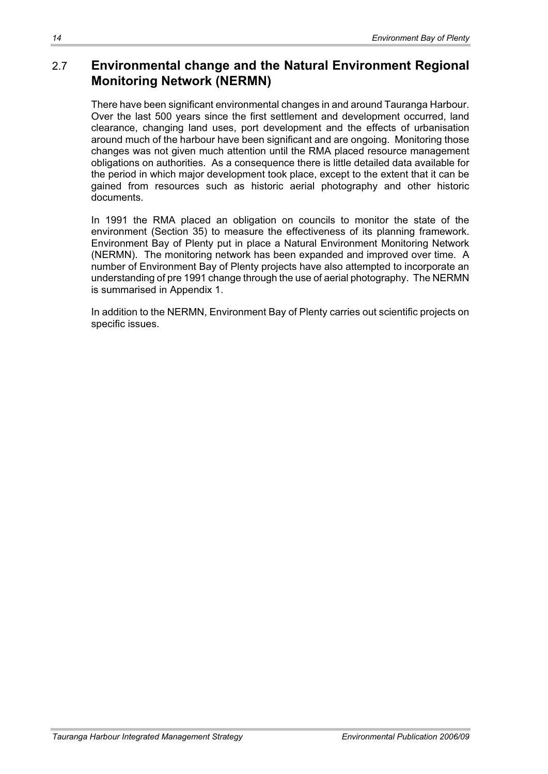# 2.7 **Environmental change and the Natural Environment Regional Monitoring Network (NERMN)**

There have been significant environmental changes in and around Tauranga Harbour. Over the last 500 years since the first settlement and development occurred, land clearance, changing land uses, port development and the effects of urbanisation around much of the harbour have been significant and are ongoing. Monitoring those changes was not given much attention until the RMA placed resource management obligations on authorities. As a consequence there is little detailed data available for the period in which major development took place, except to the extent that it can be gained from resources such as historic aerial photography and other historic documents.

In 1991 the RMA placed an obligation on councils to monitor the state of the environment (Section 35) to measure the effectiveness of its planning framework. Environment Bay of Plenty put in place a Natural Environment Monitoring Network (NERMN). The monitoring network has been expanded and improved over time. A number of Environment Bay of Plenty projects have also attempted to incorporate an understanding of pre 1991 change through the use of aerial photography. The NERMN is summarised in Appendix 1.

In addition to the NERMN, Environment Bay of Plenty carries out scientific projects on specific issues.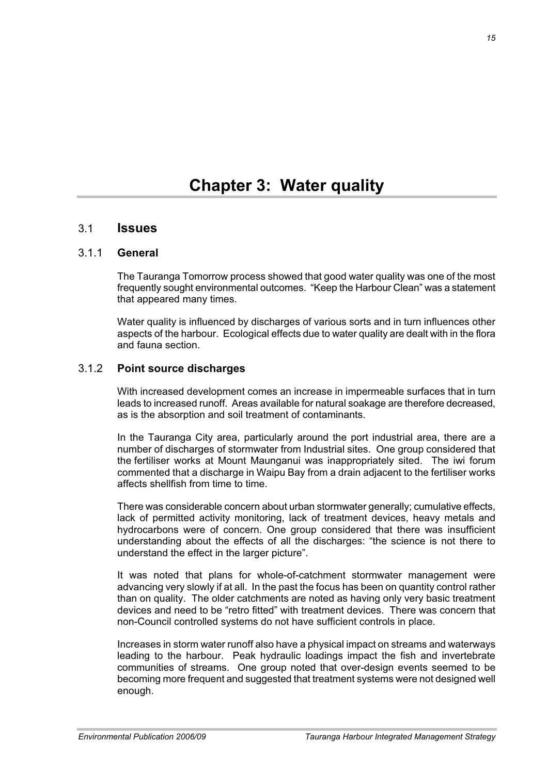#### 3.1 **Issues**

#### 3.1.1 **General**

The Tauranga Tomorrow process showed that good water quality was one of the most frequently sought environmental outcomes. "Keep the Harbour Clean" was a statement that appeared many times.

Water quality is influenced by discharges of various sorts and in turn influences other aspects of the harbour. Ecological effects due to water quality are dealt with in the flora and fauna section.

#### 3.1.2 **Point source discharges**

With increased development comes an increase in impermeable surfaces that in turn leads to increased runoff. Areas available for natural soakage are therefore decreased, as is the absorption and soil treatment of contaminants.

In the Tauranga City area, particularly around the port industrial area, there are a number of discharges of stormwater from Industrial sites. One group considered that the fertiliser works at Mount Maunganui was inappropriately sited. The iwi forum commented that a discharge in Waipu Bay from a drain adjacent to the fertiliser works affects shellfish from time to time.

There was considerable concern about urban stormwater generally; cumulative effects, lack of permitted activity monitoring, lack of treatment devices, heavy metals and hydrocarbons were of concern. One group considered that there was insufficient understanding about the effects of all the discharges: "the science is not there to understand the effect in the larger picture".

It was noted that plans for whole-of-catchment stormwater management were advancing very slowly if at all. In the past the focus has been on quantity control rather than on quality. The older catchments are noted as having only very basic treatment devices and need to be "retro fitted" with treatment devices. There was concern that non-Council controlled systems do not have sufficient controls in place.

Increases in storm water runoff also have a physical impact on streams and waterways leading to the harbour. Peak hydraulic loadings impact the fish and invertebrate communities of streams. One group noted that over-design events seemed to be becoming more frequent and suggested that treatment systems were not designed well enough.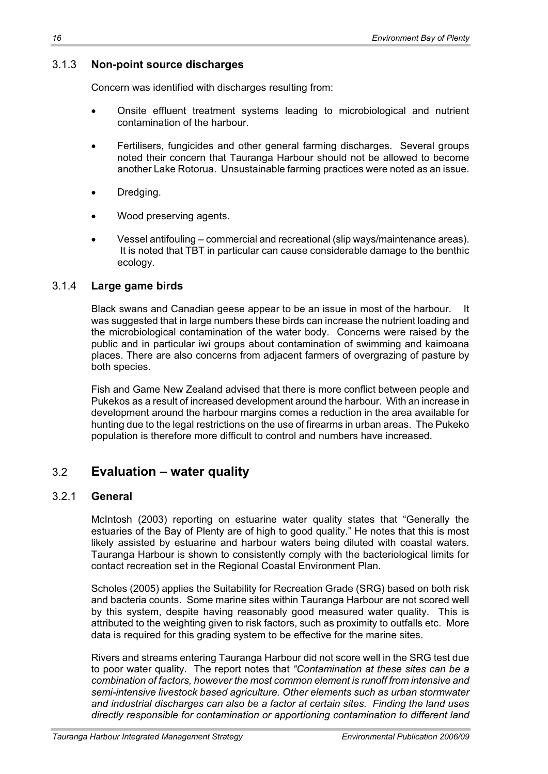#### 3.1.3 **Non-point source discharges**

Concern was identified with discharges resulting from:

- x Onsite effluent treatment systems leading to microbiological and nutrient contamination of the harbour.
- Fertilisers, fungicides and other general farming discharges. Several groups noted their concern that Tauranga Harbour should not be allowed to become another Lake Rotorua. Unsustainable farming practices were noted as an issue.
- Dredging.
- Wood preserving agents.
- x Vessel antifouling commercial and recreational (slip ways/maintenance areas). It is noted that TBT in particular can cause considerable damage to the benthic ecology.

#### 3.1.4 **Large game birds**

Black swans and Canadian geese appear to be an issue in most of the harbour. was suggested that in large numbers these birds can increase the nutrient loading and the microbiological contamination of the water body. Concerns were raised by the public and in particular iwi groups about contamination of swimming and kaimoana places. There are also concerns from adjacent farmers of overgrazing of pasture by both species.

Fish and Game New Zealand advised that there is more conflict between people and Pukekos as a result of increased development around the harbour. With an increase in development around the harbour margins comes a reduction in the area available for hunting due to the legal restrictions on the use of firearms in urban areas. The Pukeko population is therefore more difficult to control and numbers have increased.

### 3.2 **Evaluation – water quality**

#### 3.2.1 **General**

McIntosh (2003) reporting on estuarine water quality states that "Generally the estuaries of the Bay of Plenty are of high to good quality." He notes that this is most likely assisted by estuarine and harbour waters being diluted with coastal waters. Tauranga Harbour is shown to consistently comply with the bacteriological limits for contact recreation set in the Regional Coastal Environment Plan.

Scholes (2005) applies the Suitability for Recreation Grade (SRG) based on both risk and bacteria counts. Some marine sites within Tauranga Harbour are not scored well by this system, despite having reasonably good measured water quality. This is attributed to the weighting given to risk factors, such as proximity to outfalls etc. More data is required for this grading system to be effective for the marine sites.

Rivers and streams entering Tauranga Harbour did not score well in the SRG test due to poor water quality. The report notes that *"Contamination at these sites can be a combination of factors, however the most common element is runoff from intensive and semi-intensive livestock based agriculture. Other elements such as urban stormwater and industrial discharges can also be a factor at certain sites. Finding the land uses directly responsible for contamination or apportioning contamination to different land*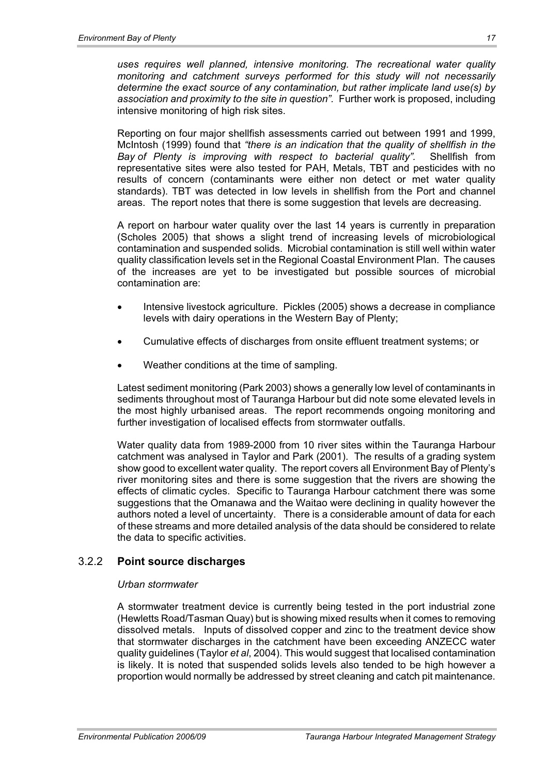*uses requires well planned, intensive monitoring. The recreational water quality monitoring and catchment surveys performed for this study will not necessarily determine the exact source of any contamination, but rather implicate land use(s) by association and proximity to the site in question".* Further work is proposed, including intensive monitoring of high risk sites.

Reporting on four major shellfish assessments carried out between 1991 and 1999, McIntosh (1999) found that *"there is an indication that the quality of shellfish in the Bay of Plenty is improving with respect to bacterial quality".* Shellfish from representative sites were also tested for PAH, Metals, TBT and pesticides with no results of concern (contaminants were either non detect or met water quality standards). TBT was detected in low levels in shellfish from the Port and channel areas. The report notes that there is some suggestion that levels are decreasing.

A report on harbour water quality over the last 14 years is currently in preparation (Scholes 2005) that shows a slight trend of increasing levels of microbiological contamination and suspended solids. Microbial contamination is still well within water quality classification levels set in the Regional Coastal Environment Plan. The causes of the increases are yet to be investigated but possible sources of microbial contamination are:

- Intensive livestock agriculture. Pickles (2005) shows a decrease in compliance levels with dairy operations in the Western Bay of Plenty;
- x Cumulative effects of discharges from onsite effluent treatment systems; or
- Weather conditions at the time of sampling.

Latest sediment monitoring (Park 2003) shows a generally low level of contaminants in sediments throughout most of Tauranga Harbour but did note some elevated levels in the most highly urbanised areas. The report recommends ongoing monitoring and further investigation of localised effects from stormwater outfalls.

Water quality data from 1989-2000 from 10 river sites within the Tauranga Harbour catchment was analysed in Taylor and Park (2001). The results of a grading system show good to excellent water quality. The report covers all Environment Bay of Plenty's river monitoring sites and there is some suggestion that the rivers are showing the effects of climatic cycles. Specific to Tauranga Harbour catchment there was some suggestions that the Omanawa and the Waitao were declining in quality however the authors noted a level of uncertainty. There is a considerable amount of data for each of these streams and more detailed analysis of the data should be considered to relate the data to specific activities.

#### 3.2.2 **Point source discharges**

#### *Urban stormwater*

A stormwater treatment device is currently being tested in the port industrial zone (Hewletts Road/Tasman Quay) but is showing mixed results when it comes to removing dissolved metals. Inputs of dissolved copper and zinc to the treatment device show that stormwater discharges in the catchment have been exceeding ANZECC water quality guidelines (Taylor *et al*, 2004). This would suggest that localised contamination is likely. It is noted that suspended solids levels also tended to be high however a proportion would normally be addressed by street cleaning and catch pit maintenance.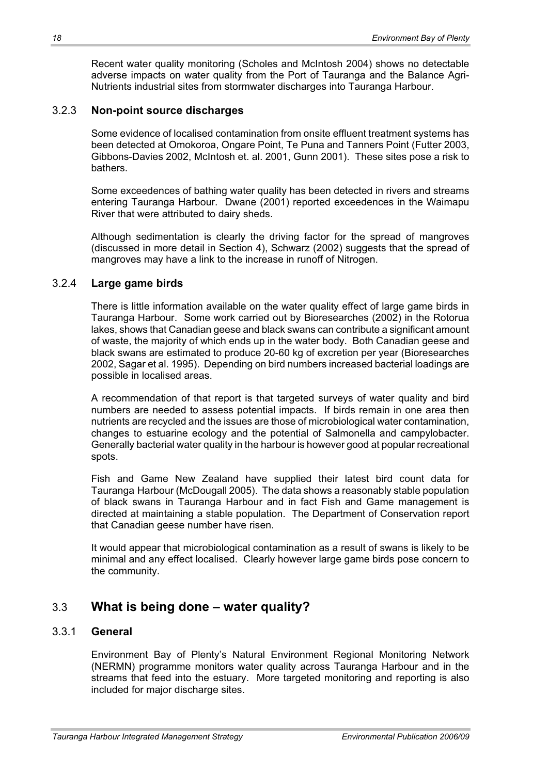Recent water quality monitoring (Scholes and McIntosh 2004) shows no detectable adverse impacts on water quality from the Port of Tauranga and the Balance Agri-Nutrients industrial sites from stormwater discharges into Tauranga Harbour.

#### 3.2.3 **Non-point source discharges**

Some evidence of localised contamination from onsite effluent treatment systems has been detected at Omokoroa, Ongare Point, Te Puna and Tanners Point (Futter 2003, Gibbons-Davies 2002, McIntosh et. al. 2001, Gunn 2001). These sites pose a risk to bathers.

Some exceedences of bathing water quality has been detected in rivers and streams entering Tauranga Harbour. Dwane (2001) reported exceedences in the Waimapu River that were attributed to dairy sheds.

Although sedimentation is clearly the driving factor for the spread of mangroves (discussed in more detail in Section 4), Schwarz (2002) suggests that the spread of mangroves may have a link to the increase in runoff of Nitrogen.

#### 3.2.4 **Large game birds**

There is little information available on the water quality effect of large game birds in Tauranga Harbour. Some work carried out by Bioresearches (2002) in the Rotorua lakes, shows that Canadian geese and black swans can contribute a significant amount of waste, the majority of which ends up in the water body. Both Canadian geese and black swans are estimated to produce 20-60 kg of excretion per year (Bioresearches 2002, Sagar et al. 1995). Depending on bird numbers increased bacterial loadings are possible in localised areas.

A recommendation of that report is that targeted surveys of water quality and bird numbers are needed to assess potential impacts. If birds remain in one area then nutrients are recycled and the issues are those of microbiological water contamination, changes to estuarine ecology and the potential of Salmonella and campylobacter. Generally bacterial water quality in the harbour is however good at popular recreational spots.

Fish and Game New Zealand have supplied their latest bird count data for Tauranga Harbour (McDougall 2005). The data shows a reasonably stable population of black swans in Tauranga Harbour and in fact Fish and Game management is directed at maintaining a stable population. The Department of Conservation report that Canadian geese number have risen.

It would appear that microbiological contamination as a result of swans is likely to be minimal and any effect localised. Clearly however large game birds pose concern to the community.

### 3.3 **What is being done – water quality?**

#### 3.3.1 **General**

Environment Bay of Plenty's Natural Environment Regional Monitoring Network (NERMN) programme monitors water quality across Tauranga Harbour and in the streams that feed into the estuary. More targeted monitoring and reporting is also included for major discharge sites.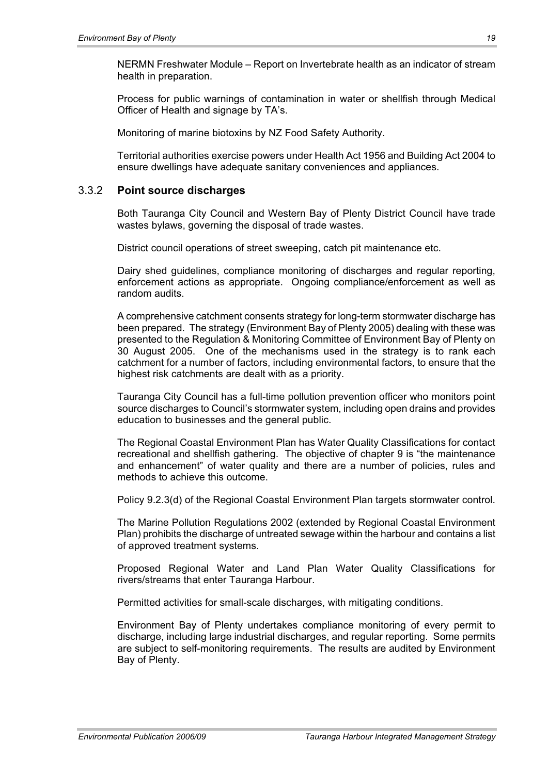NERMN Freshwater Module – Report on Invertebrate health as an indicator of stream health in preparation.

Process for public warnings of contamination in water or shellfish through Medical Officer of Health and signage by TA's.

Monitoring of marine biotoxins by NZ Food Safety Authority.

Territorial authorities exercise powers under Health Act 1956 and Building Act 2004 to ensure dwellings have adequate sanitary conveniences and appliances.

#### 3.3.2 **Point source discharges**

Both Tauranga City Council and Western Bay of Plenty District Council have trade wastes bylaws, governing the disposal of trade wastes.

District council operations of street sweeping, catch pit maintenance etc.

Dairy shed guidelines, compliance monitoring of discharges and regular reporting, enforcement actions as appropriate. Ongoing compliance/enforcement as well as random audits.

A comprehensive catchment consents strategy for long-term stormwater discharge has been prepared. The strategy (Environment Bay of Plenty 2005) dealing with these was presented to the Regulation & Monitoring Committee of Environment Bay of Plenty on 30 August 2005. One of the mechanisms used in the strategy is to rank each catchment for a number of factors, including environmental factors, to ensure that the highest risk catchments are dealt with as a priority.

Tauranga City Council has a full-time pollution prevention officer who monitors point source discharges to Council's stormwater system, including open drains and provides education to businesses and the general public.

The Regional Coastal Environment Plan has Water Quality Classifications for contact recreational and shellfish gathering. The objective of chapter 9 is "the maintenance and enhancement" of water quality and there are a number of policies, rules and methods to achieve this outcome.

Policy 9.2.3(d) of the Regional Coastal Environment Plan targets stormwater control.

The Marine Pollution Regulations 2002 (extended by Regional Coastal Environment Plan) prohibits the discharge of untreated sewage within the harbour and contains a list of approved treatment systems.

Proposed Regional Water and Land Plan Water Quality Classifications for rivers/streams that enter Tauranga Harbour.

Permitted activities for small-scale discharges, with mitigating conditions.

Environment Bay of Plenty undertakes compliance monitoring of every permit to discharge, including large industrial discharges, and regular reporting. Some permits are subject to self-monitoring requirements. The results are audited by Environment Bay of Plenty.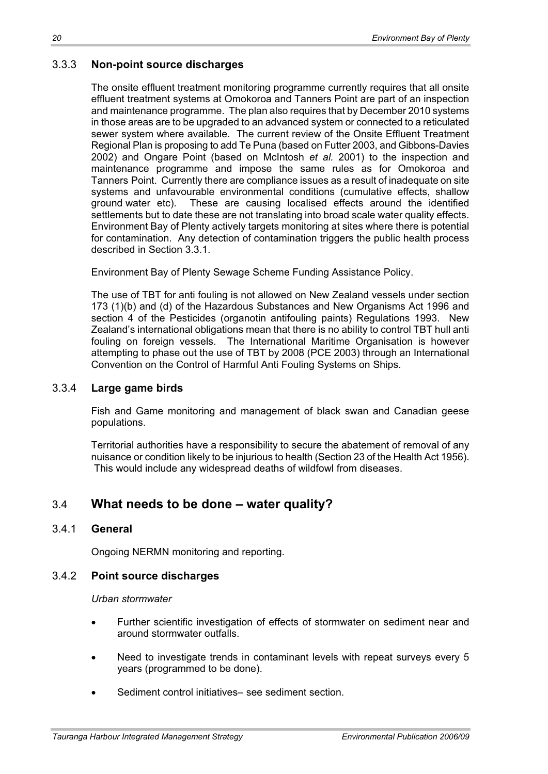#### 3.3.3 **Non-point source discharges**

The onsite effluent treatment monitoring programme currently requires that all onsite effluent treatment systems at Omokoroa and Tanners Point are part of an inspection and maintenance programme. The plan also requires that by December 2010 systems in those areas are to be upgraded to an advanced system or connected to a reticulated sewer system where available. The current review of the Onsite Effluent Treatment Regional Plan is proposing to add Te Puna (based on Futter 2003, and Gibbons-Davies 2002) and Ongare Point (based on McIntosh *et al.* 2001) to the inspection and maintenance programme and impose the same rules as for Omokoroa and Tanners Point. Currently there are compliance issues as a result of inadequate on site systems and unfavourable environmental conditions (cumulative effects, shallow ground water etc). These are causing localised effects around the identified settlements but to date these are not translating into broad scale water quality effects. Environment Bay of Plenty actively targets monitoring at sites where there is potential for contamination. Any detection of contamination triggers the public health process described in Section 3.3.1.

Environment Bay of Plenty Sewage Scheme Funding Assistance Policy.

The use of TBT for anti fouling is not allowed on New Zealand vessels under section 173 (1)(b) and (d) of the Hazardous Substances and New Organisms Act 1996 and section 4 of the Pesticides (organotin antifouling paints) Regulations 1993. New Zealand's international obligations mean that there is no ability to control TBT hull anti fouling on foreign vessels. The International Maritime Organisation is however attempting to phase out the use of TBT by 2008 (PCE 2003) through an International Convention on the Control of Harmful Anti Fouling Systems on Ships.

#### 3.3.4 **Large game birds**

Fish and Game monitoring and management of black swan and Canadian geese populations.

Territorial authorities have a responsibility to secure the abatement of removal of any nuisance or condition likely to be injurious to health (Section 23 of the Health Act 1956). This would include any widespread deaths of wildfowl from diseases.

### 3.4 **What needs to be done – water quality?**

#### 3.4.1 **General**

Ongoing NERMN monitoring and reporting.

#### 3.4.2 **Point source discharges**

*Urban stormwater* 

- Further scientific investigation of effects of stormwater on sediment near and around stormwater outfalls.
- Need to investigate trends in contaminant levels with repeat surveys every 5 years (programmed to be done).
- Sediment control initiatives– see sediment section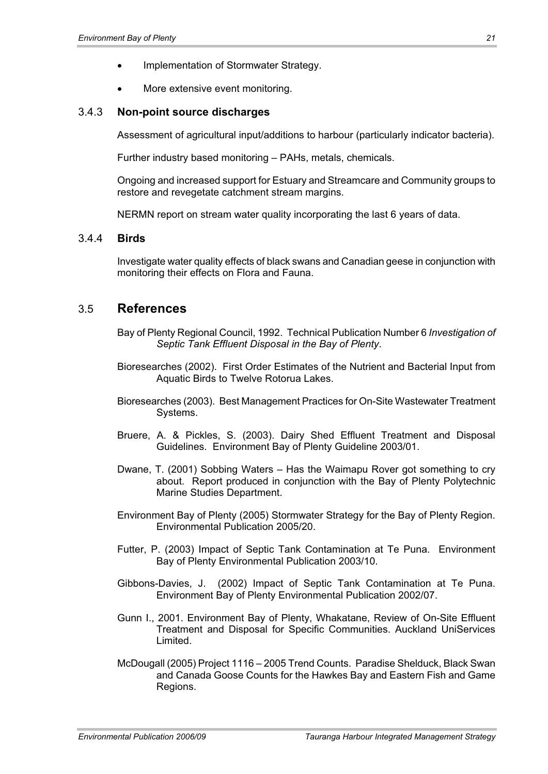- Implementation of Stormwater Strategy.
- More extensive event monitoring.

#### 3.4.3 **Non-point source discharges**

Assessment of agricultural input/additions to harbour (particularly indicator bacteria).

Further industry based monitoring – PAHs, metals, chemicals.

Ongoing and increased support for Estuary and Streamcare and Community groups to restore and revegetate catchment stream margins.

NERMN report on stream water quality incorporating the last 6 years of data.

#### 3.4.4 **Birds**

Investigate water quality effects of black swans and Canadian geese in conjunction with monitoring their effects on Flora and Fauna.

#### 3.5 **References**

- Bay of Plenty Regional Council, 1992. Technical Publication Number 6 *Investigation of Septic Tank Effluent Disposal in the Bay of Plenty*.
- Bioresearches (2002). First Order Estimates of the Nutrient and Bacterial Input from Aquatic Birds to Twelve Rotorua Lakes.
- Bioresearches (2003). Best Management Practices for On-Site Wastewater Treatment Systems.
- Bruere, A. & Pickles, S. (2003). Dairy Shed Effluent Treatment and Disposal Guidelines. Environment Bay of Plenty Guideline 2003/01.
- Dwane, T. (2001) Sobbing Waters Has the Waimapu Rover got something to cry about. Report produced in conjunction with the Bay of Plenty Polytechnic Marine Studies Department.
- Environment Bay of Plenty (2005) Stormwater Strategy for the Bay of Plenty Region. Environmental Publication 2005/20.
- Futter, P. (2003) Impact of Septic Tank Contamination at Te Puna. Environment Bay of Plenty Environmental Publication 2003/10.
- Gibbons-Davies, J. (2002) Impact of Septic Tank Contamination at Te Puna. Environment Bay of Plenty Environmental Publication 2002/07.
- Gunn I., 2001. Environment Bay of Plenty, Whakatane, Review of On-Site Effluent Treatment and Disposal for Specific Communities. Auckland UniServices Limited.
- McDougall (2005) Project 1116 2005 Trend Counts. Paradise Shelduck, Black Swan and Canada Goose Counts for the Hawkes Bay and Eastern Fish and Game Regions.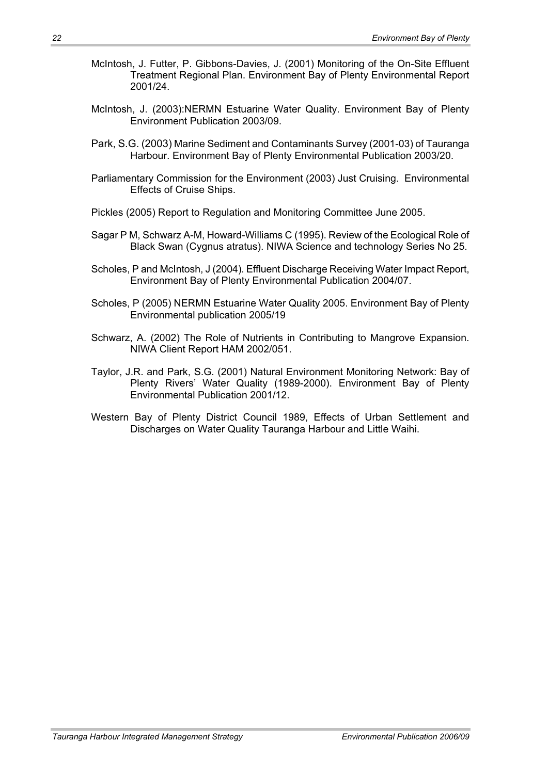- McIntosh, J. Futter, P. Gibbons-Davies, J. (2001) Monitoring of the On-Site Effluent Treatment Regional Plan. Environment Bay of Plenty Environmental Report 2001/24.
- McIntosh, J. (2003):NERMN Estuarine Water Quality. Environment Bay of Plenty Environment Publication 2003/09.
- Park, S.G. (2003) Marine Sediment and Contaminants Survey (2001-03) of Tauranga Harbour. Environment Bay of Plenty Environmental Publication 2003/20.
- Parliamentary Commission for the Environment (2003) Just Cruising. Environmental Effects of Cruise Ships.
- Pickles (2005) Report to Regulation and Monitoring Committee June 2005.
- Sagar P M, Schwarz A-M, Howard-Williams C (1995). Review of the Ecological Role of Black Swan (Cygnus atratus). NIWA Science and technology Series No 25.
- Scholes, P and McIntosh, J (2004). Effluent Discharge Receiving Water Impact Report, Environment Bay of Plenty Environmental Publication 2004/07.
- Scholes, P (2005) NERMN Estuarine Water Quality 2005. Environment Bay of Plenty Environmental publication 2005/19
- Schwarz, A. (2002) The Role of Nutrients in Contributing to Mangrove Expansion. NIWA Client Report HAM 2002/051.
- Taylor, J.R. and Park, S.G. (2001) Natural Environment Monitoring Network: Bay of Plenty Rivers' Water Quality (1989-2000). Environment Bay of Plenty Environmental Publication 2001/12.
- Western Bay of Plenty District Council 1989, Effects of Urban Settlement and Discharges on Water Quality Tauranga Harbour and Little Waihi.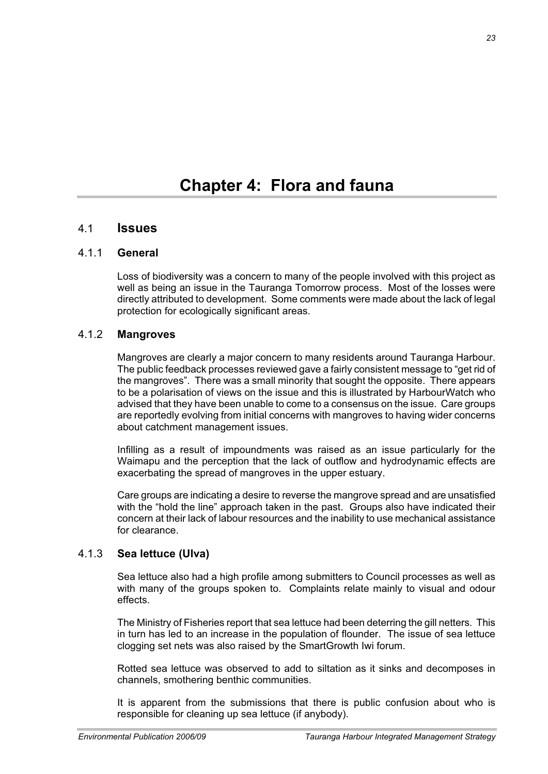#### 4.1 **Issues**

#### 4.1.1 **General**

Loss of biodiversity was a concern to many of the people involved with this project as well as being an issue in the Tauranga Tomorrow process. Most of the losses were directly attributed to development. Some comments were made about the lack of legal protection for ecologically significant areas.

#### 4.1.2 **Mangroves**

Mangroves are clearly a major concern to many residents around Tauranga Harbour. The public feedback processes reviewed gave a fairly consistent message to "get rid of the mangroves". There was a small minority that sought the opposite. There appears to be a polarisation of views on the issue and this is illustrated by HarbourWatch who advised that they have been unable to come to a consensus on the issue. Care groups are reportedly evolving from initial concerns with mangroves to having wider concerns about catchment management issues.

Infilling as a result of impoundments was raised as an issue particularly for the Waimapu and the perception that the lack of outflow and hydrodynamic effects are exacerbating the spread of mangroves in the upper estuary.

Care groups are indicating a desire to reverse the mangrove spread and are unsatisfied with the "hold the line" approach taken in the past. Groups also have indicated their concern at their lack of labour resources and the inability to use mechanical assistance for clearance.

#### 4.1.3 **Sea lettuce (Ulva)**

Sea lettuce also had a high profile among submitters to Council processes as well as with many of the groups spoken to. Complaints relate mainly to visual and odour effects.

The Ministry of Fisheries report that sea lettuce had been deterring the gill netters. This in turn has led to an increase in the population of flounder. The issue of sea lettuce clogging set nets was also raised by the SmartGrowth Iwi forum.

Rotted sea lettuce was observed to add to siltation as it sinks and decomposes in channels, smothering benthic communities.

It is apparent from the submissions that there is public confusion about who is responsible for cleaning up sea lettuce (if anybody).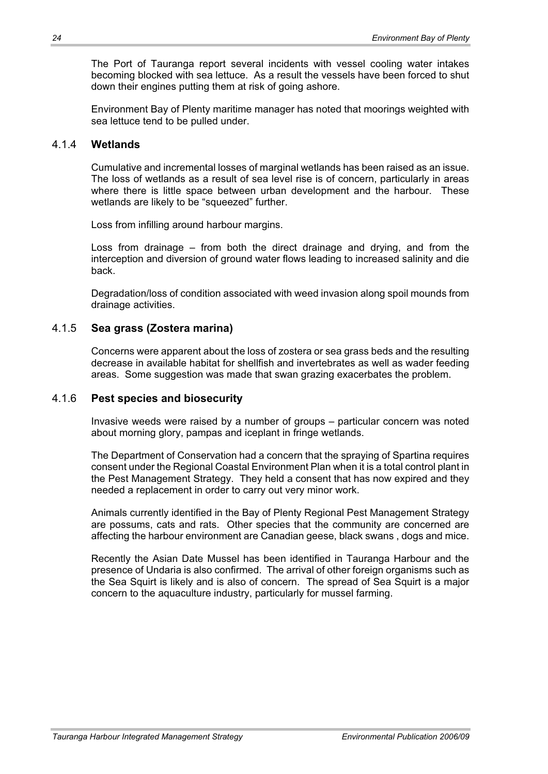The Port of Tauranga report several incidents with vessel cooling water intakes becoming blocked with sea lettuce. As a result the vessels have been forced to shut down their engines putting them at risk of going ashore.

Environment Bay of Plenty maritime manager has noted that moorings weighted with sea lettuce tend to be pulled under.

#### 4.1.4 **Wetlands**

Cumulative and incremental losses of marginal wetlands has been raised as an issue. The loss of wetlands as a result of sea level rise is of concern, particularly in areas where there is little space between urban development and the harbour. These wetlands are likely to be "squeezed" further.

Loss from infilling around harbour margins.

Loss from drainage – from both the direct drainage and drying, and from the interception and diversion of ground water flows leading to increased salinity and die back.

Degradation/loss of condition associated with weed invasion along spoil mounds from drainage activities.

#### 4.1.5 **Sea grass (Zostera marina)**

Concerns were apparent about the loss of zostera or sea grass beds and the resulting decrease in available habitat for shellfish and invertebrates as well as wader feeding areas. Some suggestion was made that swan grazing exacerbates the problem.

#### 4.1.6 **Pest species and biosecurity**

Invasive weeds were raised by a number of groups – particular concern was noted about morning glory, pampas and iceplant in fringe wetlands.

The Department of Conservation had a concern that the spraying of Spartina requires consent under the Regional Coastal Environment Plan when it is a total control plant in the Pest Management Strategy. They held a consent that has now expired and they needed a replacement in order to carry out very minor work.

Animals currently identified in the Bay of Plenty Regional Pest Management Strategy are possums, cats and rats. Other species that the community are concerned are affecting the harbour environment are Canadian geese, black swans , dogs and mice.

Recently the Asian Date Mussel has been identified in Tauranga Harbour and the presence of Undaria is also confirmed. The arrival of other foreign organisms such as the Sea Squirt is likely and is also of concern. The spread of Sea Squirt is a major concern to the aquaculture industry, particularly for mussel farming.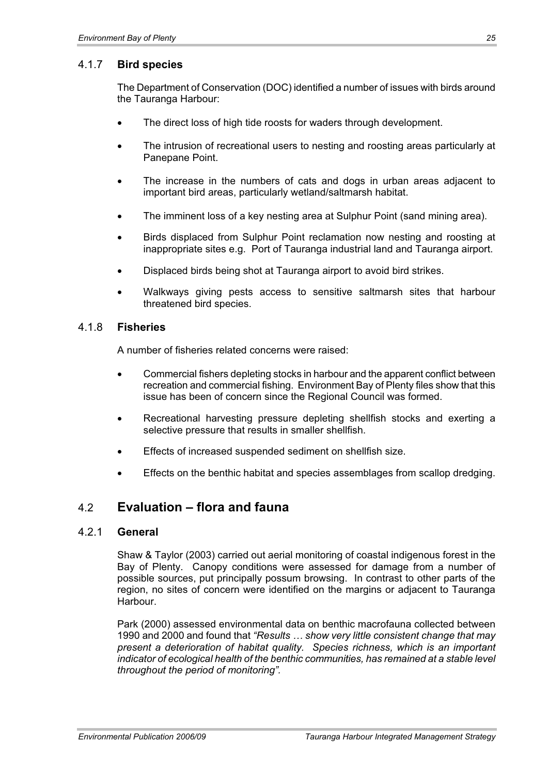#### 4.1.7 **Bird species**

The Department of Conservation (DOC) identified a number of issues with birds around the Tauranga Harbour:

- The direct loss of high tide roosts for waders through development.
- The intrusion of recreational users to nesting and roosting areas particularly at Panepane Point.
- The increase in the numbers of cats and dogs in urban areas adjacent to important bird areas, particularly wetland/saltmarsh habitat.
- The imminent loss of a key nesting area at Sulphur Point (sand mining area).
- Birds displaced from Sulphur Point reclamation now nesting and roosting at inappropriate sites e.g. Port of Tauranga industrial land and Tauranga airport.
- Displaced birds being shot at Tauranga airport to avoid bird strikes.
- x Walkways giving pests access to sensitive saltmarsh sites that harbour threatened bird species.

#### 4.1.8 **Fisheries**

A number of fisheries related concerns were raised:

- Commercial fishers depleting stocks in harbour and the apparent conflict between recreation and commercial fishing. Environment Bay of Plenty files show that this issue has been of concern since the Regional Council was formed.
- Recreational harvesting pressure depleting shellfish stocks and exerting a selective pressure that results in smaller shellfish.
- Effects of increased suspended sediment on shellfish size.
- Effects on the benthic habitat and species assemblages from scallop dredging.

#### 4.2 **Evaluation – flora and fauna**

#### 4.2.1 **General**

Shaw & Taylor (2003) carried out aerial monitoring of coastal indigenous forest in the Bay of Plenty. Canopy conditions were assessed for damage from a number of possible sources, put principally possum browsing. In contrast to other parts of the region, no sites of concern were identified on the margins or adjacent to Tauranga Harbour.

Park (2000) assessed environmental data on benthic macrofauna collected between 1990 and 2000 and found that *"Results … show very little consistent change that may present a deterioration of habitat quality. Species richness, which is an important indicator of ecological health of the benthic communities, has remained at a stable level throughout the period of monitoring".*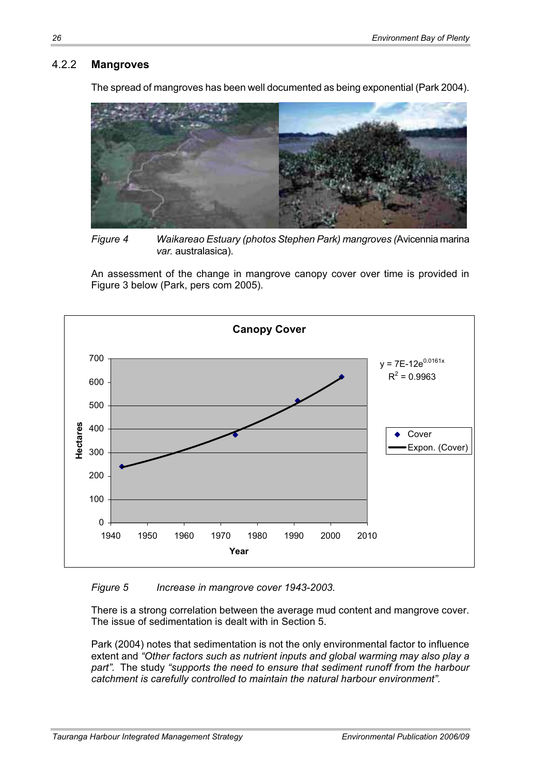#### 4.2.2 **Mangroves**

The spread of mangroves has been well documented as being exponential (Park 2004).



*Figure 4 Waikareao Estuary (photos Stephen Park) mangroves (*Avicennia marina *var.* australasica).

An assessment of the change in mangrove canopy cover over time is provided in Figure 3 below (Park, pers com 2005).



#### *Figure 5 Increase in mangrove cover 1943-2003.*

There is a strong correlation between the average mud content and mangrove cover. The issue of sedimentation is dealt with in Section 5.

Park (2004) notes that sedimentation is not the only environmental factor to influence extent and *"Other factors such as nutrient inputs and global warming may also play a part".* The study *"supports the need to ensure that sediment runoff from the harbour catchment is carefully controlled to maintain the natural harbour environment".*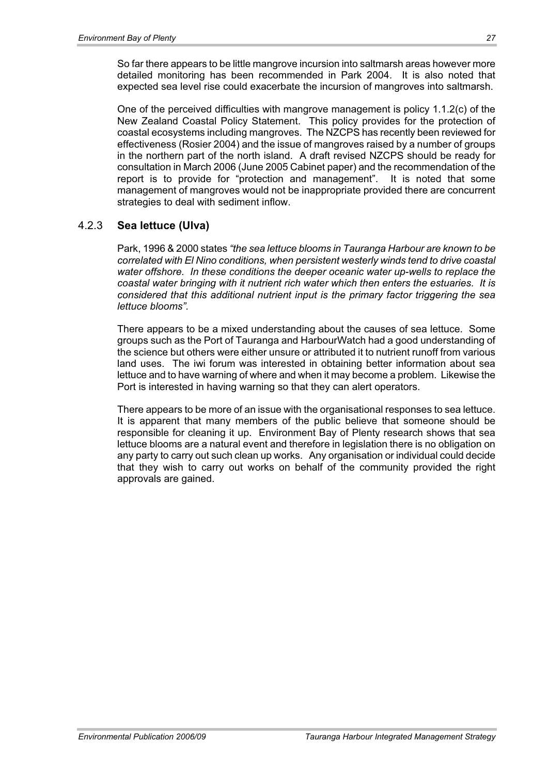So far there appears to be little mangrove incursion into saltmarsh areas however more detailed monitoring has been recommended in Park 2004. It is also noted that expected sea level rise could exacerbate the incursion of mangroves into saltmarsh.

One of the perceived difficulties with mangrove management is policy 1.1.2(c) of the New Zealand Coastal Policy Statement. This policy provides for the protection of coastal ecosystems including mangroves. The NZCPS has recently been reviewed for effectiveness (Rosier 2004) and the issue of mangroves raised by a number of groups in the northern part of the north island. A draft revised NZCPS should be ready for consultation in March 2006 (June 2005 Cabinet paper) and the recommendation of the report is to provide for "protection and management". It is noted that some management of mangroves would not be inappropriate provided there are concurrent strategies to deal with sediment inflow.

#### 4.2.3 **Sea lettuce (Ulva)**

Park, 1996 & 2000 states *"the sea lettuce blooms in Tauranga Harbour are known to be correlated with El Nino conditions, when persistent westerly winds tend to drive coastal water offshore. In these conditions the deeper oceanic water up-wells to replace the coastal water bringing with it nutrient rich water which then enters the estuaries. It is considered that this additional nutrient input is the primary factor triggering the sea lettuce blooms".*

There appears to be a mixed understanding about the causes of sea lettuce. Some groups such as the Port of Tauranga and HarbourWatch had a good understanding of the science but others were either unsure or attributed it to nutrient runoff from various land uses. The iwi forum was interested in obtaining better information about sea lettuce and to have warning of where and when it may become a problem. Likewise the Port is interested in having warning so that they can alert operators.

There appears to be more of an issue with the organisational responses to sea lettuce. It is apparent that many members of the public believe that someone should be responsible for cleaning it up. Environment Bay of Plenty research shows that sea lettuce blooms are a natural event and therefore in legislation there is no obligation on any party to carry out such clean up works. Any organisation or individual could decide that they wish to carry out works on behalf of the community provided the right approvals are gained.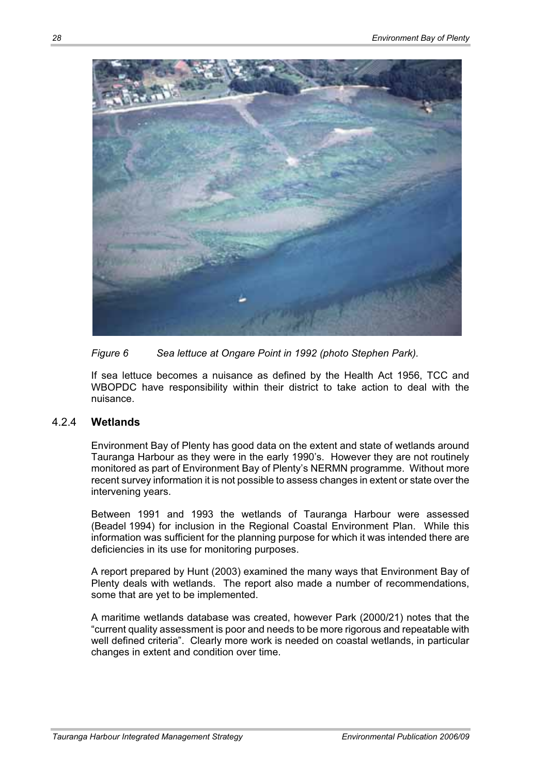

*Figure 6 Sea lettuce at Ongare Point in 1992 (photo Stephen Park).* 

If sea lettuce becomes a nuisance as defined by the Health Act 1956, TCC and WBOPDC have responsibility within their district to take action to deal with the nuisance.

## 4.2.4 **Wetlands**

Environment Bay of Plenty has good data on the extent and state of wetlands around Tauranga Harbour as they were in the early 1990's. However they are not routinely monitored as part of Environment Bay of Plenty's NERMN programme. Without more recent survey information it is not possible to assess changes in extent or state over the intervening years.

Between 1991 and 1993 the wetlands of Tauranga Harbour were assessed (Beadel 1994) for inclusion in the Regional Coastal Environment Plan. While this information was sufficient for the planning purpose for which it was intended there are deficiencies in its use for monitoring purposes.

A report prepared by Hunt (2003) examined the many ways that Environment Bay of Plenty deals with wetlands. The report also made a number of recommendations, some that are yet to be implemented.

A maritime wetlands database was created, however Park (2000/21) notes that the "current quality assessment is poor and needs to be more rigorous and repeatable with well defined criteria". Clearly more work is needed on coastal wetlands, in particular changes in extent and condition over time.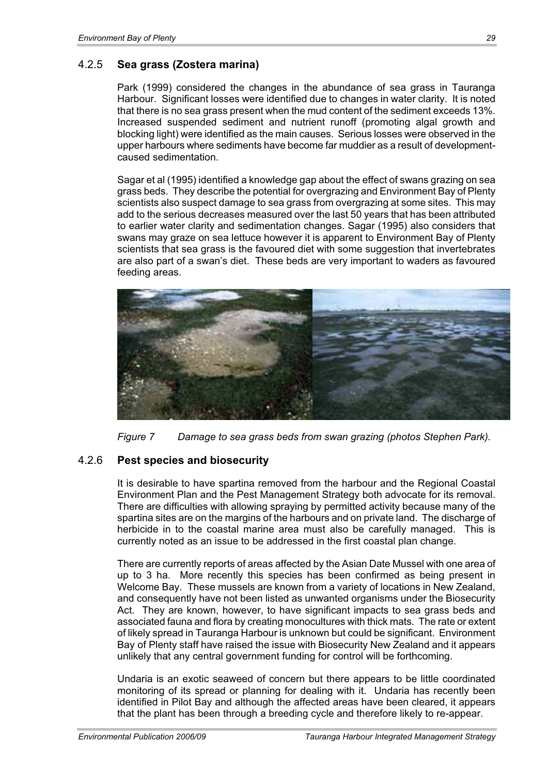## 4.2.5 **Sea grass (Zostera marina)**

Park (1999) considered the changes in the abundance of sea grass in Tauranga Harbour. Significant losses were identified due to changes in water clarity. It is noted that there is no sea grass present when the mud content of the sediment exceeds 13%. Increased suspended sediment and nutrient runoff (promoting algal growth and blocking light) were identified as the main causes. Serious losses were observed in the upper harbours where sediments have become far muddier as a result of developmentcaused sedimentation.

Sagar et al (1995) identified a knowledge gap about the effect of swans grazing on sea grass beds. They describe the potential for overgrazing and Environment Bay of Plenty scientists also suspect damage to sea grass from overgrazing at some sites. This may add to the serious decreases measured over the last 50 years that has been attributed to earlier water clarity and sedimentation changes. Sagar (1995) also considers that swans may graze on sea lettuce however it is apparent to Environment Bay of Plenty scientists that sea grass is the favoured diet with some suggestion that invertebrates are also part of a swan's diet. These beds are very important to waders as favoured feeding areas.



*Figure 7 Damage to sea grass beds from swan grazing (photos Stephen Park).* 

## 4.2.6 **Pest species and biosecurity**

It is desirable to have spartina removed from the harbour and the Regional Coastal Environment Plan and the Pest Management Strategy both advocate for its removal. There are difficulties with allowing spraying by permitted activity because many of the spartina sites are on the margins of the harbours and on private land. The discharge of herbicide in to the coastal marine area must also be carefully managed. This is currently noted as an issue to be addressed in the first coastal plan change.

There are currently reports of areas affected by the Asian Date Mussel with one area of up to 3 ha. More recently this species has been confirmed as being present in Welcome Bay. These mussels are known from a variety of locations in New Zealand, and consequently have not been listed as unwanted organisms under the Biosecurity Act. They are known, however, to have significant impacts to sea grass beds and associated fauna and flora by creating monocultures with thick mats. The rate or extent of likely spread in Tauranga Harbour is unknown but could be significant. Environment Bay of Plenty staff have raised the issue with Biosecurity New Zealand and it appears unlikely that any central government funding for control will be forthcoming.

Undaria is an exotic seaweed of concern but there appears to be little coordinated monitoring of its spread or planning for dealing with it. Undaria has recently been identified in Pilot Bay and although the affected areas have been cleared, it appears that the plant has been through a breeding cycle and therefore likely to re-appear.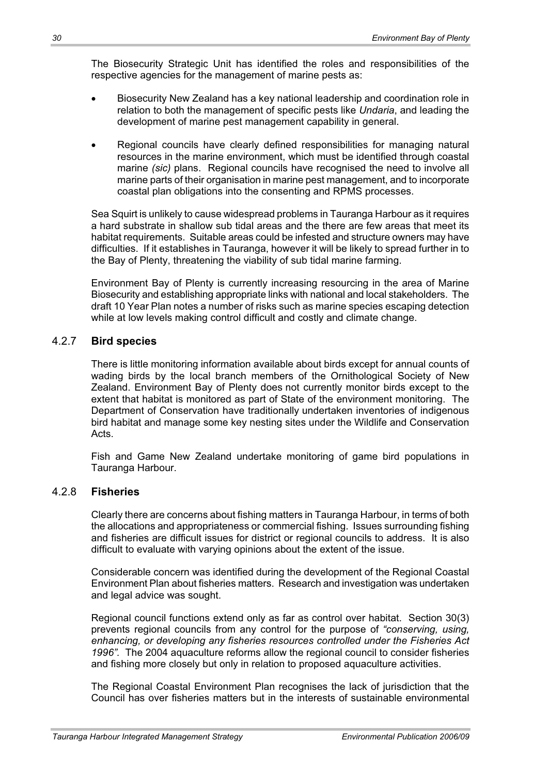The Biosecurity Strategic Unit has identified the roles and responsibilities of the respective agencies for the management of marine pests as:

- Biosecurity New Zealand has a key national leadership and coordination role in relation to both the management of specific pests like *Undaria*, and leading the development of marine pest management capability in general.
- Regional councils have clearly defined responsibilities for managing natural resources in the marine environment, which must be identified through coastal marine *(sic)* plans. Regional councils have recognised the need to involve all marine parts of their organisation in marine pest management, and to incorporate coastal plan obligations into the consenting and RPMS processes.

Sea Squirt is unlikely to cause widespread problems in Tauranga Harbour as it requires a hard substrate in shallow sub tidal areas and the there are few areas that meet its habitat requirements. Suitable areas could be infested and structure owners may have difficulties. If it establishes in Tauranga, however it will be likely to spread further in to the Bay of Plenty, threatening the viability of sub tidal marine farming.

Environment Bay of Plenty is currently increasing resourcing in the area of Marine Biosecurity and establishing appropriate links with national and local stakeholders. The draft 10 Year Plan notes a number of risks such as marine species escaping detection while at low levels making control difficult and costly and climate change.

## 4.2.7 **Bird species**

There is little monitoring information available about birds except for annual counts of wading birds by the local branch members of the Ornithological Society of New Zealand. Environment Bay of Plenty does not currently monitor birds except to the extent that habitat is monitored as part of State of the environment monitoring. The Department of Conservation have traditionally undertaken inventories of indigenous bird habitat and manage some key nesting sites under the Wildlife and Conservation Acts.

Fish and Game New Zealand undertake monitoring of game bird populations in Tauranga Harbour.

## 4.2.8 **Fisheries**

Clearly there are concerns about fishing matters in Tauranga Harbour, in terms of both the allocations and appropriateness or commercial fishing. Issues surrounding fishing and fisheries are difficult issues for district or regional councils to address. It is also difficult to evaluate with varying opinions about the extent of the issue.

Considerable concern was identified during the development of the Regional Coastal Environment Plan about fisheries matters. Research and investigation was undertaken and legal advice was sought.

Regional council functions extend only as far as control over habitat. Section 30(3) prevents regional councils from any control for the purpose of *"conserving, using, enhancing, or developing any fisheries resources controlled under the Fisheries Act 1996".* The 2004 aquaculture reforms allow the regional council to consider fisheries and fishing more closely but only in relation to proposed aquaculture activities.

The Regional Coastal Environment Plan recognises the lack of jurisdiction that the Council has over fisheries matters but in the interests of sustainable environmental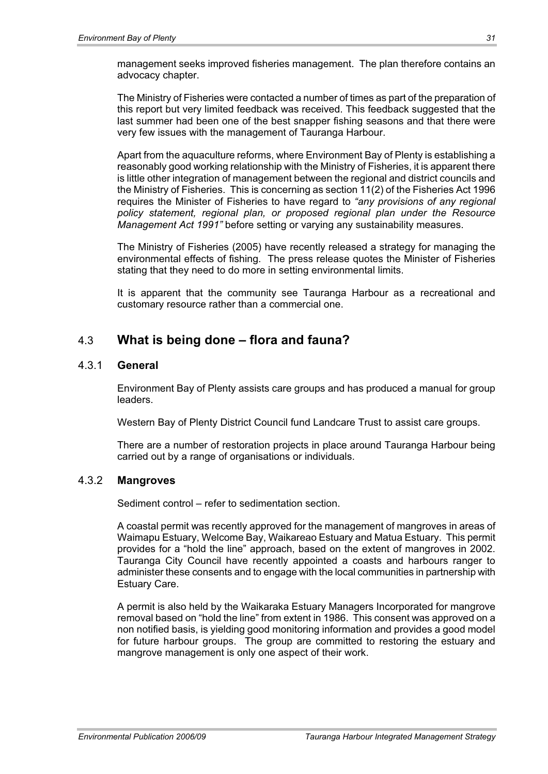management seeks improved fisheries management. The plan therefore contains an advocacy chapter.

The Ministry of Fisheries were contacted a number of times as part of the preparation of this report but very limited feedback was received. This feedback suggested that the last summer had been one of the best snapper fishing seasons and that there were very few issues with the management of Tauranga Harbour.

Apart from the aquaculture reforms, where Environment Bay of Plenty is establishing a reasonably good working relationship with the Ministry of Fisheries, it is apparent there is little other integration of management between the regional and district councils and the Ministry of Fisheries. This is concerning as section 11(2) of the Fisheries Act 1996 requires the Minister of Fisheries to have regard to *"any provisions of any regional policy statement, regional plan, or proposed regional plan under the Resource Management Act 1991"* before setting or varying any sustainability measures.

The Ministry of Fisheries (2005) have recently released a strategy for managing the environmental effects of fishing. The press release quotes the Minister of Fisheries stating that they need to do more in setting environmental limits.

It is apparent that the community see Tauranga Harbour as a recreational and customary resource rather than a commercial one.

# 4.3 **What is being done – flora and fauna?**

#### 4.3.1 **General**

Environment Bay of Plenty assists care groups and has produced a manual for group leaders.

Western Bay of Plenty District Council fund Landcare Trust to assist care groups.

There are a number of restoration projects in place around Tauranga Harbour being carried out by a range of organisations or individuals.

#### 4.3.2 **Mangroves**

Sediment control – refer to sedimentation section.

A coastal permit was recently approved for the management of mangroves in areas of Waimapu Estuary, Welcome Bay, Waikareao Estuary and Matua Estuary. This permit provides for a "hold the line" approach, based on the extent of mangroves in 2002. Tauranga City Council have recently appointed a coasts and harbours ranger to administer these consents and to engage with the local communities in partnership with Estuary Care.

A permit is also held by the Waikaraka Estuary Managers Incorporated for mangrove removal based on "hold the line" from extent in 1986. This consent was approved on a non notified basis, is yielding good monitoring information and provides a good model for future harbour groups. The group are committed to restoring the estuary and mangrove management is only one aspect of their work.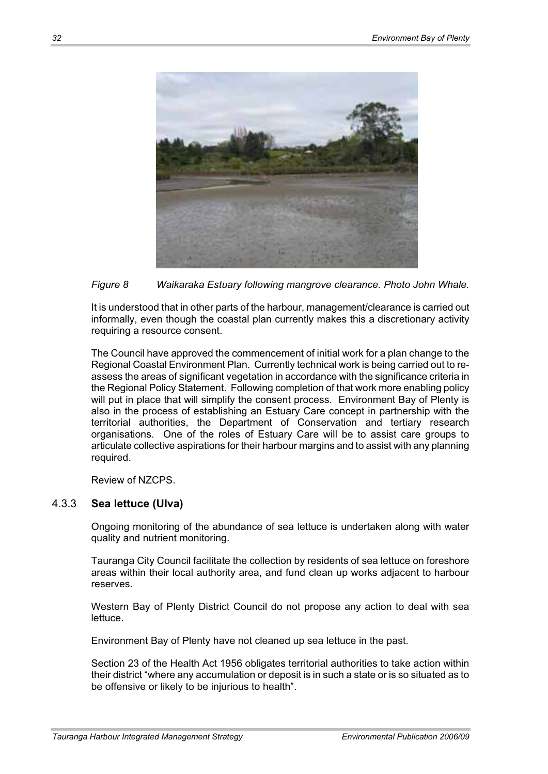

*Figure 8 Waikaraka Estuary following mangrove clearance. Photo John Whale.* 

It is understood that in other parts of the harbour, management/clearance is carried out informally, even though the coastal plan currently makes this a discretionary activity requiring a resource consent.

The Council have approved the commencement of initial work for a plan change to the Regional Coastal Environment Plan. Currently technical work is being carried out to reassess the areas of significant vegetation in accordance with the significance criteria in the Regional Policy Statement. Following completion of that work more enabling policy will put in place that will simplify the consent process. Environment Bay of Plenty is also in the process of establishing an Estuary Care concept in partnership with the territorial authorities, the Department of Conservation and tertiary research organisations. One of the roles of Estuary Care will be to assist care groups to articulate collective aspirations for their harbour margins and to assist with any planning required.

Review of NZCPS.

## 4.3.3 **Sea lettuce (Ulva)**

Ongoing monitoring of the abundance of sea lettuce is undertaken along with water quality and nutrient monitoring.

Tauranga City Council facilitate the collection by residents of sea lettuce on foreshore areas within their local authority area, and fund clean up works adjacent to harbour reserves.

Western Bay of Plenty District Council do not propose any action to deal with sea lettuce.

Environment Bay of Plenty have not cleaned up sea lettuce in the past.

Section 23 of the Health Act 1956 obligates territorial authorities to take action within their district "where any accumulation or deposit is in such a state or is so situated as to be offensive or likely to be injurious to health".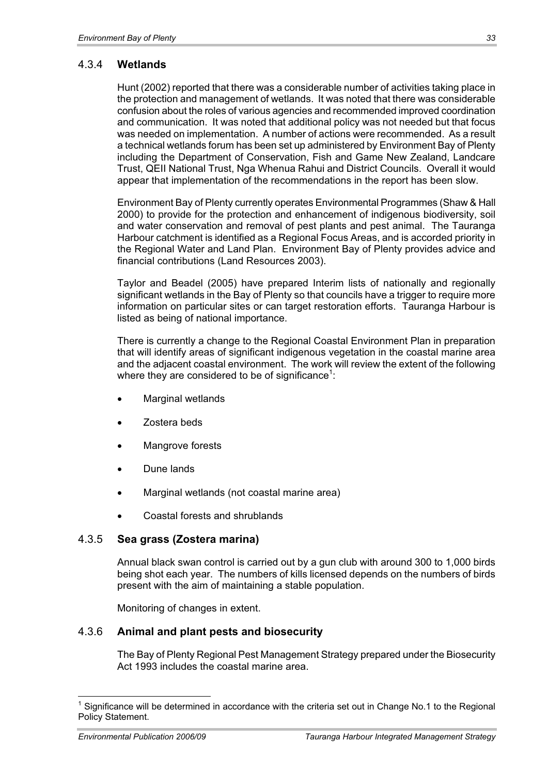## 4.3.4 **Wetlands**

Hunt (2002) reported that there was a considerable number of activities taking place in the protection and management of wetlands. It was noted that there was considerable confusion about the roles of various agencies and recommended improved coordination and communication. It was noted that additional policy was not needed but that focus was needed on implementation. A number of actions were recommended. As a result a technical wetlands forum has been set up administered by Environment Bay of Plenty including the Department of Conservation, Fish and Game New Zealand, Landcare Trust, QEII National Trust, Nga Whenua Rahui and District Councils. Overall it would appear that implementation of the recommendations in the report has been slow.

Environment Bay of Plenty currently operates Environmental Programmes (Shaw & Hall 2000) to provide for the protection and enhancement of indigenous biodiversity, soil and water conservation and removal of pest plants and pest animal. The Tauranga Harbour catchment is identified as a Regional Focus Areas, and is accorded priority in the Regional Water and Land Plan. Environment Bay of Plenty provides advice and financial contributions (Land Resources 2003).

Taylor and Beadel (2005) have prepared Interim lists of nationally and regionally significant wetlands in the Bay of Plenty so that councils have a trigger to require more information on particular sites or can target restoration efforts. Tauranga Harbour is listed as being of national importance.

There is currently a change to the Regional Coastal Environment Plan in preparation that will identify areas of significant indigenous vegetation in the coastal marine area and the adjacent coastal environment. The work will review the extent of the following where they are considered to be of significance $^1\!\! :$ 

- Marginal wetlands
- Zostera beds
- Mangrove forests
- Dune lands
- Marginal wetlands (not coastal marine area)
- x Coastal forests and shrublands

## 4.3.5 **Sea grass (Zostera marina)**

Annual black swan control is carried out by a gun club with around 300 to 1,000 birds being shot each year. The numbers of kills licensed depends on the numbers of birds present with the aim of maintaining a stable population.

Monitoring of changes in extent.

## 4.3.6 **Animal and plant pests and biosecurity**

The Bay of Plenty Regional Pest Management Strategy prepared under the Biosecurity Act 1993 includes the coastal marine area.

 $\overline{a}$ 

<sup>1</sup> Significance will be determined in accordance with the criteria set out in Change No.1 to the Regional Policy Statement.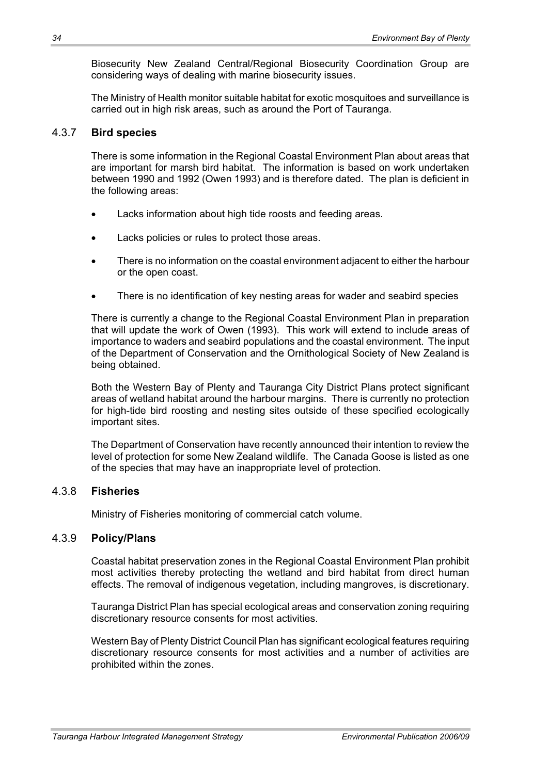Biosecurity New Zealand Central/Regional Biosecurity Coordination Group are considering ways of dealing with marine biosecurity issues.

The Ministry of Health monitor suitable habitat for exotic mosquitoes and surveillance is carried out in high risk areas, such as around the Port of Tauranga.

#### 4.3.7 **Bird species**

There is some information in the Regional Coastal Environment Plan about areas that are important for marsh bird habitat. The information is based on work undertaken between 1990 and 1992 (Owen 1993) and is therefore dated. The plan is deficient in the following areas:

- Lacks information about high tide roosts and feeding areas.
- Lacks policies or rules to protect those areas.
- There is no information on the coastal environment adjacent to either the harbour or the open coast.
- There is no identification of key nesting areas for wader and seabird species

There is currently a change to the Regional Coastal Environment Plan in preparation that will update the work of Owen (1993). This work will extend to include areas of importance to waders and seabird populations and the coastal environment. The input of the Department of Conservation and the Ornithological Society of New Zealand is being obtained.

Both the Western Bay of Plenty and Tauranga City District Plans protect significant areas of wetland habitat around the harbour margins. There is currently no protection for high-tide bird roosting and nesting sites outside of these specified ecologically important sites.

The Department of Conservation have recently announced their intention to review the level of protection for some New Zealand wildlife. The Canada Goose is listed as one of the species that may have an inappropriate level of protection.

## 4.3.8 **Fisheries**

Ministry of Fisheries monitoring of commercial catch volume.

#### 4.3.9 **Policy/Plans**

Coastal habitat preservation zones in the Regional Coastal Environment Plan prohibit most activities thereby protecting the wetland and bird habitat from direct human effects. The removal of indigenous vegetation, including mangroves, is discretionary.

Tauranga District Plan has special ecological areas and conservation zoning requiring discretionary resource consents for most activities.

Western Bay of Plenty District Council Plan has significant ecological features requiring discretionary resource consents for most activities and a number of activities are prohibited within the zones.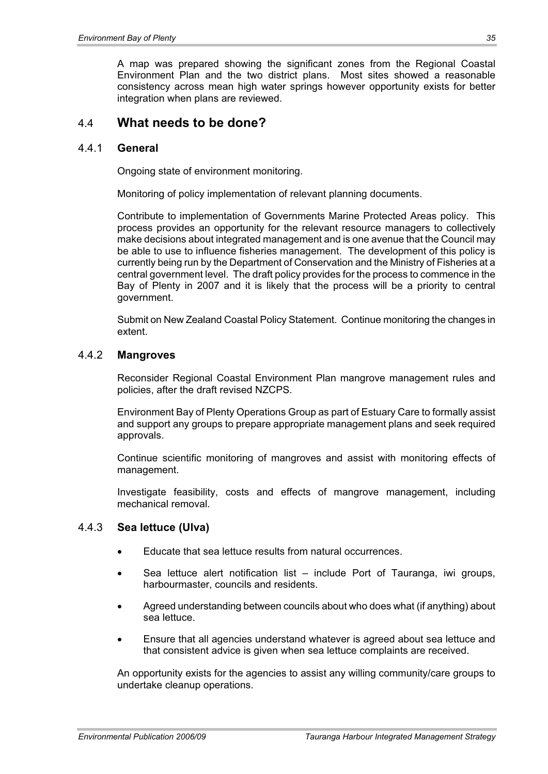A map was prepared showing the significant zones from the Regional Coastal Environment Plan and the two district plans. Most sites showed a reasonable consistency across mean high water springs however opportunity exists for better integration when plans are reviewed.

## 4.4 **What needs to be done?**

#### 4.4.1 **General**

Ongoing state of environment monitoring.

Monitoring of policy implementation of relevant planning documents.

Contribute to implementation of Governments Marine Protected Areas policy. This process provides an opportunity for the relevant resource managers to collectively make decisions about integrated management and is one avenue that the Council may be able to use to influence fisheries management. The development of this policy is currently being run by the Department of Conservation and the Ministry of Fisheries at a central government level. The draft policy provides for the process to commence in the Bay of Plenty in 2007 and it is likely that the process will be a priority to central government.

Submit on New Zealand Coastal Policy Statement. Continue monitoring the changes in extent.

#### 4.4.2 **Mangroves**

Reconsider Regional Coastal Environment Plan mangrove management rules and policies, after the draft revised NZCPS.

Environment Bay of Plenty Operations Group as part of Estuary Care to formally assist and support any groups to prepare appropriate management plans and seek required approvals.

Continue scientific monitoring of mangroves and assist with monitoring effects of management.

Investigate feasibility, costs and effects of mangrove management, including mechanical removal.

## 4.4.3 **Sea lettuce (Ulva)**

- Educate that sea lettuce results from natural occurrences.
- Sea lettuce alert notification list  $-$  include Port of Tauranga, iwi groups, harbourmaster, councils and residents.
- x Agreed understanding between councils about who does what (if anything) about sea lettuce.
- x Ensure that all agencies understand whatever is agreed about sea lettuce and that consistent advice is given when sea lettuce complaints are received.

An opportunity exists for the agencies to assist any willing community/care groups to undertake cleanup operations.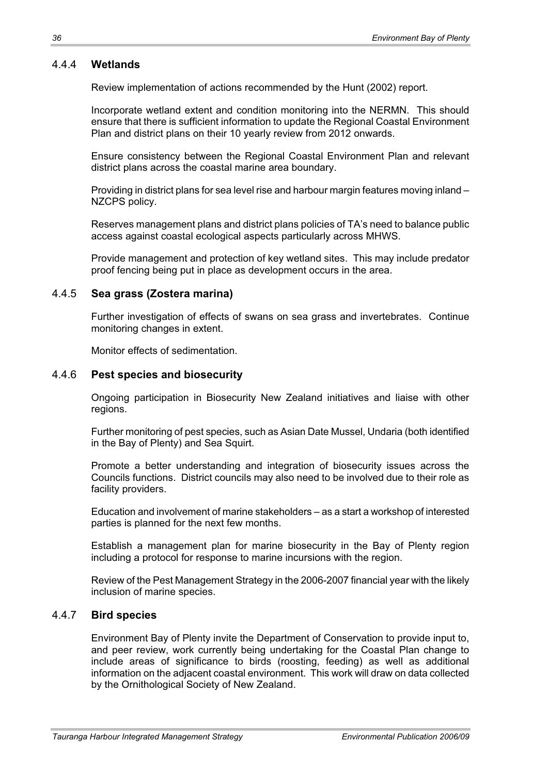## 4.4.4 **Wetlands**

Review implementation of actions recommended by the Hunt (2002) report.

Incorporate wetland extent and condition monitoring into the NERMN. This should ensure that there is sufficient information to update the Regional Coastal Environment Plan and district plans on their 10 yearly review from 2012 onwards.

Ensure consistency between the Regional Coastal Environment Plan and relevant district plans across the coastal marine area boundary.

Providing in district plans for sea level rise and harbour margin features moving inland – NZCPS policy.

Reserves management plans and district plans policies of TA's need to balance public access against coastal ecological aspects particularly across MHWS.

Provide management and protection of key wetland sites. This may include predator proof fencing being put in place as development occurs in the area.

#### 4.4.5 **Sea grass (Zostera marina)**

Further investigation of effects of swans on sea grass and invertebrates. Continue monitoring changes in extent.

Monitor effects of sedimentation.

#### 4.4.6 **Pest species and biosecurity**

Ongoing participation in Biosecurity New Zealand initiatives and liaise with other regions.

Further monitoring of pest species, such as Asian Date Mussel, Undaria (both identified in the Bay of Plenty) and Sea Squirt.

Promote a better understanding and integration of biosecurity issues across the Councils functions. District councils may also need to be involved due to their role as facility providers.

Education and involvement of marine stakeholders – as a start a workshop of interested parties is planned for the next few months.

Establish a management plan for marine biosecurity in the Bay of Plenty region including a protocol for response to marine incursions with the region.

Review of the Pest Management Strategy in the 2006-2007 financial year with the likely inclusion of marine species.

#### 4.4.7 **Bird species**

Environment Bay of Plenty invite the Department of Conservation to provide input to, and peer review, work currently being undertaking for the Coastal Plan change to include areas of significance to birds (roosting, feeding) as well as additional information on the adjacent coastal environment. This work will draw on data collected by the Ornithological Society of New Zealand.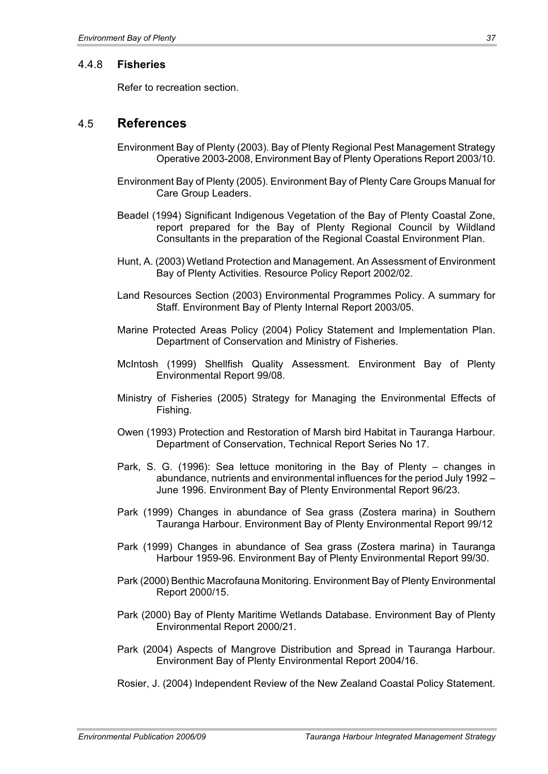#### 4.4.8 **Fisheries**

Refer to recreation section.

## 4.5 **References**

- Environment Bay of Plenty (2003). Bay of Plenty Regional Pest Management Strategy Operative 2003-2008, Environment Bay of Plenty Operations Report 2003/10.
- Environment Bay of Plenty (2005). Environment Bay of Plenty Care Groups Manual for Care Group Leaders.
- Beadel (1994) Significant Indigenous Vegetation of the Bay of Plenty Coastal Zone, report prepared for the Bay of Plenty Regional Council by Wildland Consultants in the preparation of the Regional Coastal Environment Plan.
- Hunt, A. (2003) Wetland Protection and Management. An Assessment of Environment Bay of Plenty Activities. Resource Policy Report 2002/02.
- Land Resources Section (2003) Environmental Programmes Policy. A summary for Staff. Environment Bay of Plenty Internal Report 2003/05.
- Marine Protected Areas Policy (2004) Policy Statement and Implementation Plan. Department of Conservation and Ministry of Fisheries.
- McIntosh (1999) Shellfish Quality Assessment. Environment Bay of Plenty Environmental Report 99/08.
- Ministry of Fisheries (2005) Strategy for Managing the Environmental Effects of Fishing.
- Owen (1993) Protection and Restoration of Marsh bird Habitat in Tauranga Harbour. Department of Conservation, Technical Report Series No 17.
- Park, S. G. (1996): Sea lettuce monitoring in the Bay of Plenty changes in abundance, nutrients and environmental influences for the period July 1992 – June 1996. Environment Bay of Plenty Environmental Report 96/23.
- Park (1999) Changes in abundance of Sea grass (Zostera marina) in Southern Tauranga Harbour. Environment Bay of Plenty Environmental Report 99/12
- Park (1999) Changes in abundance of Sea grass (Zostera marina) in Tauranga Harbour 1959-96. Environment Bay of Plenty Environmental Report 99/30.
- Park (2000) Benthic Macrofauna Monitoring. Environment Bay of Plenty Environmental Report 2000/15.
- Park (2000) Bay of Plenty Maritime Wetlands Database. Environment Bay of Plenty Environmental Report 2000/21.
- Park (2004) Aspects of Mangrove Distribution and Spread in Tauranga Harbour. Environment Bay of Plenty Environmental Report 2004/16.
- Rosier, J. (2004) Independent Review of the New Zealand Coastal Policy Statement.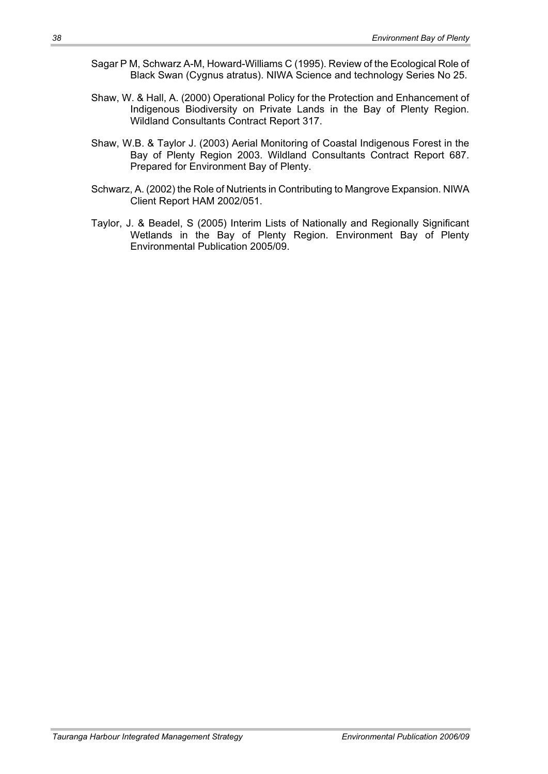- Sagar P M, Schwarz A-M, Howard-Williams C (1995). Review of the Ecological Role of Black Swan (Cygnus atratus). NIWA Science and technology Series No 25.
- Shaw, W. & Hall, A. (2000) Operational Policy for the Protection and Enhancement of Indigenous Biodiversity on Private Lands in the Bay of Plenty Region. Wildland Consultants Contract Report 317.
- Shaw, W.B. & Taylor J. (2003) Aerial Monitoring of Coastal Indigenous Forest in the Bay of Plenty Region 2003. Wildland Consultants Contract Report 687. Prepared for Environment Bay of Plenty.
- Schwarz, A. (2002) the Role of Nutrients in Contributing to Mangrove Expansion. NIWA Client Report HAM 2002/051.
- Taylor, J. & Beadel, S (2005) Interim Lists of Nationally and Regionally Significant Wetlands in the Bay of Plenty Region. Environment Bay of Plenty Environmental Publication 2005/09.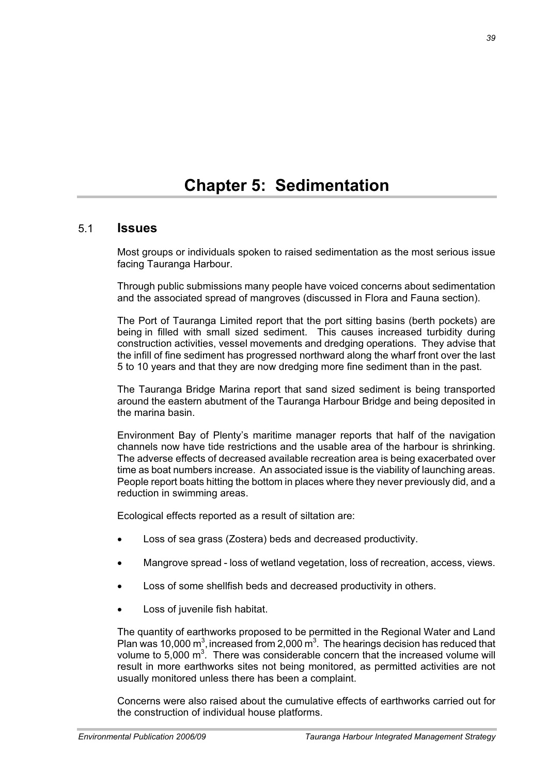## 5.1 **Issues**

Most groups or individuals spoken to raised sedimentation as the most serious issue facing Tauranga Harbour.

Through public submissions many people have voiced concerns about sedimentation and the associated spread of mangroves (discussed in Flora and Fauna section).

The Port of Tauranga Limited report that the port sitting basins (berth pockets) are being in filled with small sized sediment. This causes increased turbidity during construction activities, vessel movements and dredging operations. They advise that the infill of fine sediment has progressed northward along the wharf front over the last 5 to 10 years and that they are now dredging more fine sediment than in the past.

The Tauranga Bridge Marina report that sand sized sediment is being transported around the eastern abutment of the Tauranga Harbour Bridge and being deposited in the marina basin.

Environment Bay of Plenty's maritime manager reports that half of the navigation channels now have tide restrictions and the usable area of the harbour is shrinking. The adverse effects of decreased available recreation area is being exacerbated over time as boat numbers increase. An associated issue is the viability of launching areas. People report boats hitting the bottom in places where they never previously did, and a reduction in swimming areas.

Ecological effects reported as a result of siltation are:

- Loss of sea grass (Zostera) beds and decreased productivity.
- Mangrove spread loss of wetland vegetation, loss of recreation, access, views.
- Loss of some shellfish beds and decreased productivity in others.
- Loss of juvenile fish habitat.

The quantity of earthworks proposed to be permitted in the Regional Water and Land Plan was 10,000  $\text{m}^3$ , increased from 2,000  $\text{m}^3$ . The hearings decision has reduced that volume to 5,000  $m<sup>3</sup>$ . There was considerable concern that the increased volume will result in more earthworks sites not being monitored, as permitted activities are not usually monitored unless there has been a complaint.

Concerns were also raised about the cumulative effects of earthworks carried out for the construction of individual house platforms.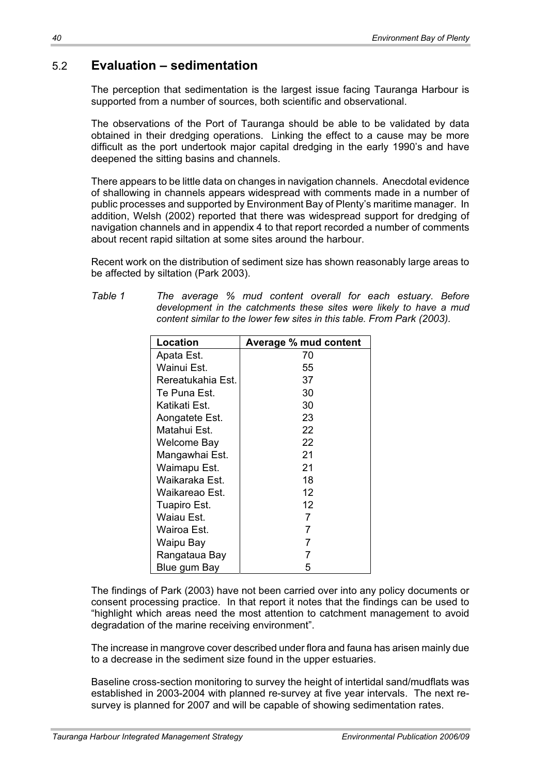# 5.2 **Evaluation – sedimentation**

The perception that sedimentation is the largest issue facing Tauranga Harbour is supported from a number of sources, both scientific and observational.

The observations of the Port of Tauranga should be able to be validated by data obtained in their dredging operations. Linking the effect to a cause may be more difficult as the port undertook major capital dredging in the early 1990's and have deepened the sitting basins and channels.

There appears to be little data on changes in navigation channels. Anecdotal evidence of shallowing in channels appears widespread with comments made in a number of public processes and supported by Environment Bay of Plenty's maritime manager. In addition, Welsh (2002) reported that there was widespread support for dredging of navigation channels and in appendix 4 to that report recorded a number of comments about recent rapid siltation at some sites around the harbour.

Recent work on the distribution of sediment size has shown reasonably large areas to be affected by siltation (Park 2003).

*Table 1 The average % mud content overall for each estuary*. *Before development in the catchments these sites were likely to have a mud content similar to the lower few sites in this table. From Park (2003).* 

| <b>Location</b>   | <b>Average % mud content</b> |  |
|-------------------|------------------------------|--|
| Apata Est.        | 70                           |  |
| Wainui Est.       | 55                           |  |
| Rereatukahia Est. | 37                           |  |
| Te Puna Est.      | 30                           |  |
| Katikati Est.     | 30                           |  |
| Aongatete Est.    | 23                           |  |
| Matahui Est.      | 22                           |  |
| Welcome Bay       | 22                           |  |
| Mangawhai Est.    | 21                           |  |
| Waimapu Est.      | 21                           |  |
| Waikaraka Est.    | 18                           |  |
| Waikareao Est.    | 12                           |  |
| Tuapiro Est.      | 12                           |  |
| Waiau Est.        | 7                            |  |
| Wairoa Est.       | 7                            |  |
| Waipu Bay         | 7                            |  |
| Rangataua Bay     | 7                            |  |
| Blue gum Bay      | 5                            |  |

The findings of Park (2003) have not been carried over into any policy documents or consent processing practice. In that report it notes that the findings can be used to "highlight which areas need the most attention to catchment management to avoid degradation of the marine receiving environment".

The increase in mangrove cover described under flora and fauna has arisen mainly due to a decrease in the sediment size found in the upper estuaries.

Baseline cross-section monitoring to survey the height of intertidal sand/mudflats was established in 2003-2004 with planned re-survey at five year intervals. The next resurvey is planned for 2007 and will be capable of showing sedimentation rates.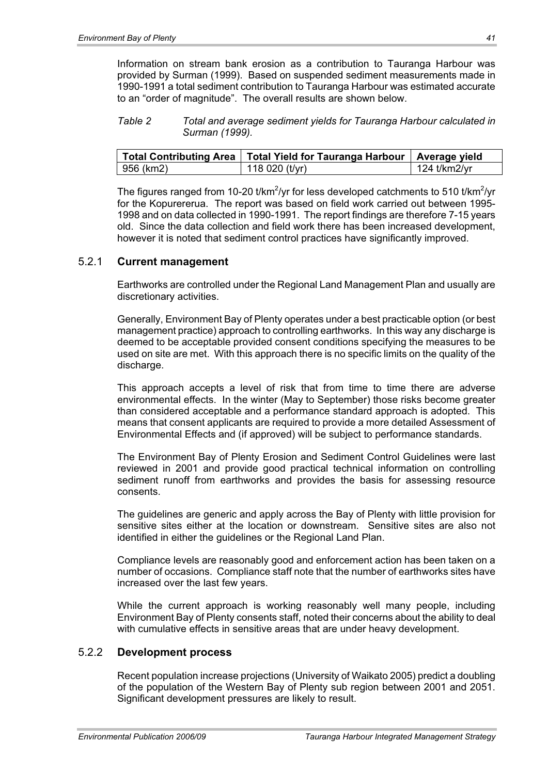Information on stream bank erosion as a contribution to Tauranga Harbour was provided by Surman (1999). Based on suspended sediment measurements made in 1990-1991 a total sediment contribution to Tauranga Harbour was estimated accurate to an "order of magnitude". The overall results are shown below.

*Table 2 Total and average sediment yields for Tauranga Harbour calculated in Surman (1999).* 

|              | Total Contributing Area   Total Yield for Tauranga Harbour   Average yield |              |
|--------------|----------------------------------------------------------------------------|--------------|
| $ 956$ (km2) | 118 020 (t/yr)                                                             | 124 t/km2/yr |

The figures ranged from 10-20 t/km<sup>2</sup>/yr for less developed catchments to 510 t/km<sup>2</sup>/yr for the Kopurererua. The report was based on field work carried out between 1995- 1998 and on data collected in 1990-1991. The report findings are therefore 7-15 years old. Since the data collection and field work there has been increased development, however it is noted that sediment control practices have significantly improved.

#### 5.2.1 **Current management**

Earthworks are controlled under the Regional Land Management Plan and usually are discretionary activities.

Generally, Environment Bay of Plenty operates under a best practicable option (or best management practice) approach to controlling earthworks. In this way any discharge is deemed to be acceptable provided consent conditions specifying the measures to be used on site are met. With this approach there is no specific limits on the quality of the discharge.

This approach accepts a level of risk that from time to time there are adverse environmental effects. In the winter (May to September) those risks become greater than considered acceptable and a performance standard approach is adopted. This means that consent applicants are required to provide a more detailed Assessment of Environmental Effects and (if approved) will be subject to performance standards.

The Environment Bay of Plenty Erosion and Sediment Control Guidelines were last reviewed in 2001 and provide good practical technical information on controlling sediment runoff from earthworks and provides the basis for assessing resource consents.

The guidelines are generic and apply across the Bay of Plenty with little provision for sensitive sites either at the location or downstream. Sensitive sites are also not identified in either the guidelines or the Regional Land Plan.

Compliance levels are reasonably good and enforcement action has been taken on a number of occasions. Compliance staff note that the number of earthworks sites have increased over the last few years.

While the current approach is working reasonably well many people, including Environment Bay of Plenty consents staff, noted their concerns about the ability to deal with cumulative effects in sensitive areas that are under heavy development.

#### 5.2.2 **Development process**

Recent population increase projections (University of Waikato 2005) predict a doubling of the population of the Western Bay of Plenty sub region between 2001 and 2051. Significant development pressures are likely to result.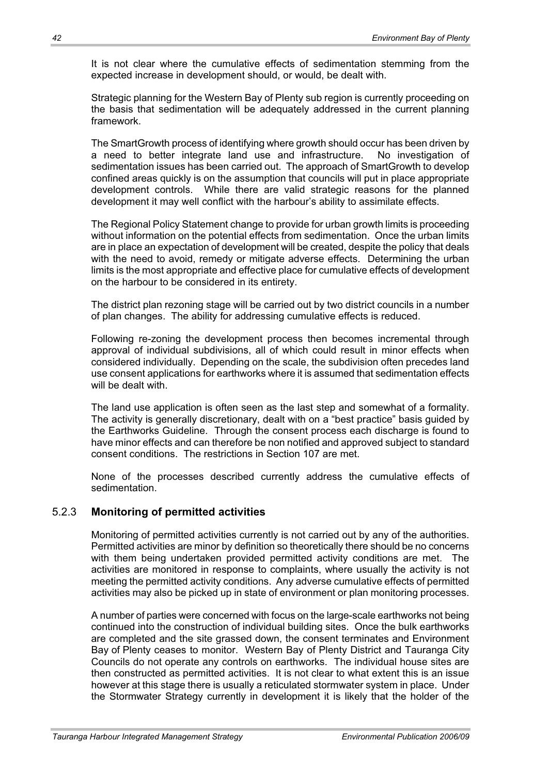It is not clear where the cumulative effects of sedimentation stemming from the expected increase in development should, or would, be dealt with.

Strategic planning for the Western Bay of Plenty sub region is currently proceeding on the basis that sedimentation will be adequately addressed in the current planning framework.

The SmartGrowth process of identifying where growth should occur has been driven by a need to better integrate land use and infrastructure. No investigation of sedimentation issues has been carried out. The approach of SmartGrowth to develop confined areas quickly is on the assumption that councils will put in place appropriate development controls. While there are valid strategic reasons for the planned development it may well conflict with the harbour's ability to assimilate effects.

The Regional Policy Statement change to provide for urban growth limits is proceeding without information on the potential effects from sedimentation. Once the urban limits are in place an expectation of development will be created, despite the policy that deals with the need to avoid, remedy or mitigate adverse effects. Determining the urban limits is the most appropriate and effective place for cumulative effects of development on the harbour to be considered in its entirety.

The district plan rezoning stage will be carried out by two district councils in a number of plan changes. The ability for addressing cumulative effects is reduced.

Following re-zoning the development process then becomes incremental through approval of individual subdivisions, all of which could result in minor effects when considered individually. Depending on the scale, the subdivision often precedes land use consent applications for earthworks where it is assumed that sedimentation effects will be dealt with.

The land use application is often seen as the last step and somewhat of a formality. The activity is generally discretionary, dealt with on a "best practice" basis guided by the Earthworks Guideline. Through the consent process each discharge is found to have minor effects and can therefore be non notified and approved subject to standard consent conditions. The restrictions in Section 107 are met.

None of the processes described currently address the cumulative effects of sedimentation.

## 5.2.3 **Monitoring of permitted activities**

Monitoring of permitted activities currently is not carried out by any of the authorities. Permitted activities are minor by definition so theoretically there should be no concerns with them being undertaken provided permitted activity conditions are met. The activities are monitored in response to complaints, where usually the activity is not meeting the permitted activity conditions. Any adverse cumulative effects of permitted activities may also be picked up in state of environment or plan monitoring processes.

A number of parties were concerned with focus on the large-scale earthworks not being continued into the construction of individual building sites. Once the bulk earthworks are completed and the site grassed down, the consent terminates and Environment Bay of Plenty ceases to monitor. Western Bay of Plenty District and Tauranga City Councils do not operate any controls on earthworks. The individual house sites are then constructed as permitted activities. It is not clear to what extent this is an issue however at this stage there is usually a reticulated stormwater system in place. Under the Stormwater Strategy currently in development it is likely that the holder of the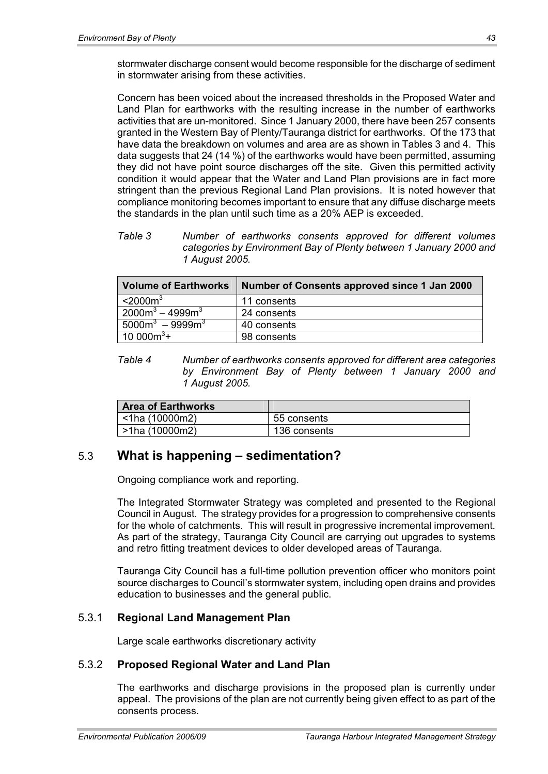stormwater discharge consent would become responsible for the discharge of sediment in stormwater arising from these activities.

Concern has been voiced about the increased thresholds in the Proposed Water and Land Plan for earthworks with the resulting increase in the number of earthworks activities that are un-monitored. Since 1 January 2000, there have been 257 consents granted in the Western Bay of Plenty/Tauranga district for earthworks. Of the 173 that have data the breakdown on volumes and area are as shown in Tables 3 and 4. This data suggests that 24 (14 %) of the earthworks would have been permitted, assuming they did not have point source discharges off the site. Given this permitted activity condition it would appear that the Water and Land Plan provisions are in fact more stringent than the previous Regional Land Plan provisions. It is noted however that compliance monitoring becomes important to ensure that any diffuse discharge meets the standards in the plan until such time as a 20% AEP is exceeded.

*Table 3 Number of earthworks consents approved for different volumes categories by Environment Bay of Plenty between 1 January 2000 and 1 August 2005.* 

| <b>Volume of Earthworks</b> | Number of Consents approved since 1 Jan 2000 |
|-----------------------------|----------------------------------------------|
| $<$ 2000 $\mathrm{m}^3$     | 11 consents                                  |
| $2000m^3 - 4999m^3$         | 24 consents                                  |
| $5000m^3 - 9999m^3$         | 40 consents                                  |
| 10 000 $\overline{m^{3}+}$  | 98 consents                                  |

*Table 4 Number of earthworks consents approved for different area categories by Environment Bay of Plenty between 1 January 2000 and 1 August 2005.* 

| ∣ Area of Earthworks∣  |              |
|------------------------|--------------|
| $\vert$ <1ha (10000m2) | 55 consents  |
| l >1ha (10000m2)       | 136 consents |

# 5.3 **What is happening – sedimentation?**

Ongoing compliance work and reporting.

The Integrated Stormwater Strategy was completed and presented to the Regional Council in August. The strategy provides for a progression to comprehensive consents for the whole of catchments. This will result in progressive incremental improvement. As part of the strategy, Tauranga City Council are carrying out upgrades to systems and retro fitting treatment devices to older developed areas of Tauranga.

Tauranga City Council has a full-time pollution prevention officer who monitors point source discharges to Council's stormwater system, including open drains and provides education to businesses and the general public.

## 5.3.1 **Regional Land Management Plan**

Large scale earthworks discretionary activity

## 5.3.2 **Proposed Regional Water and Land Plan**

The earthworks and discharge provisions in the proposed plan is currently under appeal. The provisions of the plan are not currently being given effect to as part of the consents process.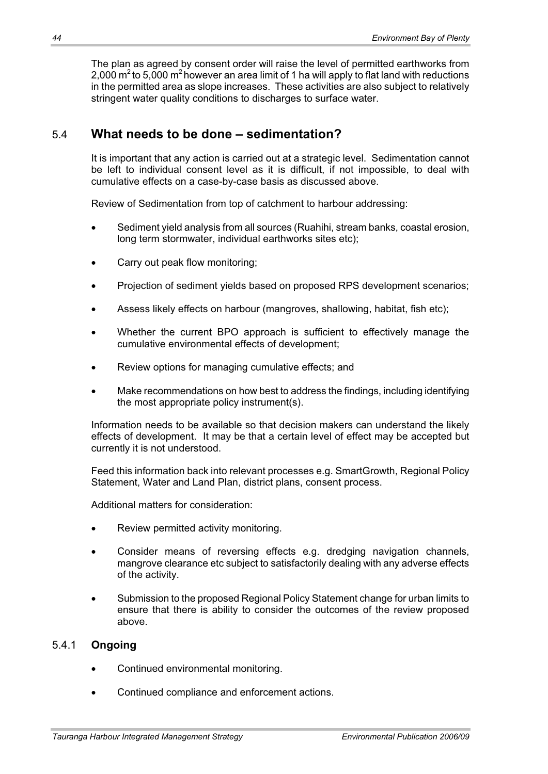The plan as agreed by consent order will raise the level of permitted earthworks from 2,000  $\text{m}^2$  to 5,000  $\text{m}^2$  however an area limit of 1 ha will apply to flat land with reductions in the permitted area as slope increases. These activities are also subject to relatively stringent water quality conditions to discharges to surface water.

# 5.4 **What needs to be done – sedimentation?**

It is important that any action is carried out at a strategic level. Sedimentation cannot be left to individual consent level as it is difficult, if not impossible, to deal with cumulative effects on a case-by-case basis as discussed above.

Review of Sedimentation from top of catchment to harbour addressing:

- Sediment yield analysis from all sources (Ruahihi, stream banks, coastal erosion, long term stormwater, individual earthworks sites etc);
- Carry out peak flow monitoring;
- Projection of sediment yields based on proposed RPS development scenarios;
- Assess likely effects on harbour (mangroves, shallowing, habitat, fish etc);
- Whether the current BPO approach is sufficient to effectively manage the cumulative environmental effects of development;
- Review options for managing cumulative effects; and
- Make recommendations on how best to address the findings, including identifying the most appropriate policy instrument(s).

Information needs to be available so that decision makers can understand the likely effects of development. It may be that a certain level of effect may be accepted but currently it is not understood.

Feed this information back into relevant processes e.g. SmartGrowth, Regional Policy Statement, Water and Land Plan, district plans, consent process.

Additional matters for consideration:

- Review permitted activity monitoring.
- Consider means of reversing effects e.g. dredging navigation channels, mangrove clearance etc subject to satisfactorily dealing with any adverse effects of the activity.
- Submission to the proposed Regional Policy Statement change for urban limits to ensure that there is ability to consider the outcomes of the review proposed above.

## 5.4.1 **Ongoing**

- Continued environmental monitoring.
- Continued compliance and enforcement actions.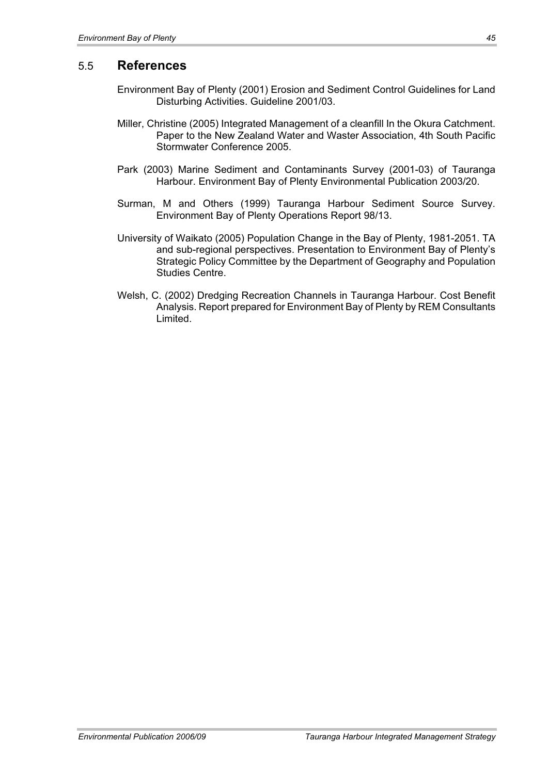## 5.5 **References**

- Environment Bay of Plenty (2001) Erosion and Sediment Control Guidelines for Land Disturbing Activities. Guideline 2001/03.
- Miller, Christine (2005) Integrated Management of a cleanfill In the Okura Catchment. Paper to the New Zealand Water and Waster Association, 4th South Pacific Stormwater Conference 2005.
- Park (2003) Marine Sediment and Contaminants Survey (2001-03) of Tauranga Harbour. Environment Bay of Plenty Environmental Publication 2003/20.
- Surman, M and Others (1999) Tauranga Harbour Sediment Source Survey. Environment Bay of Plenty Operations Report 98/13.
- University of Waikato (2005) Population Change in the Bay of Plenty, 1981-2051. TA and sub-regional perspectives. Presentation to Environment Bay of Plenty's Strategic Policy Committee by the Department of Geography and Population Studies Centre.
- Welsh, C. (2002) Dredging Recreation Channels in Tauranga Harbour. Cost Benefit Analysis. Report prepared for Environment Bay of Plenty by REM Consultants Limited.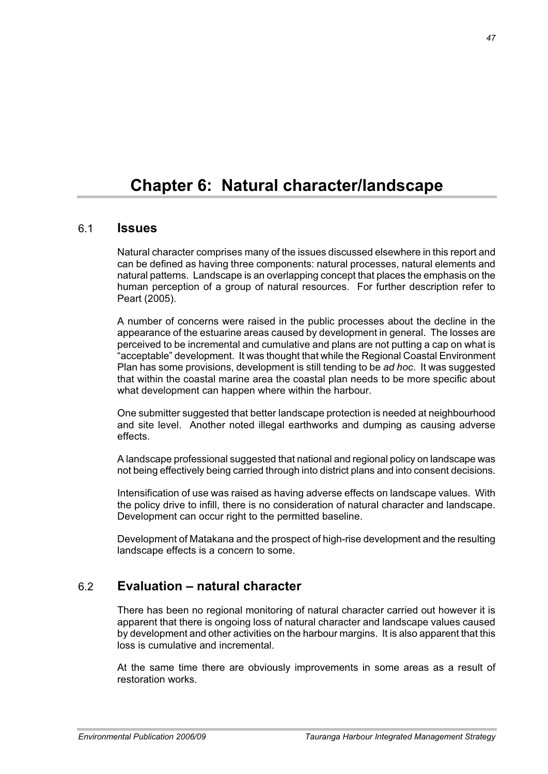# **Chapter 6: Natural character/landscape**

## 6.1 **Issues**

Natural character comprises many of the issues discussed elsewhere in this report and can be defined as having three components: natural processes, natural elements and natural patterns. Landscape is an overlapping concept that places the emphasis on the human perception of a group of natural resources. For further description refer to Peart (2005).

A number of concerns were raised in the public processes about the decline in the appearance of the estuarine areas caused by development in general. The losses are perceived to be incremental and cumulative and plans are not putting a cap on what is .<br>"acceptable" development. It was thought that while the Regional Coastal Environment Plan has some provisions, development is still tending to be *ad hoc*. It was suggested that within the coastal marine area the coastal plan needs to be more specific about what development can happen where within the harbour.

One submitter suggested that better landscape protection is needed at neighbourhood and site level. Another noted illegal earthworks and dumping as causing adverse effects.

A landscape professional suggested that national and regional policy on landscape was not being effectively being carried through into district plans and into consent decisions.

Intensification of use was raised as having adverse effects on landscape values. With the policy drive to infill, there is no consideration of natural character and landscape. Development can occur right to the permitted baseline.

Development of Matakana and the prospect of high-rise development and the resulting landscape effects is a concern to some.

## 6.2 **Evaluation – natural character**

There has been no regional monitoring of natural character carried out however it is apparent that there is ongoing loss of natural character and landscape values caused by development and other activities on the harbour margins. It is also apparent that this loss is cumulative and incremental.

At the same time there are obviously improvements in some areas as a result of restoration works.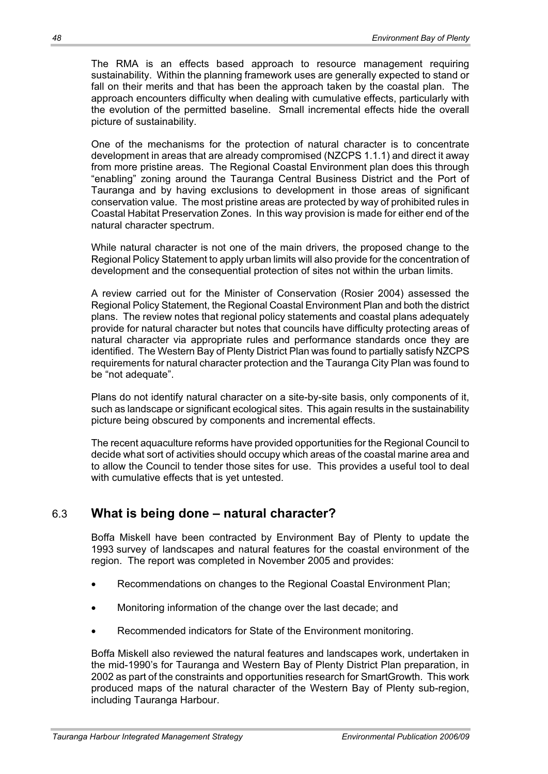The RMA is an effects based approach to resource management requiring sustainability. Within the planning framework uses are generally expected to stand or fall on their merits and that has been the approach taken by the coastal plan. The approach encounters difficulty when dealing with cumulative effects, particularly with the evolution of the permitted baseline. Small incremental effects hide the overall picture of sustainability.

One of the mechanisms for the protection of natural character is to concentrate development in areas that are already compromised (NZCPS 1.1.1) and direct it away from more pristine areas. The Regional Coastal Environment plan does this through "enabling" zoning around the Tauranga Central Business District and the Port of Tauranga and by having exclusions to development in those areas of significant conservation value. The most pristine areas are protected by way of prohibited rules in Coastal Habitat Preservation Zones. In this way provision is made for either end of the natural character spectrum.

While natural character is not one of the main drivers, the proposed change to the Regional Policy Statement to apply urban limits will also provide for the concentration of development and the consequential protection of sites not within the urban limits.

A review carried out for the Minister of Conservation (Rosier 2004) assessed the Regional Policy Statement, the Regional Coastal Environment Plan and both the district plans. The review notes that regional policy statements and coastal plans adequately provide for natural character but notes that councils have difficulty protecting areas of natural character via appropriate rules and performance standards once they are identified. The Western Bay of Plenty District Plan was found to partially satisfy NZCPS requirements for natural character protection and the Tauranga City Plan was found to be "not adequate".

Plans do not identify natural character on a site-by-site basis, only components of it, such as landscape or significant ecological sites. This again results in the sustainability picture being obscured by components and incremental effects.

The recent aquaculture reforms have provided opportunities for the Regional Council to decide what sort of activities should occupy which areas of the coastal marine area and to allow the Council to tender those sites for use. This provides a useful tool to deal with cumulative effects that is yet untested.

# 6.3 **What is being done – natural character?**

Boffa Miskell have been contracted by Environment Bay of Plenty to update the 1993 survey of landscapes and natural features for the coastal environment of the region. The report was completed in November 2005 and provides:

- Recommendations on changes to the Regional Coastal Environment Plan;
- Monitoring information of the change over the last decade; and
- Recommended indicators for State of the Environment monitoring.

Boffa Miskell also reviewed the natural features and landscapes work, undertaken in the mid-1990's for Tauranga and Western Bay of Plenty District Plan preparation, in 2002 as part of the constraints and opportunities research for SmartGrowth. This work produced maps of the natural character of the Western Bay of Plenty sub-region, including Tauranga Harbour.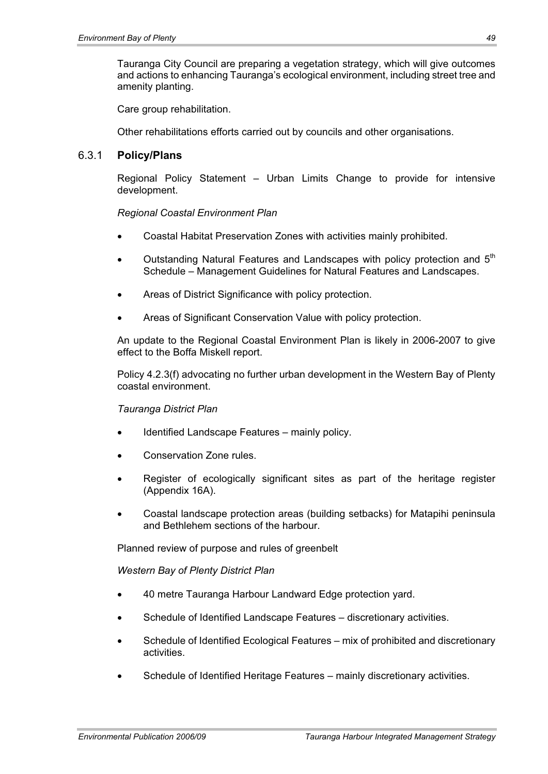Tauranga City Council are preparing a vegetation strategy, which will give outcomes and actions to enhancing Tauranga's ecological environment, including street tree and amenity planting.

Care group rehabilitation.

Other rehabilitations efforts carried out by councils and other organisations.

#### 6.3.1 **Policy/Plans**

Regional Policy Statement – Urban Limits Change to provide for intensive development.

#### *Regional Coastal Environment Plan*

- x Coastal Habitat Preservation Zones with activities mainly prohibited.
- Outstanding Natural Features and Landscapes with policy protection and 5<sup>th</sup> Schedule – Management Guidelines for Natural Features and Landscapes.
- Areas of District Significance with policy protection.
- Areas of Significant Conservation Value with policy protection.

An update to the Regional Coastal Environment Plan is likely in 2006-2007 to give effect to the Boffa Miskell report.

Policy 4.2.3(f) advocating no further urban development in the Western Bay of Plenty coastal environment.

#### *Tauranga District Plan*

- Identified Landscape Features mainly policy.
- Conservation Zone rules.
- Register of ecologically significant sites as part of the heritage register (Appendix 16A).
- x Coastal landscape protection areas (building setbacks) for Matapihi peninsula and Bethlehem sections of the harbour.

Planned review of purpose and rules of greenbelt

*Western Bay of Plenty District Plan* 

- 40 metre Tauranga Harbour Landward Edge protection vard.
- Schedule of Identified Landscape Features discretionary activities.
- Schedule of Identified Ecological Features mix of prohibited and discretionary activities.
- Schedule of Identified Heritage Features mainly discretionary activities.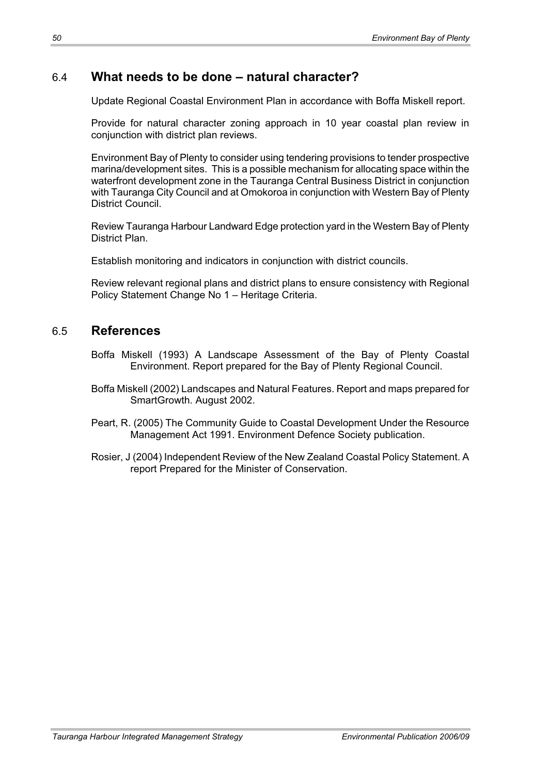# 6.4 **What needs to be done – natural character?**

Update Regional Coastal Environment Plan in accordance with Boffa Miskell report.

Provide for natural character zoning approach in 10 year coastal plan review in conjunction with district plan reviews.

Environment Bay of Plenty to consider using tendering provisions to tender prospective marina/development sites. This is a possible mechanism for allocating space within the waterfront development zone in the Tauranga Central Business District in conjunction with Tauranga City Council and at Omokoroa in conjunction with Western Bay of Plenty District Council.

Review Tauranga Harbour Landward Edge protection yard in the Western Bay of Plenty District Plan.

Establish monitoring and indicators in conjunction with district councils.

Review relevant regional plans and district plans to ensure consistency with Regional Policy Statement Change No 1 – Heritage Criteria.

# 6.5 **References**

- Boffa Miskell (1993) A Landscape Assessment of the Bay of Plenty Coastal Environment. Report prepared for the Bay of Plenty Regional Council.
- Boffa Miskell (2002) Landscapes and Natural Features. Report and maps prepared for SmartGrowth. August 2002.
- Peart, R. (2005) The Community Guide to Coastal Development Under the Resource Management Act 1991. Environment Defence Society publication.
- Rosier, J (2004) Independent Review of the New Zealand Coastal Policy Statement. A report Prepared for the Minister of Conservation.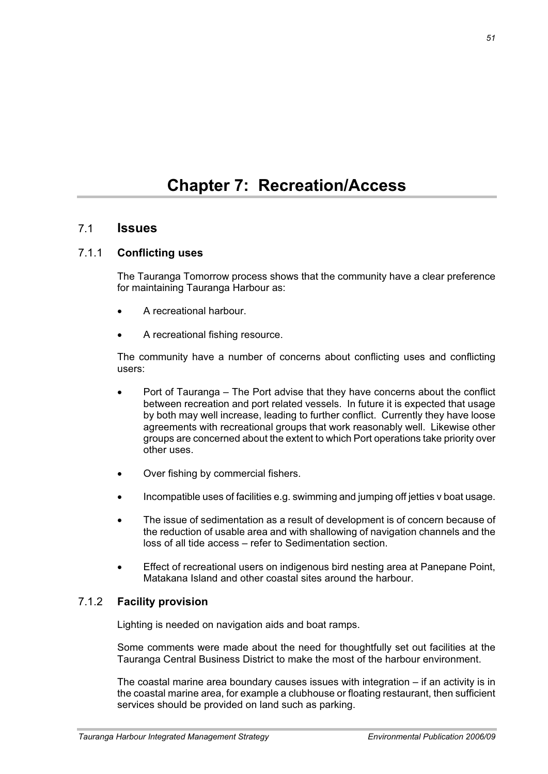# **Chapter 7: Recreation/Access**

## 7.1 **Issues**

#### 7.1.1 **Conflicting uses**

The Tauranga Tomorrow process shows that the community have a clear preference for maintaining Tauranga Harbour as:

- A recreational harbour.
- A recreational fishing resource.

The community have a number of concerns about conflicting uses and conflicting users:

- Port of Tauranga The Port advise that they have concerns about the conflict between recreation and port related vessels. In future it is expected that usage by both may well increase, leading to further conflict. Currently they have loose agreements with recreational groups that work reasonably well. Likewise other groups are concerned about the extent to which Port operations take priority over other uses.
- Over fishing by commercial fishers.
- Incompatible uses of facilities e.g. swimming and jumping off jetties v boat usage.
- The issue of sedimentation as a result of development is of concern because of the reduction of usable area and with shallowing of navigation channels and the loss of all tide access – refer to Sedimentation section.
- Effect of recreational users on indigenous bird nesting area at Panepane Point, Matakana Island and other coastal sites around the harbour.

## 7.1.2 **Facility provision**

Lighting is needed on navigation aids and boat ramps.

Some comments were made about the need for thoughtfully set out facilities at the Tauranga Central Business District to make the most of the harbour environment.

The coastal marine area boundary causes issues with integration – if an activity is in the coastal marine area, for example a clubhouse or floating restaurant, then sufficient services should be provided on land such as parking.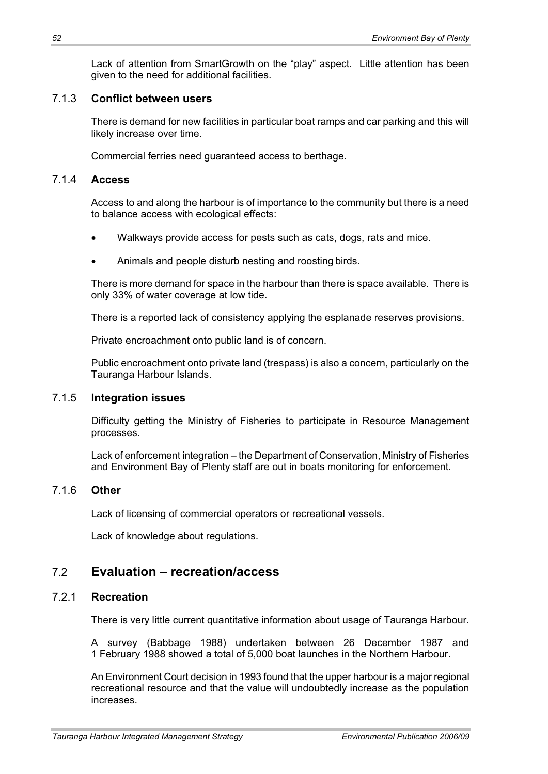Lack of attention from SmartGrowth on the "play" aspect. Little attention has been given to the need for additional facilities.

#### 7.1.3 **Conflict between users**

There is demand for new facilities in particular boat ramps and car parking and this will likely increase over time.

Commercial ferries need guaranteed access to berthage.

#### 7.1.4 **Access**

Access to and along the harbour is of importance to the community but there is a need to balance access with ecological effects:

- Walkways provide access for pests such as cats, dogs, rats and mice.
- Animals and people disturb nesting and roosting birds.

There is more demand for space in the harbour than there is space available. There is only 33% of water coverage at low tide.

There is a reported lack of consistency applying the esplanade reserves provisions.

Private encroachment onto public land is of concern.

Public encroachment onto private land (trespass) is also a concern, particularly on the Tauranga Harbour Islands.

## 7.1.5 **Integration issues**

Difficulty getting the Ministry of Fisheries to participate in Resource Management processes.

Lack of enforcement integration – the Department of Conservation, Ministry of Fisheries and Environment Bay of Plenty staff are out in boats monitoring for enforcement.

## 7.1.6 **Other**

Lack of licensing of commercial operators or recreational vessels.

Lack of knowledge about regulations.

# 7.2 **Evaluation – recreation/access**

## 7.2.1 **Recreation**

There is very little current quantitative information about usage of Tauranga Harbour.

A survey (Babbage 1988) undertaken between 26 December 1987 and 1 February 1988 showed a total of 5,000 boat launches in the Northern Harbour.

An Environment Court decision in 1993 found that the upper harbour is a major regional recreational resource and that the value will undoubtedly increase as the population increases.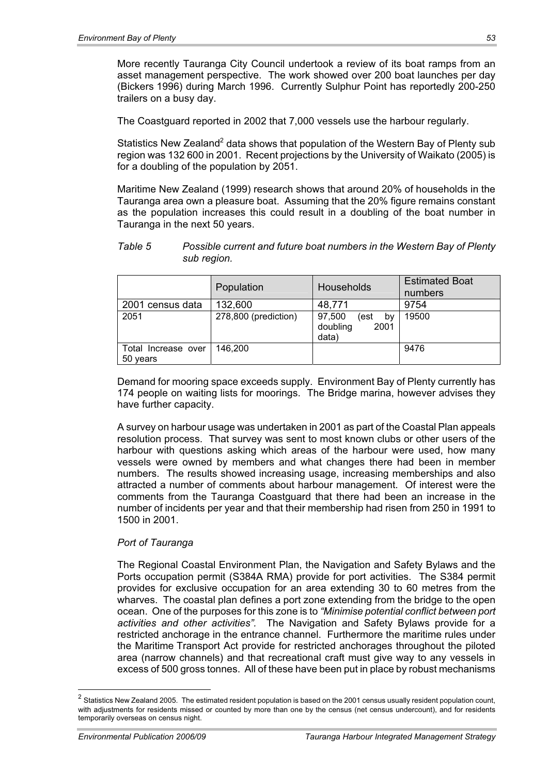More recently Tauranga City Council undertook a review of its boat ramps from an asset management perspective. The work showed over 200 boat launches per day (Bickers 1996) during March 1996. Currently Sulphur Point has reportedly 200-250 trailers on a busy day.

The Coastguard reported in 2002 that 7,000 vessels use the harbour regularly.

Statistics New Zealand<sup>2</sup> data shows that population of the Western Bay of Plenty sub region was 132 600 in 2001. Recent projections by the University of Waikato (2005) is for a doubling of the population by 2051.

Maritime New Zealand (1999) research shows that around 20% of households in the Tauranga area own a pleasure boat. Assuming that the 20% figure remains constant as the population increases this could result in a doubling of the boat number in Tauranga in the next 50 years.

*Table 5 Possible current and future boat numbers in the Western Bay of Plenty sub region.* 

|                                 | Population           | <b>Households</b>                                 | <b>Estimated Boat</b><br>numbers |
|---------------------------------|----------------------|---------------------------------------------------|----------------------------------|
| 2001 census data                | 132,600              | 48,771                                            | 9754                             |
| 2051                            | 278,800 (prediction) | 97,500<br>(est<br>by<br>doubling<br>2001<br>data) | 19500                            |
| Total Increase over<br>50 years | 146.200              |                                                   | 9476                             |

Demand for mooring space exceeds supply. Environment Bay of Plenty currently has 174 people on waiting lists for moorings. The Bridge marina, however advises they have further capacity.

A survey on harbour usage was undertaken in 2001 as part of the Coastal Plan appeals resolution process. That survey was sent to most known clubs or other users of the harbour with questions asking which areas of the harbour were used, how many vessels were owned by members and what changes there had been in member numbers. The results showed increasing usage, increasing memberships and also attracted a number of comments about harbour management. Of interest were the comments from the Tauranga Coastguard that there had been an increase in the number of incidents per year and that their membership had risen from 250 in 1991 to 1500 in 2001.

#### *Port of Tauranga*

The Regional Coastal Environment Plan, the Navigation and Safety Bylaws and the Ports occupation permit (S384A RMA) provide for port activities. The S384 permit provides for exclusive occupation for an area extending 30 to 60 metres from the wharves. The coastal plan defines a port zone extending from the bridge to the open ocean. One of the purposes for this zone is to *"Minimise potential conflict between port activities and other activities".* The Navigation and Safety Bylaws provide for a restricted anchorage in the entrance channel. Furthermore the maritime rules under the Maritime Transport Act provide for restricted anchorages throughout the piloted area (narrow channels) and that recreational craft must give way to any vessels in excess of 500 gross tonnes. All of these have been put in place by robust mechanisms

 $\overline{a}$ 

 $^2$  Statistics New Zealand 2005. The estimated resident population is based on the 2001 census usually resident population count, with adjustments for residents missed or counted by more than one by the census (net census undercount), and for residents temporarily overseas on census night.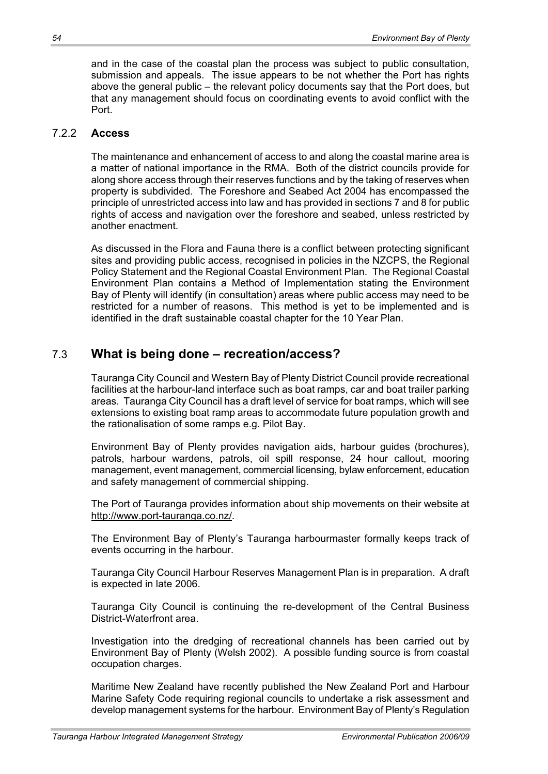and in the case of the coastal plan the process was subject to public consultation, submission and appeals. The issue appears to be not whether the Port has rights above the general public – the relevant policy documents say that the Port does, but that any management should focus on coordinating events to avoid conflict with the Port.

#### 7.2.2 **Access**

The maintenance and enhancement of access to and along the coastal marine area is a matter of national importance in the RMA. Both of the district councils provide for along shore access through their reserves functions and by the taking of reserves when property is subdivided. The Foreshore and Seabed Act 2004 has encompassed the principle of unrestricted access into law and has provided in sections 7 and 8 for public rights of access and navigation over the foreshore and seabed, unless restricted by another enactment.

As discussed in the Flora and Fauna there is a conflict between protecting significant sites and providing public access, recognised in policies in the NZCPS, the Regional Policy Statement and the Regional Coastal Environment Plan. The Regional Coastal Environment Plan contains a Method of Implementation stating the Environment Bay of Plenty will identify (in consultation) areas where public access may need to be restricted for a number of reasons. This method is yet to be implemented and is identified in the draft sustainable coastal chapter for the 10 Year Plan.

# 7.3 **What is being done – recreation/access?**

Tauranga City Council and Western Bay of Plenty District Council provide recreational facilities at the harbour-land interface such as boat ramps, car and boat trailer parking areas. Tauranga City Council has a draft level of service for boat ramps, which will see extensions to existing boat ramp areas to accommodate future population growth and the rationalisation of some ramps e.g. Pilot Bay.

Environment Bay of Plenty provides navigation aids, harbour guides (brochures), patrols, harbour wardens, patrols, oil spill response, 24 hour callout, mooring management, event management, commercial licensing, bylaw enforcement, education and safety management of commercial shipping.

The Port of Tauranga provides information about ship movements on their website at http://www.port-tauranga.co.nz/.

The Environment Bay of Plenty's Tauranga harbourmaster formally keeps track of events occurring in the harbour.

Tauranga City Council Harbour Reserves Management Plan is in preparation. A draft is expected in late 2006.

Tauranga City Council is continuing the re-development of the Central Business District-Waterfront area.

Investigation into the dredging of recreational channels has been carried out by Environment Bay of Plenty (Welsh 2002). A possible funding source is from coastal occupation charges.

Maritime New Zealand have recently published the New Zealand Port and Harbour Marine Safety Code requiring regional councils to undertake a risk assessment and develop management systems for the harbour. Environment Bay of Plenty's Regulation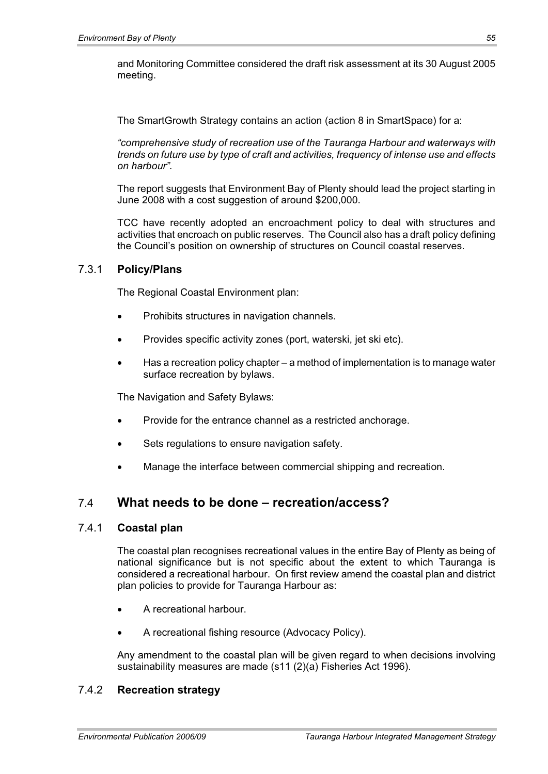and Monitoring Committee considered the draft risk assessment at its 30 August 2005 meeting.

The SmartGrowth Strategy contains an action (action 8 in SmartSpace) for a:

*"comprehensive study of recreation use of the Tauranga Harbour and waterways with trends on future use by type of craft and activities, frequency of intense use and effects on harbour".* 

The report suggests that Environment Bay of Plenty should lead the project starting in June 2008 with a cost suggestion of around \$200,000.

TCC have recently adopted an encroachment policy to deal with structures and activities that encroach on public reserves. The Council also has a draft policy defining the Council's position on ownership of structures on Council coastal reserves.

#### 7.3.1 **Policy/Plans**

The Regional Coastal Environment plan:

- Prohibits structures in navigation channels.
- Provides specific activity zones (port, waterski, jet ski etc).
- Has a recreation policy chapter a method of implementation is to manage water surface recreation by bylaws.

The Navigation and Safety Bylaws:

- Provide for the entrance channel as a restricted anchorage.
- Sets regulations to ensure navigation safety.
- Manage the interface between commercial shipping and recreation.

## 7.4 **What needs to be done – recreation/access?**

#### 7.4.1 **Coastal plan**

The coastal plan recognises recreational values in the entire Bay of Plenty as being of national significance but is not specific about the extent to which Tauranga is considered a recreational harbour. On first review amend the coastal plan and district plan policies to provide for Tauranga Harbour as:

- A recreational harbour.
- A recreational fishing resource (Advocacy Policy).

Any amendment to the coastal plan will be given regard to when decisions involving sustainability measures are made (s11 (2)(a) Fisheries Act 1996).

#### 7.4.2 **Recreation strategy**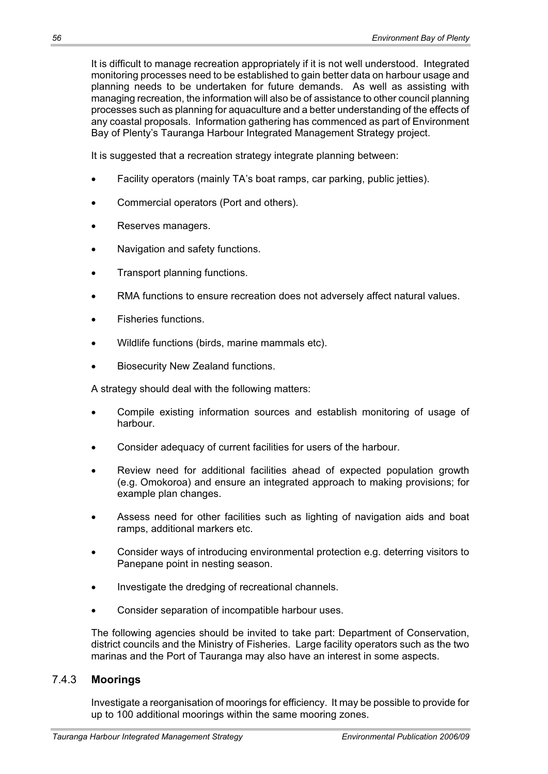It is difficult to manage recreation appropriately if it is not well understood. Integrated monitoring processes need to be established to gain better data on harbour usage and planning needs to be undertaken for future demands. As well as assisting with managing recreation, the information will also be of assistance to other council planning processes such as planning for aquaculture and a better understanding of the effects of any coastal proposals. Information gathering has commenced as part of Environment Bay of Plenty's Tauranga Harbour Integrated Management Strategy project.

It is suggested that a recreation strategy integrate planning between:

- Facility operators (mainly TA's boat ramps, car parking, public jetties).
- Commercial operators (Port and others).
- Reserves managers.
- Navigation and safety functions.
- Transport planning functions.
- RMA functions to ensure recreation does not adversely affect natural values.
- x Fisheries functions.
- Wildlife functions (birds, marine mammals etc).
- Biosecurity New Zealand functions.

A strategy should deal with the following matters:

- Compile existing information sources and establish monitoring of usage of harbour.
- Consider adequacy of current facilities for users of the harbour.
- Review need for additional facilities ahead of expected population growth (e.g. Omokoroa) and ensure an integrated approach to making provisions; for example plan changes.
- Assess need for other facilities such as lighting of navigation aids and boat ramps, additional markers etc.
- Consider ways of introducing environmental protection e.g. deterring visitors to Panepane point in nesting season.
- Investigate the dredging of recreational channels.
- Consider separation of incompatible harbour uses.

The following agencies should be invited to take part: Department of Conservation, district councils and the Ministry of Fisheries. Large facility operators such as the two marinas and the Port of Tauranga may also have an interest in some aspects.

## 7.4.3 **Moorings**

Investigate a reorganisation of moorings for efficiency. It may be possible to provide for up to 100 additional moorings within the same mooring zones.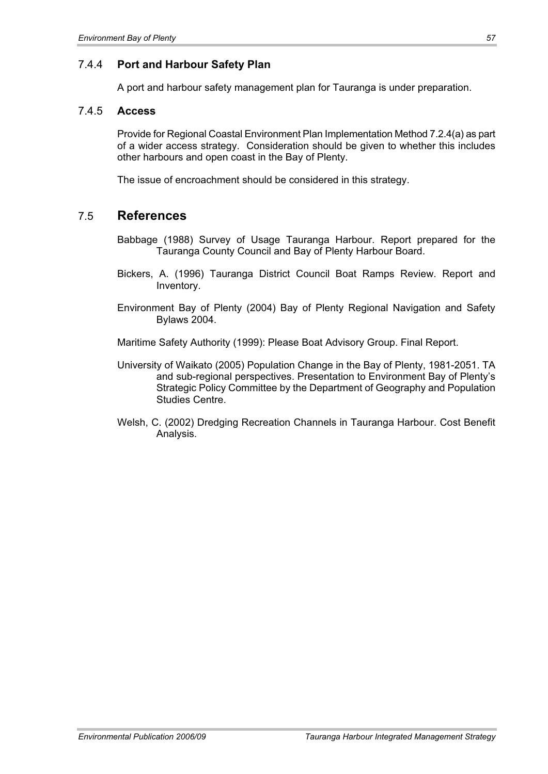## 7.4.4 **Port and Harbour Safety Plan**

A port and harbour safety management plan for Tauranga is under preparation.

#### 7.4.5 **Access**

Provide for Regional Coastal Environment Plan Implementation Method 7.2.4(a) as part of a wider access strategy. Consideration should be given to whether this includes other harbours and open coast in the Bay of Plenty.

The issue of encroachment should be considered in this strategy.

## 7.5 **References**

Babbage (1988) Survey of Usage Tauranga Harbour. Report prepared for the Tauranga County Council and Bay of Plenty Harbour Board.

- Bickers, A. (1996) Tauranga District Council Boat Ramps Review. Report and Inventory.
- Environment Bay of Plenty (2004) Bay of Plenty Regional Navigation and Safety Bylaws 2004.
- Maritime Safety Authority (1999): Please Boat Advisory Group. Final Report.
- University of Waikato (2005) Population Change in the Bay of Plenty, 1981-2051. TA and sub-regional perspectives. Presentation to Environment Bay of Plenty's Strategic Policy Committee by the Department of Geography and Population Studies Centre.
- Welsh, C. (2002) Dredging Recreation Channels in Tauranga Harbour. Cost Benefit Analysis.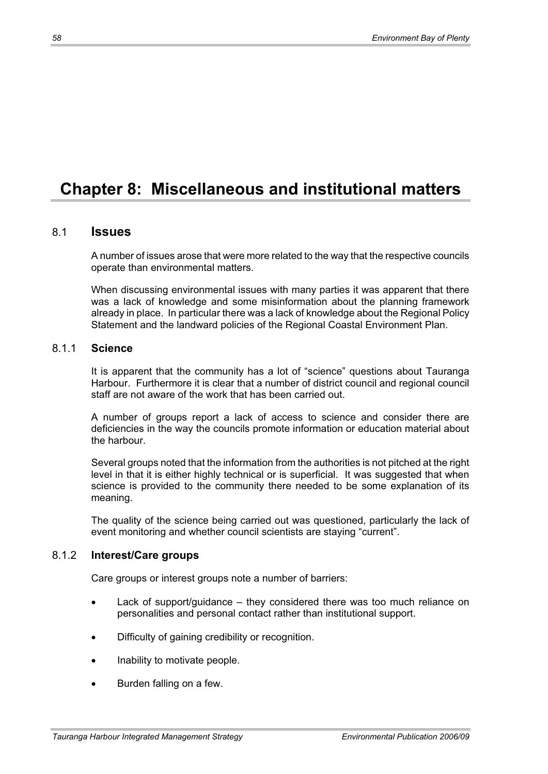# **Chapter 8: Miscellaneous and institutional matters**

## 8.1 **Issues**

A number of issues arose that were more related to the way that the respective councils operate than environmental matters.

When discussing environmental issues with many parties it was apparent that there was a lack of knowledge and some misinformation about the planning framework already in place. In particular there was a lack of knowledge about the Regional Policy Statement and the landward policies of the Regional Coastal Environment Plan.

## 8.1.1 **Science**

It is apparent that the community has a lot of "science" questions about Tauranga Harbour. Furthermore it is clear that a number of district council and regional council staff are not aware of the work that has been carried out.

A number of groups report a lack of access to science and consider there are deficiencies in the way the councils promote information or education material about the harbour.

Several groups noted that the information from the authorities is not pitched at the right level in that it is either highly technical or is superficial. It was suggested that when science is provided to the community there needed to be some explanation of its meaning.

The quality of the science being carried out was questioned, particularly the lack of event monitoring and whether council scientists are staying "current".

#### 8.1.2 **Interest/Care groups**

Care groups or interest groups note a number of barriers:

- Lack of support/guidance they considered there was too much reliance on personalities and personal contact rather than institutional support.
- Difficulty of gaining credibility or recognition.
- Inability to motivate people.
- Burden falling on a few.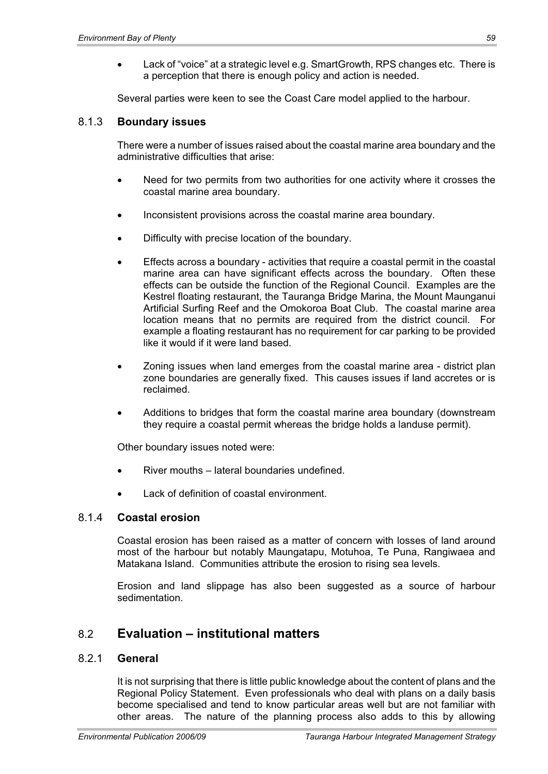Lack of "voice" at a strategic level e.g. SmartGrowth, RPS changes etc. There is a perception that there is enough policy and action is needed.

Several parties were keen to see the Coast Care model applied to the harbour.

#### 8.1.3 **Boundary issues**

There were a number of issues raised about the coastal marine area boundary and the administrative difficulties that arise:

- Need for two permits from two authorities for one activity where it crosses the coastal marine area boundary.
- Inconsistent provisions across the coastal marine area boundary.
- Difficulty with precise location of the boundary.
- Effects across a boundary activities that require a coastal permit in the coastal marine area can have significant effects across the boundary. Often these effects can be outside the function of the Regional Council. Examples are the Kestrel floating restaurant, the Tauranga Bridge Marina, the Mount Maunganui Artificial Surfing Reef and the Omokoroa Boat Club. The coastal marine area location means that no permits are required from the district council. For example a floating restaurant has no requirement for car parking to be provided like it would if it were land based.
- x Zoning issues when land emerges from the coastal marine area district plan zone boundaries are generally fixed. This causes issues if land accretes or is reclaimed.
- Additions to bridges that form the coastal marine area boundary (downstream they require a coastal permit whereas the bridge holds a landuse permit).

Other boundary issues noted were:

- River mouths lateral boundaries undefined.
- Lack of definition of coastal environment.

## 8.1.4 **Coastal erosion**

Coastal erosion has been raised as a matter of concern with losses of land around most of the harbour but notably Maungatapu, Motuhoa, Te Puna, Rangiwaea and Matakana Island. Communities attribute the erosion to rising sea levels.

Erosion and land slippage has also been suggested as a source of harbour sedimentation.

## 8.2 **Evaluation – institutional matters**

#### 8.2.1 **General**

It is not surprising that there is little public knowledge about the content of plans and the Regional Policy Statement. Even professionals who deal with plans on a daily basis become specialised and tend to know particular areas well but are not familiar with other areas. The nature of the planning process also adds to this by allowing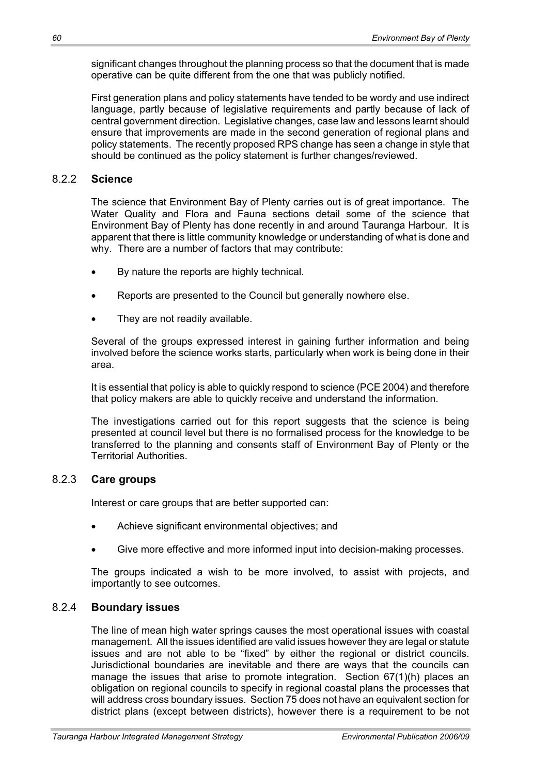significant changes throughout the planning process so that the document that is made operative can be quite different from the one that was publicly notified.

First generation plans and policy statements have tended to be wordy and use indirect language, partly because of legislative requirements and partly because of lack of central government direction. Legislative changes, case law and lessons learnt should ensure that improvements are made in the second generation of regional plans and policy statements. The recently proposed RPS change has seen a change in style that should be continued as the policy statement is further changes/reviewed.

#### 8.2.2 **Science**

The science that Environment Bay of Plenty carries out is of great importance. The Water Quality and Flora and Fauna sections detail some of the science that Environment Bay of Plenty has done recently in and around Tauranga Harbour. It is apparent that there is little community knowledge or understanding of what is done and why. There are a number of factors that may contribute:

- By nature the reports are highly technical.
- Reports are presented to the Council but generally nowhere else.
- They are not readily available.

Several of the groups expressed interest in gaining further information and being involved before the science works starts, particularly when work is being done in their area.

It is essential that policy is able to quickly respond to science (PCE 2004) and therefore that policy makers are able to quickly receive and understand the information.

The investigations carried out for this report suggests that the science is being presented at council level but there is no formalised process for the knowledge to be transferred to the planning and consents staff of Environment Bay of Plenty or the Territorial Authorities.

## 8.2.3 **Care groups**

Interest or care groups that are better supported can:

- Achieve significant environmental objectives; and
- Give more effective and more informed input into decision-making processes.

The groups indicated a wish to be more involved, to assist with projects, and importantly to see outcomes.

## 8.2.4 **Boundary issues**

The line of mean high water springs causes the most operational issues with coastal management. All the issues identified are valid issues however they are legal or statute issues and are not able to be "fixed" by either the regional or district councils. Jurisdictional boundaries are inevitable and there are ways that the councils can manage the issues that arise to promote integration. Section 67(1)(h) places an obligation on regional councils to specify in regional coastal plans the processes that will address cross boundary issues. Section 75 does not have an equivalent section for district plans (except between districts), however there is a requirement to be not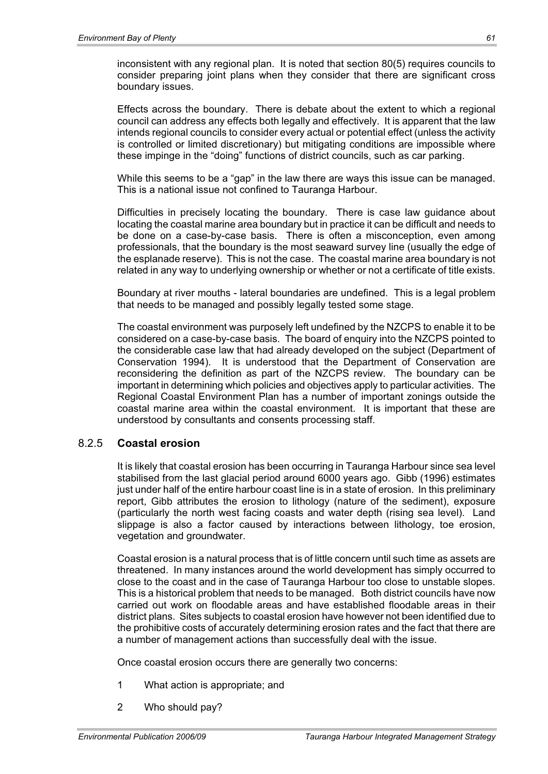inconsistent with any regional plan. It is noted that section 80(5) requires councils to consider preparing joint plans when they consider that there are significant cross boundary issues.

Effects across the boundary. There is debate about the extent to which a regional council can address any effects both legally and effectively. It is apparent that the law intends regional councils to consider every actual or potential effect (unless the activity is controlled or limited discretionary) but mitigating conditions are impossible where these impinge in the "doing" functions of district councils, such as car parking.

While this seems to be a "gap" in the law there are ways this issue can be managed. This is a national issue not confined to Tauranga Harbour.

Difficulties in precisely locating the boundary. There is case law guidance about locating the coastal marine area boundary but in practice it can be difficult and needs to be done on a case-by-case basis. There is often a misconception, even among professionals, that the boundary is the most seaward survey line (usually the edge of the esplanade reserve). This is not the case. The coastal marine area boundary is not related in any way to underlying ownership or whether or not a certificate of title exists.

Boundary at river mouths - lateral boundaries are undefined. This is a legal problem that needs to be managed and possibly legally tested some stage.

The coastal environment was purposely left undefined by the NZCPS to enable it to be considered on a case-by-case basis. The board of enquiry into the NZCPS pointed to the considerable case law that had already developed on the subject (Department of Conservation 1994). It is understood that the Department of Conservation are reconsidering the definition as part of the NZCPS review. The boundary can be important in determining which policies and objectives apply to particular activities. The Regional Coastal Environment Plan has a number of important zonings outside the coastal marine area within the coastal environment. It is important that these are understood by consultants and consents processing staff.

## 8.2.5 **Coastal erosion**

It is likely that coastal erosion has been occurring in Tauranga Harbour since sea level stabilised from the last glacial period around 6000 years ago. Gibb (1996) estimates just under half of the entire harbour coast line is in a state of erosion. In this preliminary report, Gibb attributes the erosion to lithology (nature of the sediment), exposure (particularly the north west facing coasts and water depth (rising sea level). Land slippage is also a factor caused by interactions between lithology, toe erosion, vegetation and groundwater.

Coastal erosion is a natural process that is of little concern until such time as assets are threatened. In many instances around the world development has simply occurred to close to the coast and in the case of Tauranga Harbour too close to unstable slopes. This is a historical problem that needs to be managed. Both district councils have now carried out work on floodable areas and have established floodable areas in their district plans. Sites subjects to coastal erosion have however not been identified due to the prohibitive costs of accurately determining erosion rates and the fact that there are a number of management actions than successfully deal with the issue.

Once coastal erosion occurs there are generally two concerns:

- 1 What action is appropriate; and
- 2 Who should pay?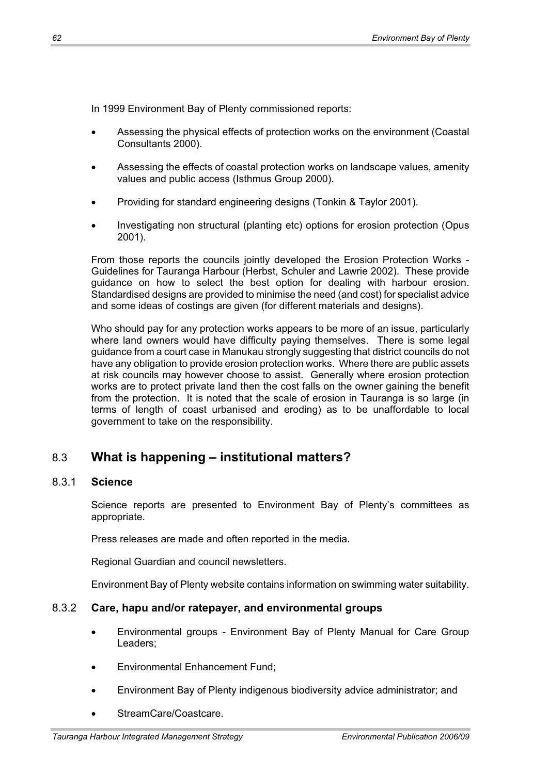In 1999 Environment Bay of Plenty commissioned reports:

- Assessing the physical effects of protection works on the environment (Coastal Consultants 2000).
- Assessing the effects of coastal protection works on landscape values, amenity values and public access (Isthmus Group 2000).
- Providing for standard engineering designs (Tonkin & Taylor 2001).
- Investigating non structural (planting etc) options for erosion protection (Opus 2001).

From those reports the councils jointly developed the Erosion Protection Works - Guidelines for Tauranga Harbour (Herbst, Schuler and Lawrie 2002). These provide guidance on how to select the best option for dealing with harbour erosion. Standardised designs are provided to minimise the need (and cost) for specialist advice and some ideas of costings are given (for different materials and designs).

Who should pay for any protection works appears to be more of an issue, particularly where land owners would have difficulty paying themselves. There is some legal guidance from a court case in Manukau strongly suggesting that district councils do not have any obligation to provide erosion protection works. Where there are public assets at risk councils may however choose to assist. Generally where erosion protection works are to protect private land then the cost falls on the owner gaining the benefit from the protection. It is noted that the scale of erosion in Tauranga is so large (in terms of length of coast urbanised and eroding) as to be unaffordable to local government to take on the responsibility.

# 8.3 **What is happening – institutional matters?**

#### 8.3.1 **Science**

Science reports are presented to Environment Bay of Plenty's committees as appropriate.

Press releases are made and often reported in the media.

Regional Guardian and council newsletters.

Environment Bay of Plenty website contains information on swimming water suitability.

## 8.3.2 **Care, hapu and/or ratepayer, and environmental groups**

- x Environmental groups Environment Bay of Plenty Manual for Care Group Leaders;
- Environmental Enhancement Fund;
- Environment Bay of Plenty indigenous biodiversity advice administrator; and
- StreamCare/Coastcare.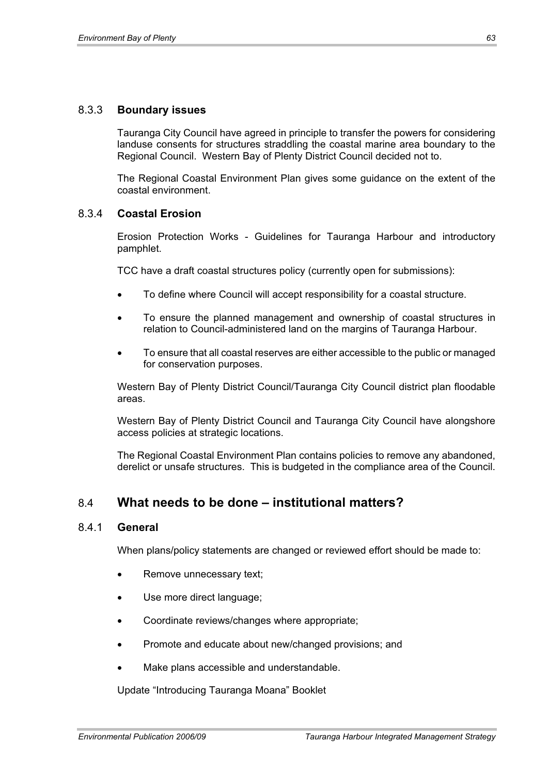#### 8.3.3 **Boundary issues**

Tauranga City Council have agreed in principle to transfer the powers for considering landuse consents for structures straddling the coastal marine area boundary to the Regional Council. Western Bay of Plenty District Council decided not to.

The Regional Coastal Environment Plan gives some guidance on the extent of the coastal environment.

#### 8.3.4 **Coastal Erosion**

Erosion Protection Works - Guidelines for Tauranga Harbour and introductory pamphlet.

TCC have a draft coastal structures policy (currently open for submissions):

- x To define where Council will accept responsibility for a coastal structure.
- To ensure the planned management and ownership of coastal structures in relation to Council-administered land on the margins of Tauranga Harbour.
- x To ensure that all coastal reserves are either accessible to the public or managed for conservation purposes.

Western Bay of Plenty District Council/Tauranga City Council district plan floodable areas.

Western Bay of Plenty District Council and Tauranga City Council have alongshore access policies at strategic locations.

The Regional Coastal Environment Plan contains policies to remove any abandoned, derelict or unsafe structures. This is budgeted in the compliance area of the Council.

## 8.4 **What needs to be done – institutional matters?**

#### 8.4.1 **General**

When plans/policy statements are changed or reviewed effort should be made to:

- Remove unnecessary text;
- Use more direct language;
- Coordinate reviews/changes where appropriate;
- Promote and educate about new/changed provisions; and
- Make plans accessible and understandable.

Update "Introducing Tauranga Moana" Booklet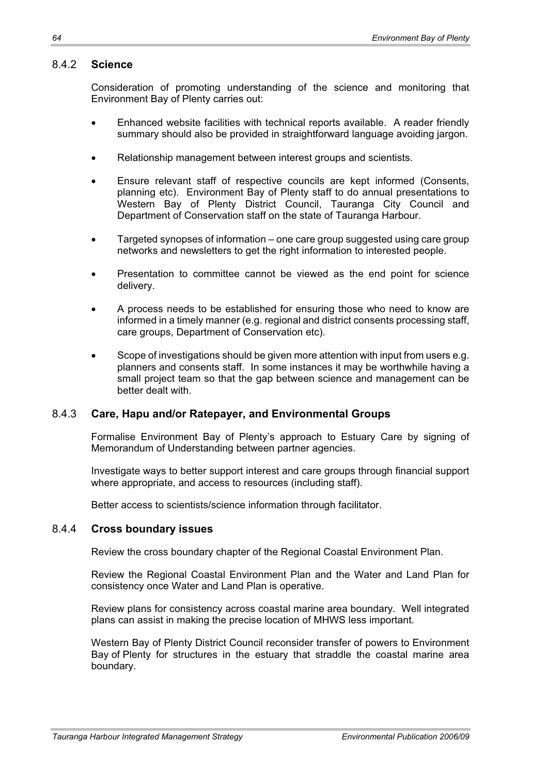#### 8.4.2 **Science**

Consideration of promoting understanding of the science and monitoring that Environment Bay of Plenty carries out:

- Enhanced website facilities with technical reports available. A reader friendly summary should also be provided in straightforward language avoiding jargon.
- Relationship management between interest groups and scientists.
- Ensure relevant staff of respective councils are kept informed (Consents, planning etc). Environment Bay of Plenty staff to do annual presentations to Western Bay of Plenty District Council, Tauranga City Council and Department of Conservation staff on the state of Tauranga Harbour.
- Targeted synopses of information one care group suggested using care group networks and newsletters to get the right information to interested people.
- Presentation to committee cannot be viewed as the end point for science delivery.
- A process needs to be established for ensuring those who need to know are informed in a timely manner (e.g. regional and district consents processing staff, care groups, Department of Conservation etc).
- Scope of investigations should be given more attention with input from users e.g. planners and consents staff. In some instances it may be worthwhile having a small project team so that the gap between science and management can be better dealt with.

## 8.4.3 **Care, Hapu and/or Ratepayer, and Environmental Groups**

Formalise Environment Bay of Plenty's approach to Estuary Care by signing of Memorandum of Understanding between partner agencies.

Investigate ways to better support interest and care groups through financial support where appropriate, and access to resources (including staff).

Better access to scientists/science information through facilitator.

#### 8.4.4 **Cross boundary issues**

Review the cross boundary chapter of the Regional Coastal Environment Plan.

Review the Regional Coastal Environment Plan and the Water and Land Plan for consistency once Water and Land Plan is operative.

Review plans for consistency across coastal marine area boundary. Well integrated plans can assist in making the precise location of MHWS less important.

Western Bay of Plenty District Council reconsider transfer of powers to Environment Bay of Plenty for structures in the estuary that straddle the coastal marine area boundary.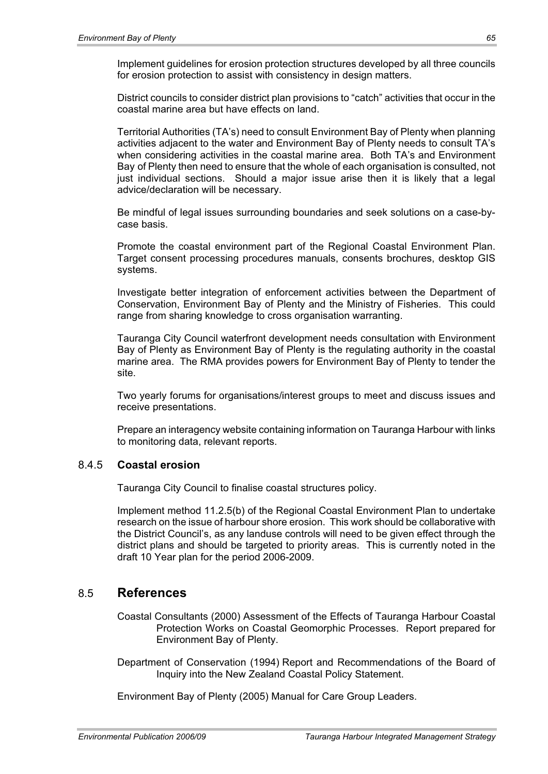Implement guidelines for erosion protection structures developed by all three councils for erosion protection to assist with consistency in design matters.

District councils to consider district plan provisions to "catch" activities that occur in the coastal marine area but have effects on land.

Territorial Authorities (TA's) need to consult Environment Bay of Plenty when planning activities adjacent to the water and Environment Bay of Plenty needs to consult TA's when considering activities in the coastal marine area. Both TA's and Environment Bay of Plenty then need to ensure that the whole of each organisation is consulted, not just individual sections. Should a major issue arise then it is likely that a legal advice/declaration will be necessary.

Be mindful of legal issues surrounding boundaries and seek solutions on a case-bycase basis.

Promote the coastal environment part of the Regional Coastal Environment Plan. Target consent processing procedures manuals, consents brochures, desktop GIS systems.

Investigate better integration of enforcement activities between the Department of Conservation, Environment Bay of Plenty and the Ministry of Fisheries. This could range from sharing knowledge to cross organisation warranting.

Tauranga City Council waterfront development needs consultation with Environment Bay of Plenty as Environment Bay of Plenty is the regulating authority in the coastal marine area. The RMA provides powers for Environment Bay of Plenty to tender the site.

Two yearly forums for organisations/interest groups to meet and discuss issues and receive presentations.

Prepare an interagency website containing information on Tauranga Harbour with links to monitoring data, relevant reports.

## 8.4.5 **Coastal erosion**

Tauranga City Council to finalise coastal structures policy.

Implement method 11.2.5(b) of the Regional Coastal Environment Plan to undertake research on the issue of harbour shore erosion. This work should be collaborative with the District Council's, as any landuse controls will need to be given effect through the district plans and should be targeted to priority areas. This is currently noted in the draft 10 Year plan for the period 2006-2009.

## 8.5 **References**

Coastal Consultants (2000) Assessment of the Effects of Tauranga Harbour Coastal Protection Works on Coastal Geomorphic Processes. Report prepared for Environment Bay of Plenty.

Department of Conservation (1994) Report and Recommendations of the Board of Inquiry into the New Zealand Coastal Policy Statement.

Environment Bay of Plenty (2005) Manual for Care Group Leaders.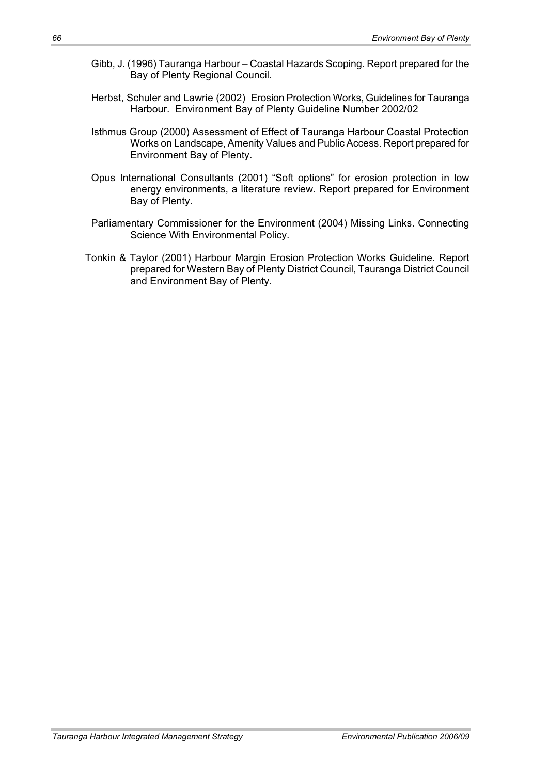- Gibb, J. (1996) Tauranga Harbour Coastal Hazards Scoping. Report prepared for the Bay of Plenty Regional Council.
- Herbst, Schuler and Lawrie (2002) Erosion Protection Works, Guidelines for Tauranga Harbour. Environment Bay of Plenty Guideline Number 2002/02
- Isthmus Group (2000) Assessment of Effect of Tauranga Harbour Coastal Protection Works on Landscape, Amenity Values and Public Access. Report prepared for Environment Bay of Plenty.
- Opus International Consultants (2001) "Soft options" for erosion protection in low energy environments, a literature review. Report prepared for Environment Bay of Plenty.
- Parliamentary Commissioner for the Environment (2004) Missing Links. Connecting Science With Environmental Policy.
- Tonkin & Taylor (2001) Harbour Margin Erosion Protection Works Guideline. Report prepared for Western Bay of Plenty District Council, Tauranga District Council and Environment Bay of Plenty.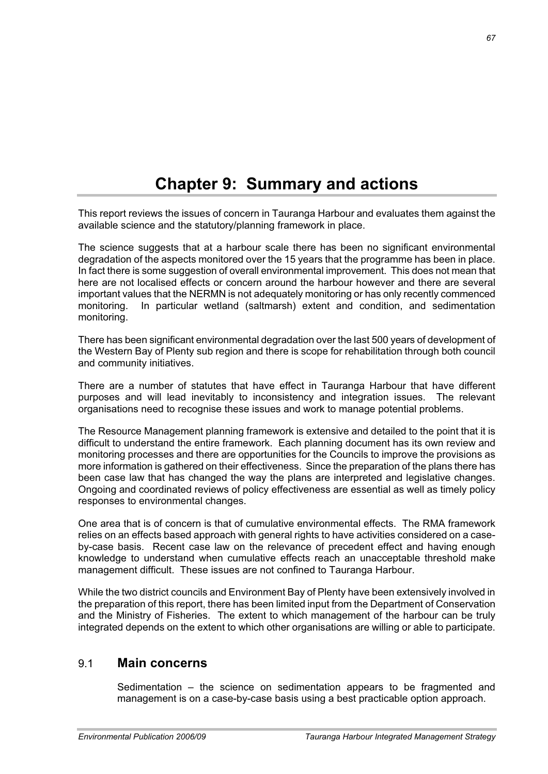## **Chapter 9: Summary and actions**

This report reviews the issues of concern in Tauranga Harbour and evaluates them against the available science and the statutory/planning framework in place.

The science suggests that at a harbour scale there has been no significant environmental degradation of the aspects monitored over the 15 years that the programme has been in place. In fact there is some suggestion of overall environmental improvement. This does not mean that here are not localised effects or concern around the harbour however and there are several important values that the NERMN is not adequately monitoring or has only recently commenced monitoring. In particular wetland (saltmarsh) extent and condition, and sedimentation monitoring.

There has been significant environmental degradation over the last 500 years of development of the Western Bay of Plenty sub region and there is scope for rehabilitation through both council and community initiatives.

There are a number of statutes that have effect in Tauranga Harbour that have different purposes and will lead inevitably to inconsistency and integration issues. The relevant organisations need to recognise these issues and work to manage potential problems.

The Resource Management planning framework is extensive and detailed to the point that it is difficult to understand the entire framework. Each planning document has its own review and monitoring processes and there are opportunities for the Councils to improve the provisions as more information is gathered on their effectiveness. Since the preparation of the plans there has been case law that has changed the way the plans are interpreted and legislative changes. Ongoing and coordinated reviews of policy effectiveness are essential as well as timely policy responses to environmental changes.

One area that is of concern is that of cumulative environmental effects. The RMA framework relies on an effects based approach with general rights to have activities considered on a caseby-case basis. Recent case law on the relevance of precedent effect and having enough knowledge to understand when cumulative effects reach an unacceptable threshold make management difficult. These issues are not confined to Tauranga Harbour.

While the two district councils and Environment Bay of Plenty have been extensively involved in the preparation of this report, there has been limited input from the Department of Conservation and the Ministry of Fisheries. The extent to which management of the harbour can be truly integrated depends on the extent to which other organisations are willing or able to participate.

## 9.1 **Main concerns**

Sedimentation – the science on sedimentation appears to be fragmented and management is on a case-by-case basis using a best practicable option approach.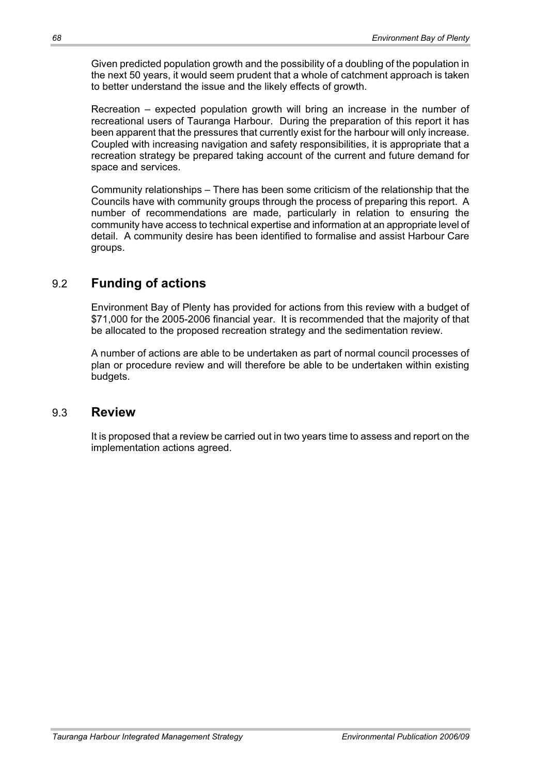Given predicted population growth and the possibility of a doubling of the population in the next 50 years, it would seem prudent that a whole of catchment approach is taken to better understand the issue and the likely effects of growth.

Recreation – expected population growth will bring an increase in the number of recreational users of Tauranga Harbour. During the preparation of this report it has been apparent that the pressures that currently exist for the harbour will only increase. Coupled with increasing navigation and safety responsibilities, it is appropriate that a recreation strategy be prepared taking account of the current and future demand for space and services.

Community relationships – There has been some criticism of the relationship that the Councils have with community groups through the process of preparing this report. A number of recommendations are made, particularly in relation to ensuring the community have access to technical expertise and information at an appropriate level of detail. A community desire has been identified to formalise and assist Harbour Care groups.

## 9.2 **Funding of actions**

Environment Bay of Plenty has provided for actions from this review with a budget of \$71,000 for the 2005-2006 financial year. It is recommended that the majority of that be allocated to the proposed recreation strategy and the sedimentation review.

A number of actions are able to be undertaken as part of normal council processes of plan or procedure review and will therefore be able to be undertaken within existing budgets.

## 9.3 **Review**

It is proposed that a review be carried out in two years time to assess and report on the implementation actions agreed.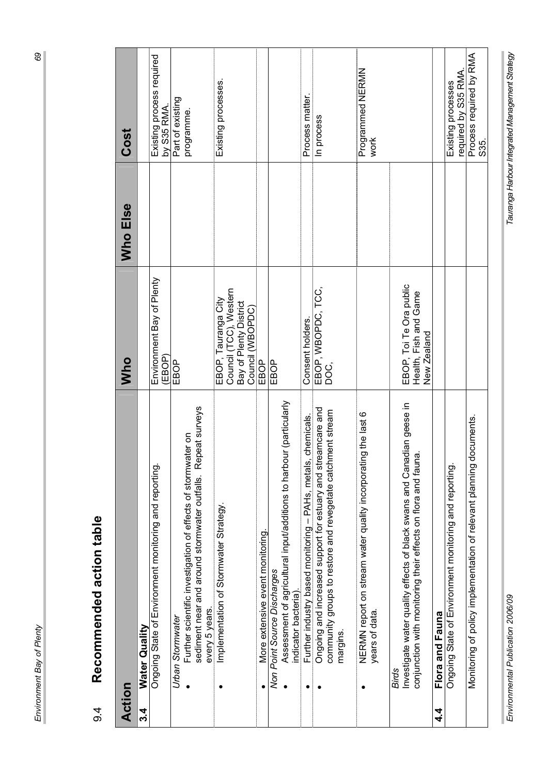|                | ï           |
|----------------|-------------|
|                | ١           |
| $\mathbf{I}$   |             |
|                | ۱           |
|                |             |
| $\overline{a}$ | I<br>I      |
|                |             |
|                | l<br>١      |
|                | ļ           |
|                |             |
|                | ׇׇ֦֝֬֓֕֓֡   |
|                | l<br>Į<br>j |
|                |             |

69

| Action |                                                                                                                                                  | Who                                                                                          | Who Else | Cost                                      |
|--------|--------------------------------------------------------------------------------------------------------------------------------------------------|----------------------------------------------------------------------------------------------|----------|-------------------------------------------|
| 3.4    | Water Quality                                                                                                                                    |                                                                                              |          |                                           |
|        | Ongoing State of Environment monitoring and reporting.                                                                                           | Environment Bay of Plenty<br>(EBOP)                                                          |          | Existing process required<br>by $S35$ RMA |
|        | sediment near and around stormwater outfalls. Repeat surveys<br>Further scientific investigation of effects of stormwater on<br>Urban Stormwater | EBOP                                                                                         |          | Part of existing<br>programme.            |
|        | Implementation of Stormwater Strategy.<br>every 5 years.                                                                                         | Council (TCC), Western<br>EBOP, Tauranga City<br>Bay of Plenty District<br>Council (VVBOPDC) |          | Existing processes.                       |
|        | More extensive event monitoring                                                                                                                  | EBOP                                                                                         |          |                                           |
|        | Assessment of agricultural input/additions to harbour (particularly<br>Non Point Source Discharges<br>indicator bacteria).                       | EBOP                                                                                         |          |                                           |
|        | Further industry based monitoring - PAHs, metals, chemicals.                                                                                     | Consent holders.                                                                             |          | Process matter.                           |
|        | Ongoing and increased support for estuary and streamcare and<br>community groups to restore and revegetate catchment stream<br>margins.          | EBOP, WBOPDC, TCC,<br>DOC,                                                                   |          | In process                                |
|        | NERMN report on stream water quality incorporating the last 6<br>years of data                                                                   |                                                                                              |          | Programmed NERMN<br>work                  |
|        | Investigate water quality effects of black swans and Canadian geese in<br>conjunction with monitoring their effects on flora and fauna.<br>Birds | EBOP, Toi Te Ora public<br>Health, Fish and Game<br>New Zealand                              |          |                                           |
| 4.     | Flora and Fauna                                                                                                                                  |                                                                                              |          |                                           |
|        | Ongoing State of Environment monitoring and reporting.                                                                                           |                                                                                              |          | required by S35 RMA<br>Existing processes |
|        | documents.<br>Monitoring of policy implementation of relevant planning                                                                           |                                                                                              |          | Process required by RMA<br>S35.           |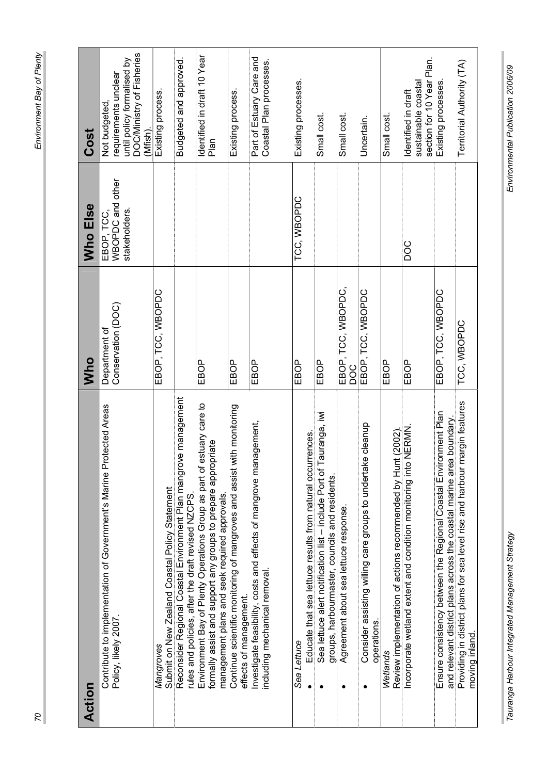| Action                                                                                                                                                                                    | Who                                 | Who Else                                        | Cost                                                                                                        |
|-------------------------------------------------------------------------------------------------------------------------------------------------------------------------------------------|-------------------------------------|-------------------------------------------------|-------------------------------------------------------------------------------------------------------------|
| Contribute to implementation of Government's Marine Protected Areas<br>Policy, likely 2007                                                                                                | Conservation (DOC)<br>Department of | WBOPDC and other<br>stakeholders.<br>EBOP, TCC, | DOC/Ministry of Fisheries<br>until policy formalised by<br>requirements unclear<br>Not budgeted,<br>Wfish). |
| Submit on New Zealand Coastal Policy Statement<br>Mangroves                                                                                                                               | EBOP, TCC, WBOPDC                   |                                                 | Existing process.                                                                                           |
| Reconsider Regional Coastal Environment Plan mangrove management<br>rules and policies, after the draft revised NZCPS.                                                                    |                                     |                                                 | Budgeted and approved.                                                                                      |
| estuary care to<br>formally assist and support any groups to prepare appropriate<br>Environment Bay of Plenty Operations Group as part of<br>management plans and seek required approvals | EBOP                                |                                                 | Identified in draft 10 Year<br>Plan                                                                         |
| Continue scientific monitoring of mangroves and assist with monitoring<br>effects of management.                                                                                          | EBOP                                |                                                 | Existing process.                                                                                           |
| Investigate feasibility, costs and effects of mangrove management,<br>including mechanical removal.                                                                                       | EBOP                                |                                                 | Part of Estuary Care and<br>Coastal Plan processes.                                                         |
| Educate that sea lettuce results from natural occurrences<br>Sea Lettuce                                                                                                                  | EBOP                                | TCC, WBOPDC                                     | Existing processes.                                                                                         |
| auranga, iwi<br>Sea lettuce alert notification list - include Port of<br>groups, harbourmaster, councils and residents                                                                    | EBOP                                |                                                 | Small cost                                                                                                  |
| Agreement about sea lettuce response.                                                                                                                                                     | EBOP, TCC, WBOPDC,<br>DOC           |                                                 | Small cost                                                                                                  |
| Consider assisting willing care groups to undertake cleanup<br>operations.                                                                                                                | EBOP, TCC, WBOPDC                   |                                                 | Uncertain.                                                                                                  |
| Review implementation of actions recommended by Hunt (2002).<br>Wetlands                                                                                                                  | EBOP                                |                                                 | Small cost                                                                                                  |
| Incorporate wetland extent and condition monitoring into NERMN                                                                                                                            | EBOP                                | DOC                                             | section for 10 Year Plan.<br>sustainable coastal<br>Identified in draft                                     |
| Ensure consistency between the Regional Coastal Environment Plan<br>and relevant district plans across the coastal marine area boundary.                                                  | EBOP, TCC, WBOPDC                   |                                                 | Existing processes                                                                                          |
| margin features<br>Providing in district plans for sea level rise and harbour<br>moving inland.                                                                                           | TCC, WBOPDC                         |                                                 | Territorial Authority (TA)                                                                                  |

Ì.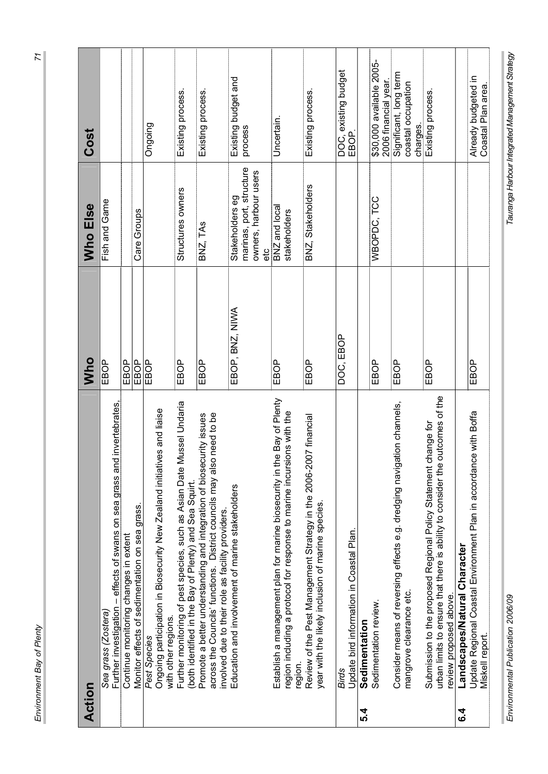|   | i                                                           |
|---|-------------------------------------------------------------|
|   | $\overline{\phantom{a}}$                                    |
|   |                                                             |
|   | í<br>֠                                                      |
| I | ֠<br>I                                                      |
|   | I<br>֚֘֝                                                    |
|   | ׇ֦֖֖֚֚֚֚֚֝֬ <u>֓</u><br>$\overline{\phantom{a}}$<br>ׇ֚֬֓֕֓֡ |
|   | ļ                                                           |
|   | I<br>l<br>l<br>j<br>֠                                       |

 $\overline{z}$ 

| Action  |                                                                                                                                                                                                    | <b>Who</b>      | Who Else                                                                    | Cost                                                     |
|---------|----------------------------------------------------------------------------------------------------------------------------------------------------------------------------------------------------|-----------------|-----------------------------------------------------------------------------|----------------------------------------------------------|
|         | invertebrates,<br>Further investigation - effects of swans on sea grass and<br>Sea grass (Zostera)                                                                                                 | EBOP            | Fish and Game                                                               |                                                          |
|         | Continue monitoring changes in extent                                                                                                                                                              | EBOP            |                                                                             |                                                          |
|         | Monitor effects of sedimentation on sea grass.                                                                                                                                                     | EBOP            | Care Groups                                                                 |                                                          |
|         | Ongoing participation in Biosecurity New Zealand initiatives and liaise<br>with other regions.<br>Pest Species                                                                                     | EBOP            |                                                                             | Ongoing                                                  |
|         | Further monitoring of pest species, such as Asian Date Mussel Undaria<br>(both identified in the Bay of Plenty) and Sea Squirt,                                                                    | EBOP            | Structures owners                                                           | Existing process.                                        |
|         | Promote a better understanding and integration of biosecurity issues<br>across the Councils' functions. District councils may also need to be<br>involved due to their role as facility providers. | EBOP            | BNZ, TAS                                                                    | Existing process.                                        |
|         | Education and involvement of marine stakeholders                                                                                                                                                   | EBOP, BNZ, NIWA | marinas, port, structure<br>owners, harbour users<br>Stakeholders eg<br>etc | Existing budget and<br>process                           |
|         | Establish a management plan for marine biosecurity in the Bay of Plenty<br>region including a protocol for response to marine incursions with the<br>region                                        | EBOP            | BNZ and local<br>stakeholders                                               | Uncertain.                                               |
|         | Review of the Pest Management Strategy in the 2006-2007 financial<br>year with the likely inclusion of marine species.                                                                             | EBOP            | BNZ, Stakeholders                                                           | Existing process.                                        |
| 5.4     | Update bird information in Coastal Plan.<br>Sedimentation<br>Birds                                                                                                                                 | DOC, EBOP       |                                                                             | DOC, existing budget<br>EBOP.                            |
|         | Sedimentation review.                                                                                                                                                                              | EBOP            | WBOPDC, TCC                                                                 | \$30,000 available 2005-<br>2006 financial year.         |
|         | Consider means of reversing effects e.g. dredging navigation channels,<br>mangrove clearance etc.                                                                                                  | EBOP            |                                                                             | Significant, long term<br>coastal occupation<br>charges. |
|         | urban limits to ensure that there is ability to consider the outcomes of the<br>Submission to the proposed Regional Policy Statement change for<br>review proposed above.                          | EBOP            |                                                                             | Existing process.                                        |
| ბ.<br>ბ | Landscapes/Natural Character                                                                                                                                                                       |                 |                                                                             |                                                          |
|         | Update Regional Coastal Environment Plan in accordance with Boffa<br>Miskell report                                                                                                                | EBOP            |                                                                             | Already budgeted in<br>Coastal Plan area                 |

ľ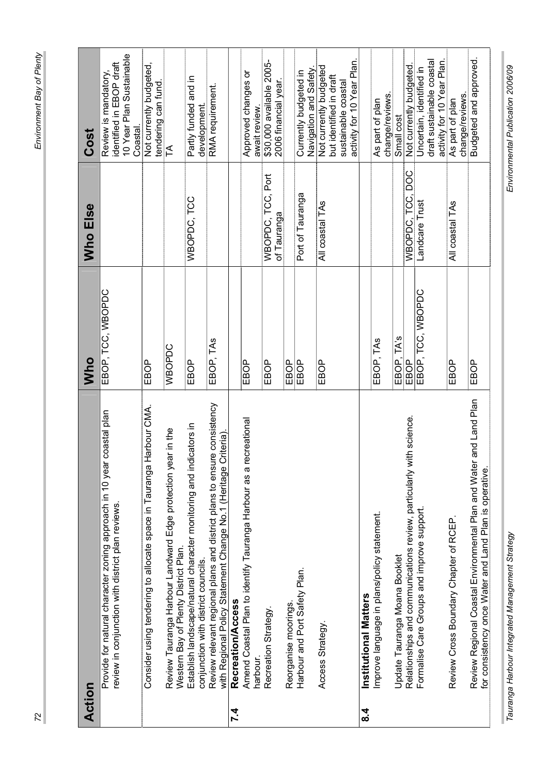| <b>Action</b> |                                                                                                                                               | Who               | Who Else                                | Cost                                                                                                   |
|---------------|-----------------------------------------------------------------------------------------------------------------------------------------------|-------------------|-----------------------------------------|--------------------------------------------------------------------------------------------------------|
|               | coastal plan<br>Provide for natural character zoning approach in 10 year<br>review in conjunction with district plan reviews.                 | EBOP, TCC, WBOPDC |                                         | 10 Year Plan Sustainable<br>identified in EBOP draft<br>Review is mandatory,<br>Coastal.               |
|               | larbour CMA.<br>Consider using tendering to allocate space in Tauranga H                                                                      | EBOP              |                                         | Not currently budgeted,<br>tendering can fund                                                          |
|               | Review Tauranga Harbour Landward Edge protection year in the<br>Western Bay of Plenty District Plan.                                          | WBOPDC            |                                         | F                                                                                                      |
|               | icators in<br>Establish landscape/natural character monitoring and ind<br>conjunction with district councils.                                 | EBOP              | WBOPDC, TCC                             | Partly funded and in<br>development                                                                    |
|               | e consistency<br>with Regional Policy Statement Change No.1 (Heritage Criteria)<br>Review relevant regional plans and district plans to ensur | EBOP, TAS         |                                         | RMA requirement.                                                                                       |
| 7.4           | Recreation/Access                                                                                                                             |                   |                                         |                                                                                                        |
|               | Amend Coastal Plan to identify Tauranga Harbour as a recreational<br>harbour                                                                  | EBOP              |                                         | Approved changes or<br>await review.                                                                   |
|               | Recreation Strategy                                                                                                                           | EBOP              | <b>WBOPDC, TCC, Port</b><br>of Tauranga | \$30,000 available 2005-<br>2006 financial year.                                                       |
|               | Reorganise moorings                                                                                                                           | EBOP              |                                         |                                                                                                        |
|               | Harbour and Port Safety Plan.                                                                                                                 | EBOP              | Port of Tauranga                        | Navigation and Safety<br>Currently budgeted in                                                         |
|               | Access Strategy                                                                                                                               | EBOP              | All coastal TAs                         | activity for 10 Year Plan.<br>Not currently budgeted<br>but identified in draft<br>sustainable coastal |
| $\frac{4}{3}$ | Institutional Matters                                                                                                                         |                   |                                         |                                                                                                        |
|               | Improve language in plans/policy statement                                                                                                    | EBOP, TAS         |                                         | change/reviews.<br>As part of plan                                                                     |
|               | Update Tauranga Moana Booklet                                                                                                                 | TA's<br>EBOP,     |                                         | Small cost                                                                                             |
|               | th science<br>Relationships and communications review, particularly wi                                                                        | EBOP              | WBOPDC, TCC, DOC                        | Not currently budgeted.                                                                                |
|               | Formalise Care Groups and improve support                                                                                                     | EBOP, TCC, WBOPDC | Landcare Trust                          | draft sustainable coastal<br>activity for 10 Year Plan.<br>Uncertain, identified in                    |
|               | Review Cross Boundary Chapter of RCEP                                                                                                         | EBOP              | All coastal TAs                         | change/reviews.<br>As part of plan                                                                     |
|               | and Land Plan<br>Review Regional Coastal Environmental Plan and Water<br>for consistency once Water and Land Plan is operative.               | EBOP              |                                         | Budgeted and approved.                                                                                 |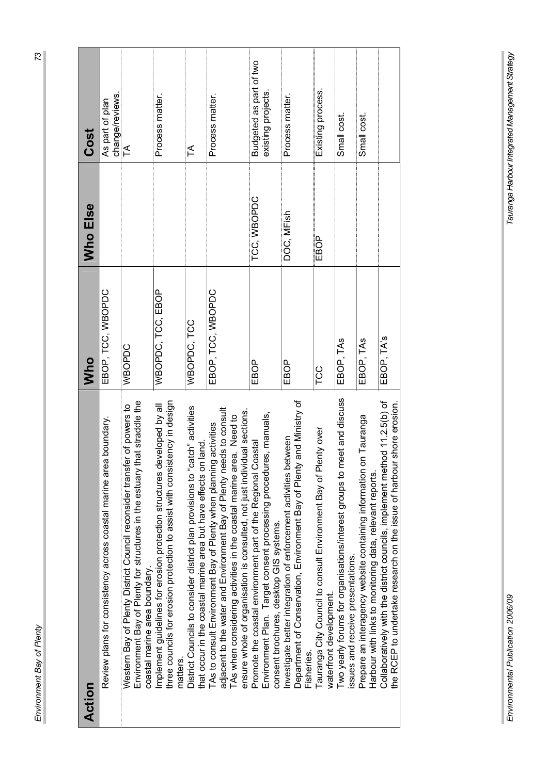|                | l<br>l                   |
|----------------|--------------------------|
|                |                          |
|                |                          |
|                |                          |
|                |                          |
|                |                          |
|                |                          |
|                |                          |
|                |                          |
|                |                          |
|                |                          |
|                |                          |
|                |                          |
|                |                          |
|                |                          |
|                |                          |
|                |                          |
|                |                          |
|                |                          |
|                |                          |
|                |                          |
|                |                          |
|                |                          |
|                |                          |
|                |                          |
|                |                          |
|                |                          |
|                |                          |
|                |                          |
|                |                          |
|                |                          |
|                |                          |
|                |                          |
|                |                          |
|                |                          |
|                |                          |
|                |                          |
|                |                          |
|                |                          |
|                |                          |
|                |                          |
|                |                          |
|                |                          |
|                |                          |
|                |                          |
|                |                          |
|                |                          |
|                |                          |
|                |                          |
|                |                          |
|                |                          |
|                |                          |
|                |                          |
|                |                          |
|                |                          |
|                |                          |
|                |                          |
|                |                          |
|                |                          |
|                |                          |
|                |                          |
|                |                          |
|                |                          |
|                |                          |
|                |                          |
|                |                          |
|                |                          |
|                |                          |
|                |                          |
|                |                          |
|                |                          |
|                |                          |
|                |                          |
|                |                          |
|                |                          |
|                |                          |
|                |                          |
|                |                          |
|                |                          |
|                |                          |
|                | ï                        |
|                | ١                        |
|                | $\overline{\phantom{a}}$ |
|                |                          |
|                |                          |
|                |                          |
| $\overline{a}$ | į<br>I                   |
|                |                          |
|                | ١                        |
|                |                          |
|                |                          |
|                | ׇׇ֦֝֬֓֕֓֡֡<br>I<br>į     |

 $\overline{73}$ 

| Action                                                                                                                                                                                                                                                                                           | Who               | Who Else    | Cost                                          |
|--------------------------------------------------------------------------------------------------------------------------------------------------------------------------------------------------------------------------------------------------------------------------------------------------|-------------------|-------------|-----------------------------------------------|
| boundary.<br>Review plans for consistency across coastal marine area                                                                                                                                                                                                                             | EBOP, TCC, WBOPDC |             | change/reviews<br>As part of plan             |
| Environment Bay of Plenty for structures in the estuary that straddle the<br>of powers to<br>Western Bay of Plenty District Council reconsider transfer<br>coastal marine area boundary.                                                                                                         | WBOPDC            |             | $\preceq$                                     |
| three councils for erosion protection to assist with consistency in design<br>Implement guidelines for erosion protection structures developed by all<br>matters.                                                                                                                                | WBOPDC, TCC, EBOP |             | Process matter.                               |
| District Councils to consider district plan provisions to "catch" activities<br>that occur in the coastal marine area but have effects on land.                                                                                                                                                  | WBOPDC, TCC       |             | F                                             |
| adjacent to the water and Environment Bay of Plenty needs to consult<br>ensure whole of organisation is consulted, not just individual sections<br>I. Need to<br>TAs to consult Environment Bay of Plenty when planning activities<br>TAs when considering activities in the coastal marine area | EBOP, TCC, WBOPDC |             | Process matter.                               |
| Environment Plan. Target consent processing procedures, manuals,<br>Promote the coastal environment part of the Regional Coastal<br>consent brochures, desktop GIS systems.                                                                                                                      | EBOP              | TCC, WBOPDC | Budgeted as part of two<br>existing projects. |
| Department of Conservation, Environment Bay of Plenty and Ministry of<br>Investigate better integration of enforcement activities between<br>Fisheries.                                                                                                                                          | EBOP              | DOC, MFish  | Process matter.                               |
| Tauranga City Council to consult Environment Bay of Plenty over<br>waterfront development.                                                                                                                                                                                                       | TCC               | EBOP        | Existing process.                             |
| Two yearly forums for organisations/interest groups to meet and discuss<br>issues and receive presentations.                                                                                                                                                                                     | EBOP, TAS         |             | Small cost.                                   |
| Prepare an interagency website containing information on Tauranga<br>Harbour with links to monitoring data, relevant reports.                                                                                                                                                                    | EBOP, TAS         |             | Small cost.                                   |
| Collaboratively with the district councils, implement method 11.2.5(b) of<br>the RCEP to undertake research on the issue of harbour shore erosion.                                                                                                                                               | EBOP, TA's        |             |                                               |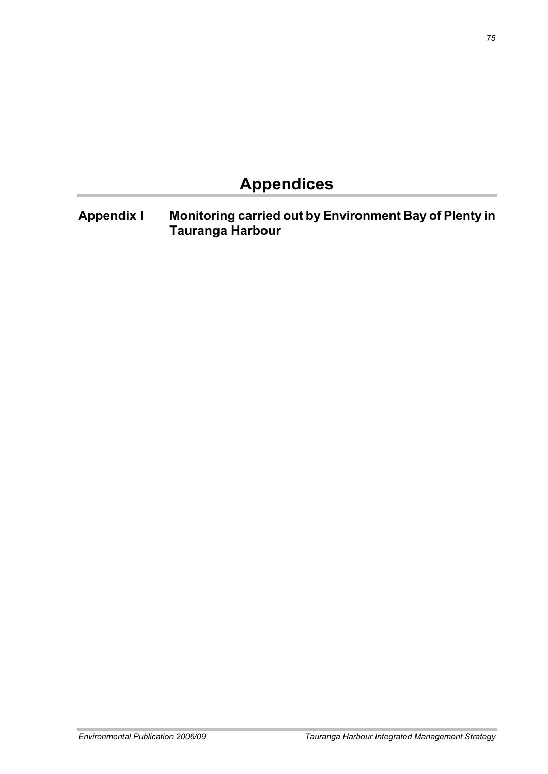# **Appendices**

**Appendix I Monitoring carried out by Environment Bay of Plenty in Tauranga Harbour**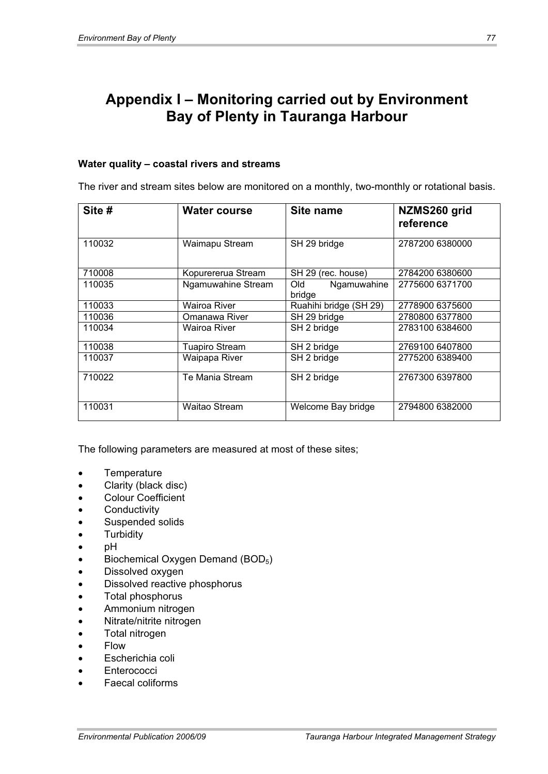## **Appendix I – Monitoring carried out by Environment Bay of Plenty in Tauranga Harbour**

#### **Water quality – coastal rivers and streams**

The river and stream sites below are monitored on a monthly, two-monthly or rotational basis.

| Site # | Water course         | Site name                    | NZMS260 grid<br>reference |
|--------|----------------------|------------------------------|---------------------------|
| 110032 | Waimapu Stream       | SH 29 bridge                 | 2787200 6380000           |
| 710008 | Kopurererua Stream   | SH 29 (rec. house)           | 2784200 6380600           |
| 110035 | Ngamuwahine Stream   | Ngamuwahine<br>Old<br>bridge | 2775600 6371700           |
| 110033 | Wairoa River         | Ruahihi bridge (SH 29)       | 2778900 6375600           |
| 110036 | Omanawa River        | SH 29 bridge                 | 2780800 6377800           |
| 110034 | Wairoa River         | SH 2 bridge                  | 2783100 6384600           |
| 110038 | Tuapiro Stream       | SH 2 bridge                  | 2769100 6407800           |
| 110037 | Waipapa River        | SH 2 bridge                  | 2775200 6389400           |
| 710022 | Te Mania Stream      | SH 2 bridge                  | 2767300 6397800           |
| 110031 | <b>Waitao Stream</b> | Welcome Bay bridge           | 2794800 6382000           |

The following parameters are measured at most of these sites;

- **Temperature**
- Clarity (black disc)
- **Colour Coefficient**
- Conductivity
- Suspended solids
- **Turbidity**
- pH
- Biochemical Oxygen Demand (BOD<sub>5</sub>)
- Dissolved oxygen
- Dissolved reactive phosphorus
- Total phosphorus
- Ammonium nitrogen
- Nitrate/nitrite nitrogen
- Total nitrogen
- $\bullet$  Flow
- Escherichia coli
- Enterococci
- Faecal coliforms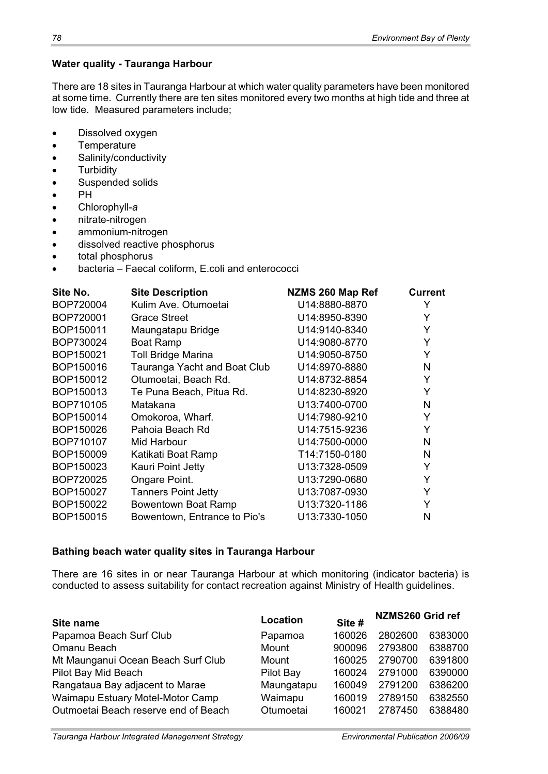#### **Water quality - Tauranga Harbour**

There are 18 sites in Tauranga Harbour at which water quality parameters have been monitored at some time. Currently there are ten sites monitored every two months at high tide and three at low tide. Measured parameters include;

- Dissolved oxygen
- Temperature
- Salinity/conductivity
- **Turbidity**
- Suspended solids
- $\bullet$  PH
- x Chlorophyll-*a*
- nitrate-nitrogen
- ammonium-nitrogen
- dissolved reactive phosphorus
- total phosphorus
- bacteria Faecal coliform, E.coli and enterococci

| Site No.  | <b>Site Description</b>      | NZMS 260 Map Ref | <b>Current</b> |
|-----------|------------------------------|------------------|----------------|
| BOP720004 | Kulim Ave. Otumoetai         | U14:8880-8870    | Y              |
| BOP720001 | <b>Grace Street</b>          | U14:8950-8390    | Y              |
| BOP150011 | Maungatapu Bridge            | U14:9140-8340    | Y              |
| BOP730024 | <b>Boat Ramp</b>             | U14:9080-8770    | Y              |
| BOP150021 | <b>Toll Bridge Marina</b>    | U14:9050-8750    | Y              |
| BOP150016 | Tauranga Yacht and Boat Club | U14:8970-8880    | N              |
| BOP150012 | Otumoetai, Beach Rd.         | U14:8732-8854    | Y              |
| BOP150013 | Te Puna Beach, Pitua Rd.     | U14:8230-8920    | Y              |
| BOP710105 | Matakana                     | U13:7400-0700    | N              |
| BOP150014 | Omokoroa, Wharf.             | U14:7980-9210    | Y              |
| BOP150026 | Pahoia Beach Rd              | U14:7515-9236    | Y              |
| BOP710107 | Mid Harbour                  | U14:7500-0000    | N              |
| BOP150009 | Katikati Boat Ramp           | T14:7150-0180    | N              |
| BOP150023 | Kauri Point Jetty            | U13:7328-0509    | Y              |
| BOP720025 | Ongare Point.                | U13:7290-0680    | Y              |
| BOP150027 | <b>Tanners Point Jetty</b>   | U13:7087-0930    | Y              |
| BOP150022 | Bowentown Boat Ramp          | U13:7320-1186    | Y              |
| BOP150015 | Bowentown, Entrance to Pio's | U13:7330-1050    | N              |

#### **Bathing beach water quality sites in Tauranga Harbour**

There are 16 sites in or near Tauranga Harbour at which monitoring (indicator bacteria) is conducted to assess suitability for contact recreation against Ministry of Health guidelines.

| Location   | Site # |         |                  |
|------------|--------|---------|------------------|
| Papamoa    | 160026 | 2802600 | 6383000          |
| Mount      | 900096 | 2793800 | 6388700          |
| Mount      | 160025 | 2790700 | 6391800          |
| Pilot Bay  | 160024 | 2791000 | 6390000          |
| Maungatapu | 160049 | 2791200 | 6386200          |
| Waimapu    | 160019 | 2789150 | 6382550          |
| Otumoetai  | 160021 | 2787450 | 6388480          |
|            |        |         | NZMS260 Grid ref |

*Tauranga Harbour Integrated Management Strategy Environmental Publication 2006/09*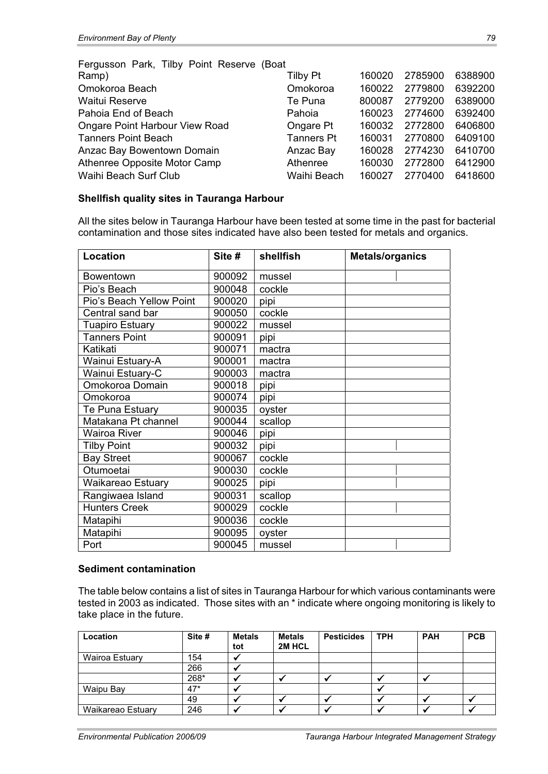| <b>Tilby Pt</b>   | 160020                                    | 2785900 | 6388900 |
|-------------------|-------------------------------------------|---------|---------|
| Omokoroa          | 160022                                    | 2779800 | 6392200 |
| Te Puna           | 800087                                    | 2779200 | 6389000 |
| Pahoia            | 160023                                    | 2774600 | 6392400 |
| Ongare Pt         | 160032                                    | 2772800 | 6406800 |
| <b>Tanners Pt</b> | 160031                                    | 2770800 | 6409100 |
| Anzac Bay         | 160028                                    | 2774230 | 6410700 |
| Athenree          | 160030                                    | 2772800 | 6412900 |
| Waihi Beach       | 160027                                    | 2770400 | 6418600 |
|                   | Fergusson Park, Tilby Point Reserve (Boat |         |         |

#### **Shellfish quality sites in Tauranga Harbour**

All the sites below in Tauranga Harbour have been tested at some time in the past for bacterial contamination and those sites indicated have also been tested for metals and organics.

| Location                 | Site # | shellfish | <b>Metals/organics</b> |
|--------------------------|--------|-----------|------------------------|
| Bowentown                | 900092 | mussel    |                        |
| Pio's Beach              | 900048 | cockle    |                        |
| Pio's Beach Yellow Point | 900020 | pipi      |                        |
| Central sand bar         | 900050 | cockle    |                        |
| Tuapiro Estuary          | 900022 | mussel    |                        |
| <b>Tanners Point</b>     | 900091 | pipi      |                        |
| Katikati                 | 900071 | mactra    |                        |
| Wainui Estuary-A         | 900001 | mactra    |                        |
| Wainui Estuary-C         | 900003 | mactra    |                        |
| Omokoroa Domain          | 900018 | pipi      |                        |
| Omokoroa                 | 900074 | pipi      |                        |
| Te Puna Estuary          | 900035 | oyster    |                        |
| Matakana Pt channel      | 900044 | scallop   |                        |
| <b>Wairoa River</b>      | 900046 | pipi      |                        |
| <b>Tilby Point</b>       | 900032 | pipi      |                        |
| <b>Bay Street</b>        | 900067 | cockle    |                        |
| Otumoetai                | 900030 | cockle    |                        |
| Waikareao Estuary        | 900025 | pipi      |                        |
| Rangiwaea Island         | 900031 | scallop   |                        |
| <b>Hunters Creek</b>     | 900029 | cockle    |                        |
| Matapihi                 | 900036 | cockle    |                        |
| Matapihi                 | 900095 | oyster    |                        |
| Port                     | 900045 | mussel    |                        |

#### **Sediment contamination**

The table below contains a list of sites in Tauranga Harbour for which various contaminants were tested in 2003 as indicated. Those sites with an \* indicate where ongoing monitoring is likely to take place in the future.

| Location          | Site # | <b>Metals</b><br>tot | <b>Metals</b><br>2M HCL | <b>Pesticides</b> | <b>TPH</b> | <b>PAH</b> | <b>PCB</b> |
|-------------------|--------|----------------------|-------------------------|-------------------|------------|------------|------------|
| Wairoa Estuary    | 154    |                      |                         |                   |            |            |            |
|                   | 266    |                      |                         |                   |            |            |            |
|                   | 268*   |                      |                         |                   |            |            |            |
| Waipu Bay         | 47*    |                      |                         |                   |            |            |            |
|                   | 49     |                      |                         |                   |            |            |            |
| Waikareao Estuary | 246    |                      |                         |                   |            |            |            |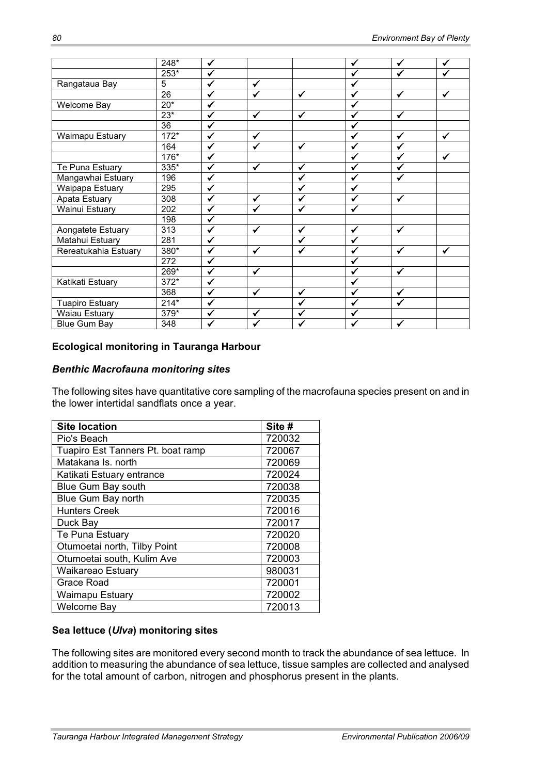|                        | 248*           | ✓                    |              |              | $\checkmark$       | ✓                    | ✓            |
|------------------------|----------------|----------------------|--------------|--------------|--------------------|----------------------|--------------|
|                        | $253*$         | $\checkmark$         |              |              | ✓                  | $\tilde{\mathbf{v}}$ | ✔            |
| Rangataua Bay          | $\overline{5}$ | $\checkmark$         | ✓            |              | ✓                  |                      |              |
|                        | 26             | $\checkmark$         | $\checkmark$ | $\checkmark$ | $\checkmark$       | ✓                    | ✓            |
| <b>Welcome Bay</b>     | $20*$          | ✓                    |              |              | ✓                  |                      |              |
|                        | $23^{*}$       | $\checkmark$         | $\checkmark$ | $\checkmark$ | $\checkmark$       | $\checkmark$         |              |
|                        | 36             | ✔                    |              |              | ✓                  |                      |              |
| Waimapu Estuary        | $172*$         | $\tilde{\mathbf{v}}$ | ✓            |              | ✓                  | ✓                    | $\checkmark$ |
|                        | 164            | $\checkmark$         | $\checkmark$ | ✓            | ✓                  | $\checkmark$         |              |
|                        | 176*           | $\checkmark$         |              |              | ✓                  | ✓                    | $\checkmark$ |
| Te Puna Estuary        | 335*           | $\checkmark$         | $\checkmark$ | ✓            | ✓                  | ✓                    |              |
| Mangawhai Estuary      | 196            | ✔                    |              | ✓            | ✓                  | ✓                    |              |
| Waipapa Estuary        | 295            | ✓                    |              | ✓            | ✓                  |                      |              |
| Apata Estuary          | 308            | $\checkmark$         | $\checkmark$ | ✓            | $\checkmark$       | ✓                    |              |
| Wainui Estuary         | 202            | $\checkmark$         | $\checkmark$ | $\checkmark$ | $\checkmark$       |                      |              |
|                        | 198            | $\checkmark$         |              |              |                    |                      |              |
| Aongatete Estuary      | 313            | ✓                    | $\checkmark$ | ✓            | $\checkmark$       | ✓                    |              |
| Matahui Estuary        | 281            | ✔                    |              | ✔            | ✓                  |                      |              |
| Rereatukahia Estuary   | 380*           | $\checkmark$         | ✓            | ✔            | ✓                  | ✓                    | ✓            |
|                        | 272            | $\checkmark$         |              |              | $\checkmark$       |                      |              |
|                        | 269*           | ✓                    | $\checkmark$ |              | $\checkmark$       | $\checkmark$         |              |
| Katikati Estuary       | $372*$         | ✓                    |              |              | ✓                  |                      |              |
|                        | 368            | ✓                    | $\checkmark$ | ✔            | ✓                  | ✓                    |              |
| <b>Tuapiro Estuary</b> | $214*$         | ✓                    |              | ✓            | ✓                  | $\checkmark$         |              |
| <b>Waiau Estuary</b>   | 379*           | ✓                    | $\checkmark$ | ✓            | $\hat{\mathbf{v}}$ |                      |              |
| <b>Blue Gum Bay</b>    | 348            | ✔                    | $\checkmark$ | ✓            | ✓                  | $\checkmark$         |              |

#### **Ecological monitoring in Tauranga Harbour**

#### *Benthic Macrofauna monitoring sites*

The following sites have quantitative core sampling of the macrofauna species present on and in the lower intertidal sandflats once a year.

| <b>Site location</b>              | Site # |
|-----------------------------------|--------|
| Pio's Beach                       | 720032 |
| Tuapiro Est Tanners Pt. boat ramp | 720067 |
| Matakana Is, north                | 720069 |
| Katikati Estuary entrance         | 720024 |
| Blue Gum Bay south                | 720038 |
| Blue Gum Bay north                | 720035 |
| <b>Hunters Creek</b>              | 720016 |
| Duck Bay                          | 720017 |
| Te Puna Estuary                   | 720020 |
| Otumoetai north, Tilby Point      | 720008 |
| Otumoetai south, Kulim Ave        | 720003 |
| Waikareao Estuary                 | 980031 |
| Grace Road                        | 720001 |
| Waimapu Estuary                   | 720002 |
| Welcome Bay                       | 720013 |

## **Sea lettuce (***Ulva***) monitoring sites**

The following sites are monitored every second month to track the abundance of sea lettuce. In addition to measuring the abundance of sea lettuce, tissue samples are collected and analysed for the total amount of carbon, nitrogen and phosphorus present in the plants.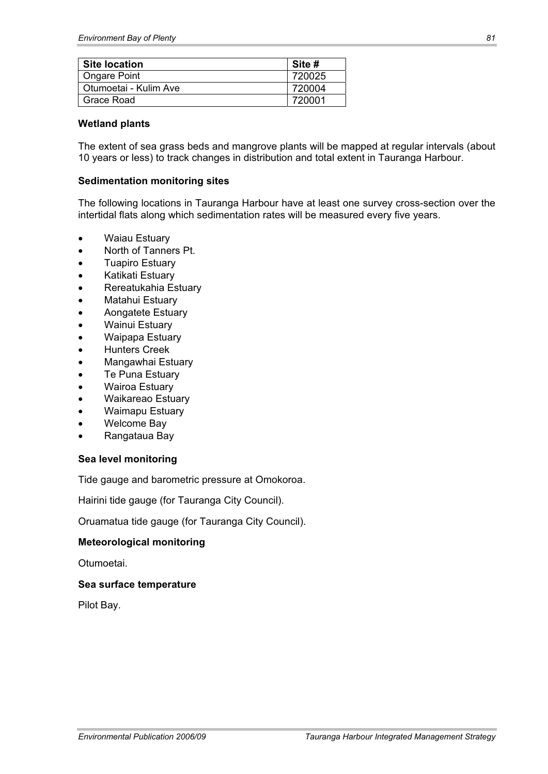| <b>Site location</b>  | Site # |
|-----------------------|--------|
| <b>Ongare Point</b>   | 720025 |
| Otumoetai - Kulim Ave | 720004 |
| Grace Road            | 720001 |

#### **Wetland plants**

The extent of sea grass beds and mangrove plants will be mapped at regular intervals (about 10 years or less) to track changes in distribution and total extent in Tauranga Harbour.

#### **Sedimentation monitoring sites**

The following locations in Tauranga Harbour have at least one survey cross-section over the intertidal flats along which sedimentation rates will be measured every five years.

- Waiau Estuary
- North of Tanners Pt.
- **Tuapiro Estuary**
- x Katikati Estuary
- x Rereatukahia Estuary
- Matahui Estuary
- x Aongatete Estuary
- Wainui Estuary
- Waipapa Estuary
- Hunters Creek
- Mangawhai Estuary
- Te Puna Estuary
- Wairoa Estuary
- x Waikareao Estuary
- Waimapu Estuary
- Welcome Bay
- x Rangataua Bay

#### **Sea level monitoring**

Tide gauge and barometric pressure at Omokoroa.

Hairini tide gauge (for Tauranga City Council).

Oruamatua tide gauge (for Tauranga City Council).

#### **Meteorological monitoring**

Otumoetai.

#### **Sea surface temperature**

Pilot Bay.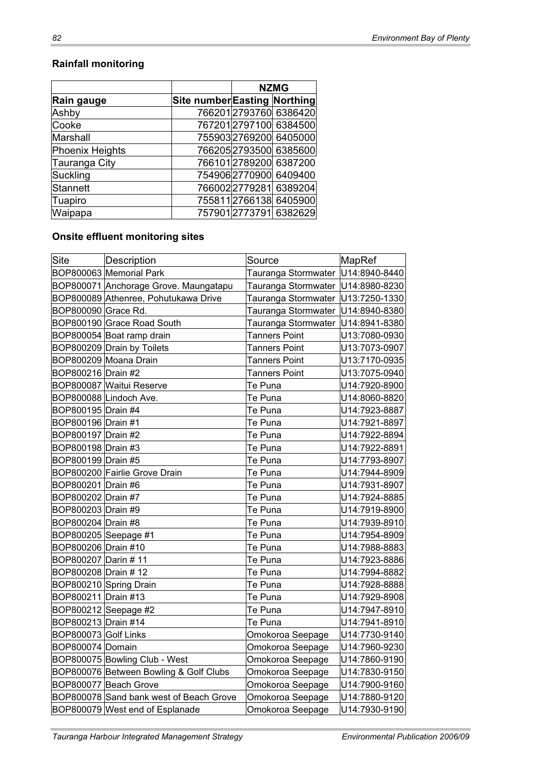## **Rainfall monitoring**

|                 |                              | <b>NZMG</b> |                        |
|-----------------|------------------------------|-------------|------------------------|
| Rain gauge      | Site number Easting Northing |             |                        |
| Ashby           |                              |             | 766201 2793760 6386420 |
| Cooke           |                              |             | 7672012797100 6384500  |
| Marshall        |                              |             | 755903 2769200 6405000 |
| Phoenix Heights |                              |             | 766205 2793500 6385600 |
| Tauranga City   |                              |             | 7661012789200 6387200  |
| Suckling        |                              |             | 754906 2770900 6409400 |
| Stannett        |                              |             | 7660022779281 6389204  |
| Tuapiro         |                              |             | 755811 2766138 6405900 |
| Waipapa         |                              |             | 757901 2773791 6382629 |

## **Onsite effluent monitoring sites**

| Site                 | Description                             | Source                              | MapRef        |
|----------------------|-----------------------------------------|-------------------------------------|---------------|
|                      | BOP800063 Memorial Park                 | Tauranga Stormwater                 | U14:8940-8440 |
|                      | BOP800071 Anchorage Grove. Maungatapu   | Tauranga Stormwater   U14:8980-8230 |               |
|                      | BOP800089 Athenree, Pohutukawa Drive    | Tauranga Stormwater   U13:7250-1330 |               |
| BOP800090 Grace Rd.  |                                         | Tauranga Stormwater  U14:8940-8380  |               |
|                      | BOP800190 Grace Road South              | Tauranga Stormwater                 | U14:8941-8380 |
|                      | BOP800054 Boat ramp drain               | <b>Tanners Point</b>                | U13:7080-0930 |
|                      | BOP800209 Drain by Toilets              | <b>Tanners Point</b>                | U13:7073-0907 |
|                      | BOP800209 Moana Drain                   | Tanners Point                       | U13:7170-0935 |
| BOP800216 Drain #2   |                                         | Tanners Point                       | U13:7075-0940 |
|                      | BOP800087 Waitui Reserve                | Te Puna                             | U14:7920-8900 |
|                      | BOP800088 Lindoch Ave.                  | Te Puna                             | U14:8060-8820 |
| BOP800195 Drain #4   |                                         | Te Puna                             | U14:7923-8887 |
| BOP800196 Drain #1   |                                         | Te Puna                             | U14:7921-8897 |
| BOP800197 Drain #2   |                                         | Te Puna                             | U14:7922-8894 |
| BOP800198 Drain #3   |                                         | Te Puna                             | U14:7922-8891 |
| BOP800199 Drain #5   |                                         | Te Puna                             | U14:7793-8907 |
|                      | BOP800200 Fairlie Grove Drain           | Te Puna                             | U14:7944-8909 |
| BOP800201 Drain #6   |                                         | Te Puna                             | U14:7931-8907 |
| BOP800202 Drain #7   |                                         | Te Puna                             | U14:7924-8885 |
| BOP800203 Drain #9   |                                         | Te Puna                             | U14:7919-8900 |
| BOP800204 Drain #8   |                                         | Te Puna                             | U14:7939-8910 |
| BOP800205 Seepage #1 |                                         | Te Puna                             | U14:7954-8909 |
| BOP800206 Drain #10  |                                         | Te Puna                             | U14:7988-8883 |
| BOP800207 Darin #11  |                                         | Te Puna                             | U14:7923-8886 |
| BOP800208 Drain # 12 |                                         | Te Puna                             | U14:7994-8882 |
|                      | BOP800210 Spring Drain                  | Te Puna                             | U14:7928-8888 |
| BOP800211 Drain #13  |                                         | Te Puna                             | U14:7929-8908 |
| BOP800212 Seepage #2 |                                         | Te Puna                             | U14:7947-8910 |
| BOP800213 Drain #14  |                                         | Te Puna                             | U14:7941-8910 |
| BOP800073 Golf Links |                                         | Omokoroa Seepage                    | U14:7730-9140 |
| BOP800074 Domain     |                                         | Omokoroa Seepage                    | U14:7960-9230 |
|                      | BOP800075 Bowling Club - West           | Omokoroa Seepage                    | U14:7860-9190 |
|                      | BOP800076 Between Bowling & Golf Clubs  | Omokoroa Seepage                    | U14:7830-9150 |
|                      | BOP800077 Beach Grove                   | Omokoroa Seepage                    | U14:7900-9160 |
|                      | BOP800078 Sand bank west of Beach Grove | Omokoroa Seepage                    | U14:7880-9120 |
|                      | BOP800079 West end of Esplanade         | Omokoroa Seepage                    | U14:7930-9190 |